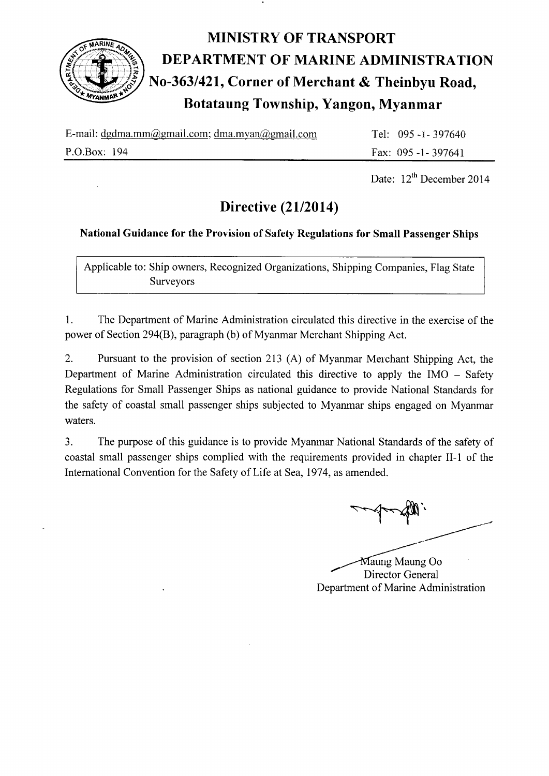

# MINISTRY OF TRANSPORT<br>
ELECTRIC MARINE ADM<br>
MO-363/421, Corner of Merchant & The<br>
Botataung Township, Yangon, My DEPARTMENT OF MARINE ADMINISTRATION No-363/421, Corner of Merchant & Theinbyu Road, Botataung Township, Yangon, Myanmar

| E-mail: dgdma.mm@gmail.com; dma.myan@gmail.com | Tel: $095 - 1 - 397640$ |
|------------------------------------------------|-------------------------|
| P.O.Box: 194                                   | Fax: $095 - 1 - 397641$ |

Date:  $12^{th}$  December 2014

## Directive (21/2014)

## National Guidance for the Provision of Safety Regulations for Small Passenger Ships

Applicable to: Ship owners, Recognized Organizations, Shipping Companies, Flag State Surveyors

l. The Department of Marine Administration circulated this directive in the exercise of the power of Section 294(8), paragraph (b) of Myanmar Merchant Shipping Act.

2. Pursuant to the provision of section 213 (A) of Myanmar Merchant Shipping Act, the Department of Marine Administration circulated this directive to apply the IMO - Safety Regulations for Small Passenger Ships as national guidance to provide National Standards for the safety of coastal small passenger ships subjected to Myanmar ships engaged on Myanmar waters.

3. The purpose of this guidance is to provide Myanmar National Standards of the safety of coastal small passenger ships complied with the requirements provided in chapter II-1 of the International Convention for the Safety of Life at Sea, 1974, as amended.

=-f--S'.

Department of Marine Administration Maung Maung Oo Director General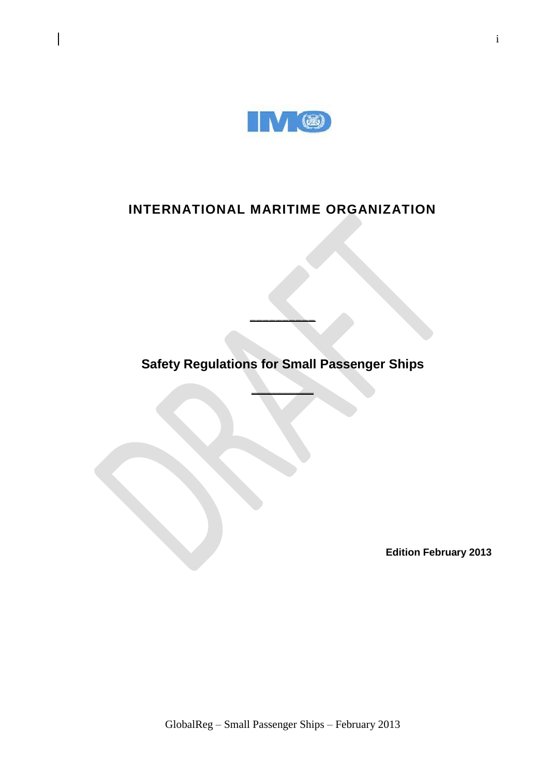

## **INTERNATIONAL MARITIME ORGANIZATION**

**Safety Regulations for Small Passenger Ships** 

**\_\_\_\_\_\_\_\_\_\_\_**

**\_\_\_\_\_\_\_\_\_\_**

**Edition February 2013**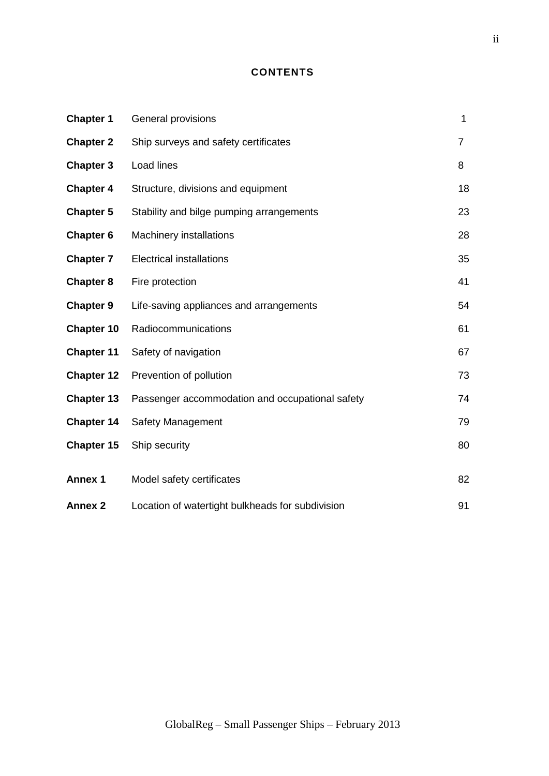## **CONTENTS**

| <b>Chapter 1</b>  | General provisions                               | $\mathbf{1}$   |
|-------------------|--------------------------------------------------|----------------|
| <b>Chapter 2</b>  | Ship surveys and safety certificates             | $\overline{7}$ |
| <b>Chapter 3</b>  | Load lines                                       | 8              |
| <b>Chapter 4</b>  | Structure, divisions and equipment               | 18             |
| <b>Chapter 5</b>  | Stability and bilge pumping arrangements         | 23             |
| <b>Chapter 6</b>  | <b>Machinery installations</b>                   | 28             |
| <b>Chapter 7</b>  | <b>Electrical installations</b>                  | 35             |
| <b>Chapter 8</b>  | Fire protection                                  | 41             |
| <b>Chapter 9</b>  | Life-saving appliances and arrangements          | 54             |
| Chapter 10        | Radiocommunications                              | 61             |
| <b>Chapter 11</b> | Safety of navigation                             | 67             |
| <b>Chapter 12</b> | Prevention of pollution                          | 73             |
| Chapter 13        | Passenger accommodation and occupational safety  | 74             |
| <b>Chapter 14</b> | <b>Safety Management</b>                         | 79             |
| <b>Chapter 15</b> | Ship security                                    | 80             |
| <b>Annex 1</b>    | Model safety certificates                        | 82             |
| <b>Annex 2</b>    | Location of watertight bulkheads for subdivision | 91             |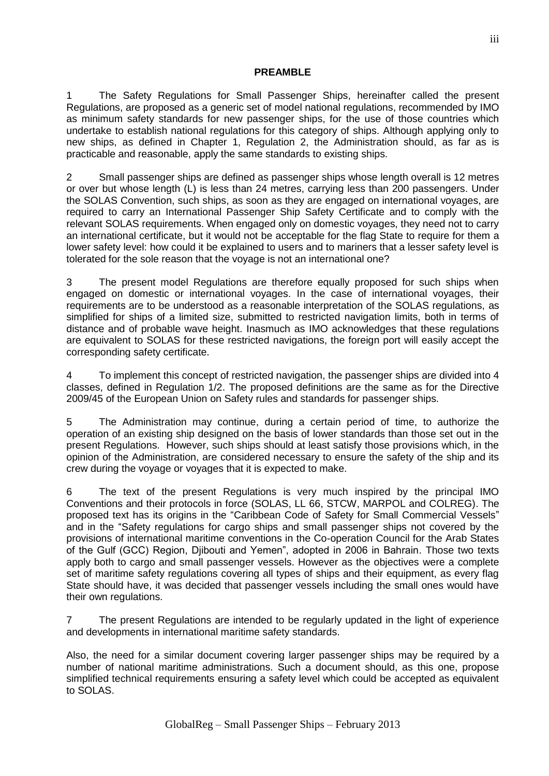## **PREAMBLE**

1 The Safety Regulations for Small Passenger Ships, hereinafter called the present Regulations, are proposed as a generic set of model national regulations, recommended by IMO as minimum safety standards for new passenger ships, for the use of those countries which undertake to establish national regulations for this category of ships. Although applying only to new ships, as defined in Chapter 1, Regulation 2, the Administration should, as far as is practicable and reasonable, apply the same standards to existing ships.

2 Small passenger ships are defined as passenger ships whose length overall is 12 metres or over but whose length (L) is less than 24 metres, carrying less than 200 passengers. Under the SOLAS Convention, such ships, as soon as they are engaged on international voyages, are required to carry an International Passenger Ship Safety Certificate and to comply with the relevant SOLAS requirements. When engaged only on domestic voyages, they need not to carry an international certificate, but it would not be acceptable for the flag State to require for them a lower safety level: how could it be explained to users and to mariners that a lesser safety level is tolerated for the sole reason that the voyage is not an international one?

3 The present model Regulations are therefore equally proposed for such ships when engaged on domestic or international voyages. In the case of international voyages, their requirements are to be understood as a reasonable interpretation of the SOLAS regulations, as simplified for ships of a limited size, submitted to restricted navigation limits, both in terms of distance and of probable wave height. Inasmuch as IMO acknowledges that these regulations are equivalent to SOLAS for these restricted navigations, the foreign port will easily accept the corresponding safety certificate.

4 To implement this concept of restricted navigation, the passenger ships are divided into 4 classes, defined in Regulation 1/2. The proposed definitions are the same as for the Directive 2009/45 of the European Union on Safety rules and standards for passenger ships.

5 The Administration may continue, during a certain period of time, to authorize the operation of an existing ship designed on the basis of lower standards than those set out in the present Regulations. However, such ships should at least satisfy those provisions which, in the opinion of the Administration, are considered necessary to ensure the safety of the ship and its crew during the voyage or voyages that it is expected to make.

6 The text of the present Regulations is very much inspired by the principal IMO Conventions and their protocols in force (SOLAS, LL 66, STCW, MARPOL and COLREG). The proposed text has its origins in the "Caribbean Code of Safety for Small Commercial Vessels" and in the "Safety regulations for cargo ships and small passenger ships not covered by the provisions of international maritime conventions in the Co-operation Council for the Arab States of the Gulf (GCC) Region, Djibouti and Yemen", adopted in 2006 in Bahrain. Those two texts apply both to cargo and small passenger vessels. However as the objectives were a complete set of maritime safety regulations covering all types of ships and their equipment, as every flag State should have, it was decided that passenger vessels including the small ones would have their own regulations.

7 The present Regulations are intended to be regularly updated in the light of experience and developments in international maritime safety standards.

Also, the need for a similar document covering larger passenger ships may be required by a number of national maritime administrations. Such a document should, as this one, propose simplified technical requirements ensuring a safety level which could be accepted as equivalent to SOLAS.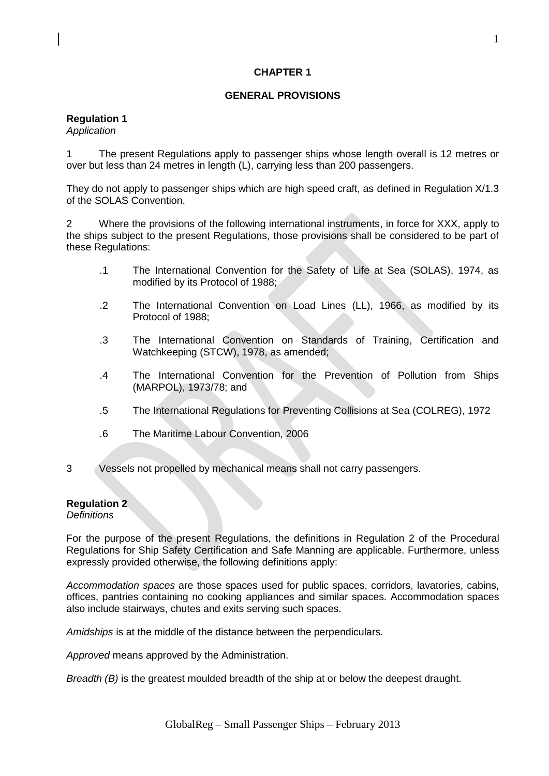## **CHAPTER 1**

## **GENERAL PROVISIONS**

## **Regulation 1**

*Application*

1 The present Regulations apply to passenger ships whose length overall is 12 metres or over but less than 24 metres in length (L), carrying less than 200 passengers.

They do not apply to passenger ships which are high speed craft, as defined in Regulation X/1.3 of the SOLAS Convention.

2 Where the provisions of the following international instruments, in force for XXX, apply to the ships subject to the present Regulations, those provisions shall be considered to be part of these Regulations:

- .1 The International Convention for the Safety of Life at Sea (SOLAS), 1974, as modified by its Protocol of 1988;
- .2 The International Convention on Load Lines (LL), 1966, as modified by its Protocol of 1988;
- .3 The International Convention on Standards of Training, Certification and Watchkeeping (STCW), 1978, as amended;
- .4 The International Convention for the Prevention of Pollution from Ships (MARPOL), 1973/78; and
- .5 The International Regulations for Preventing Collisions at Sea (COLREG), 1972
- .6 The Maritime Labour Convention, 2006
- 3 Vessels not propelled by mechanical means shall not carry passengers.

## **Regulation 2**

*Definitions*

For the purpose of the present Regulations, the definitions in Regulation 2 of the Procedural Regulations for Ship Safety Certification and Safe Manning are applicable. Furthermore, unless expressly provided otherwise, the following definitions apply:

*Accommodation spaces* are those spaces used for public spaces, corridors, lavatories, cabins, offices, pantries containing no cooking appliances and similar spaces. Accommodation spaces also include stairways, chutes and exits serving such spaces.

*Amidships* is at the middle of the distance between the perpendiculars.

*Approved* means approved by the Administration.

*Breadth (B)* is the greatest moulded breadth of the ship at or below the deepest draught.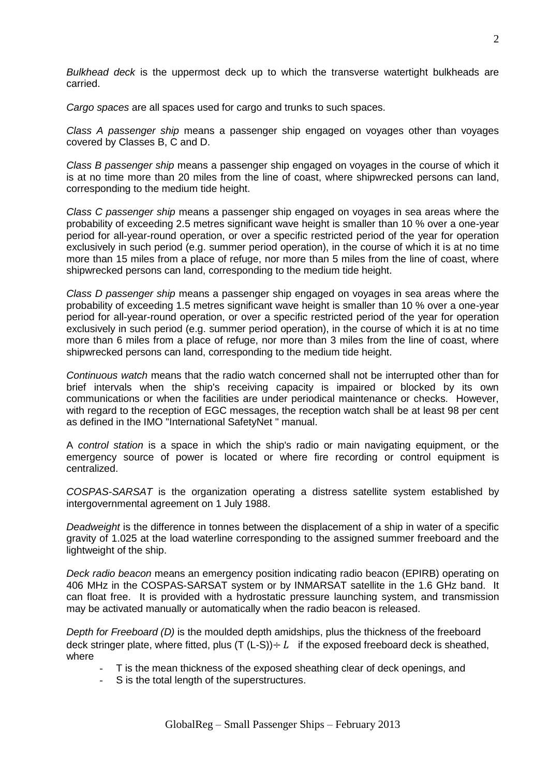*Bulkhead deck* is the uppermost deck up to which the transverse watertight bulkheads are carried.

*Cargo spaces* are all spaces used for cargo and trunks to such spaces.

*Class A passenger ship* means a passenger ship engaged on voyages other than voyages covered by Classes B, C and D.

*Class B passenger ship* means a passenger ship engaged on voyages in the course of which it is at no time more than 20 miles from the line of coast, where shipwrecked persons can land, corresponding to the medium tide height.

*Class C passenger ship* means a passenger ship engaged on voyages in sea areas where the probability of exceeding 2.5 metres significant wave height is smaller than 10 % over a one-year period for all-year-round operation, or over a specific restricted period of the year for operation exclusively in such period (e.g. summer period operation), in the course of which it is at no time more than 15 miles from a place of refuge, nor more than 5 miles from the line of coast, where shipwrecked persons can land, corresponding to the medium tide height.

*Class D passenger ship* means a passenger ship engaged on voyages in sea areas where the probability of exceeding 1.5 metres significant wave height is smaller than 10 % over a one-year period for all-year-round operation, or over a specific restricted period of the year for operation exclusively in such period (e.g. summer period operation), in the course of which it is at no time more than 6 miles from a place of refuge, nor more than 3 miles from the line of coast, where shipwrecked persons can land, corresponding to the medium tide height.

*Continuous watch* means that the radio watch concerned shall not be interrupted other than for brief intervals when the ship's receiving capacity is impaired or blocked by its own communications or when the facilities are under periodical maintenance or checks. However, with regard to the reception of EGC messages, the reception watch shall be at least 98 per cent as defined in the IMO "International SafetyNet " manual.

A *control station* is a space in which the ship's radio or main navigating equipment, or the emergency source of power is located or where fire recording or control equipment is centralized.

*COSPAS-SARSAT* is the organization operating a distress satellite system established by intergovernmental agreement on 1 July 1988.

*Deadweight* is the difference in tonnes between the displacement of a ship in water of a specific gravity of 1.025 at the load waterline corresponding to the assigned summer freeboard and the lightweight of the ship.

*Deck radio beacon* means an emergency position indicating radio beacon (EPIRB) operating on 406 MHz in the COSPAS-SARSAT system or by INMARSAT satellite in the 1.6 GHz band. It can float free. It is provided with a hydrostatic pressure launching system, and transmission may be activated manually or automatically when the radio beacon is released.

*Depth for Freeboard (D)* is the moulded depth amidships, plus the thickness of the freeboard deck stringer plate, where fitted, plus  $(T (L-S)) \div L$  if the exposed freeboard deck is sheathed, where

- T is the mean thickness of the exposed sheathing clear of deck openings, and
- S is the total length of the superstructures.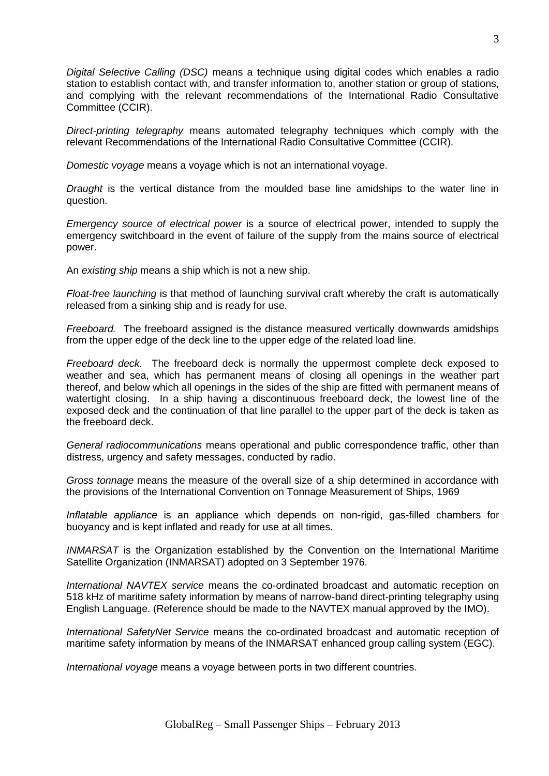*Digital Selective Calling (DSC)* means a technique using digital codes which enables a radio station to establish contact with, and transfer information to, another station or group of stations, and complying with the relevant recommendations of the International Radio Consultative Committee (CCIR).

*Direct-printing telegraphy* means automated telegraphy techniques which comply with the relevant Recommendations of the International Radio Consultative Committee (CCIR).

*Domestic voyage* means a voyage which is not an international voyage.

*Draught* is the vertical distance from the moulded base line amidships to the water line in question.

*Emergency source of electrical power* is a source of electrical power, intended to supply the emergency switchboard in the event of failure of the supply from the mains source of electrical power.

An *existing ship* means a ship which is not a new ship.

*Float-free launching* is that method of launching survival craft whereby the craft is automatically released from a sinking ship and is ready for use.

*Freeboard.* The freeboard assigned is the distance measured vertically downwards amidships from the upper edge of the deck line to the upper edge of the related load line.

*Freeboard deck.* The freeboard deck is normally the uppermost complete deck exposed to weather and sea, which has permanent means of closing all openings in the weather part thereof, and below which all openings in the sides of the ship are fitted with permanent means of watertight closing. In a ship having a discontinuous freeboard deck, the lowest line of the exposed deck and the continuation of that line parallel to the upper part of the deck is taken as the freeboard deck.

*General radiocommunications* means operational and public correspondence traffic, other than distress, urgency and safety messages, conducted by radio.

*Gross tonnage* means the measure of the overall size of a ship determined in accordance with the provisions of the International Convention on Tonnage Measurement of Ships, 1969

*Inflatable appliance* is an appliance which depends on non-rigid, gas-filled chambers for buoyancy and is kept inflated and ready for use at all times.

*INMARSAT* is the Organization established by the Convention on the International Maritime Satellite Organization (INMARSAT) adopted on 3 September 1976.

*International NAVTEX service* means the co-ordinated broadcast and automatic reception on 518 kHz of maritime safety information by means of narrow-band direct-printing telegraphy using English Language. (Reference should be made to the NAVTEX manual approved by the IMO).

*International SafetyNet Service* means the co-ordinated broadcast and automatic reception of maritime safety information by means of the INMARSAT enhanced group calling system (EGC).

*International voyage* means a voyage between ports in two different countries.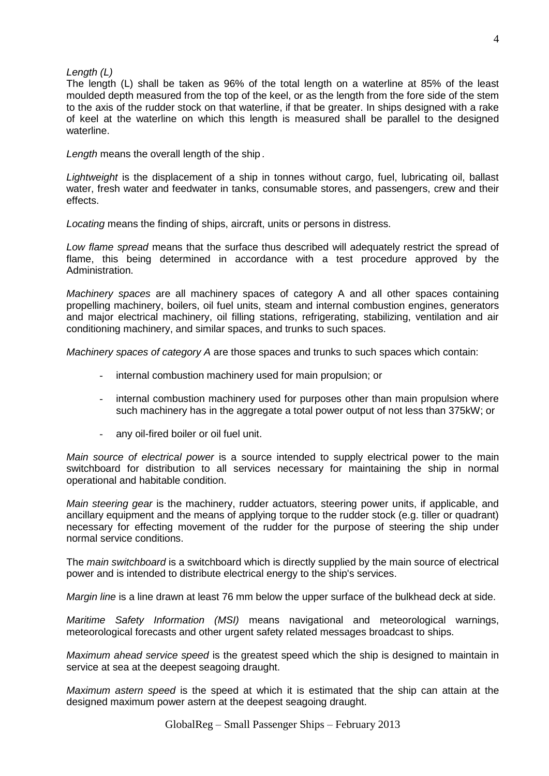#### *Length (L)*

The length (L) shall be taken as 96% of the total length on a waterline at 85% of the least moulded depth measured from the top of the keel, or as the length from the fore side of the stem to the axis of the rudder stock on that waterline, if that be greater. In ships designed with a rake of keel at the waterline on which this length is measured shall be parallel to the designed waterline.

*Length* means the overall length of the ship *.*

*Lightweight* is the displacement of a ship in tonnes without cargo, fuel, lubricating oil, ballast water, fresh water and feedwater in tanks, consumable stores, and passengers, crew and their effects.

*Locating* means the finding of ships, aircraft, units or persons in distress.

*Low flame spread* means that the surface thus described will adequately restrict the spread of flame, this being determined in accordance with a test procedure approved by the Administration.

*Machinery spaces* are all machinery spaces of category A and all other spaces containing propelling machinery, boilers, oil fuel units, steam and internal combustion engines, generators and major electrical machinery, oil filling stations, refrigerating, stabilizing, ventilation and air conditioning machinery, and similar spaces, and trunks to such spaces.

*Machinery spaces of category A* are those spaces and trunks to such spaces which contain:

- internal combustion machinery used for main propulsion; or
- internal combustion machinery used for purposes other than main propulsion where such machinery has in the aggregate a total power output of not less than 375kW; or
- any oil-fired boiler or oil fuel unit.

*Main source of electrical power* is a source intended to supply electrical power to the main switchboard for distribution to all services necessary for maintaining the ship in normal operational and habitable condition.

*Main steering gear* is the machinery, rudder actuators, steering power units, if applicable, and ancillary equipment and the means of applying torque to the rudder stock (e.g. tiller or quadrant) necessary for effecting movement of the rudder for the purpose of steering the ship under normal service conditions.

The *main switchboard* is a switchboard which is directly supplied by the main source of electrical power and is intended to distribute electrical energy to the ship's services.

*Margin line* is a line drawn at least 76 mm below the upper surface of the bulkhead deck at side.

*Maritime Safety Information (MSI)* means navigational and meteorological warnings, meteorological forecasts and other urgent safety related messages broadcast to ships.

*Maximum ahead service speed* is the greatest speed which the ship is designed to maintain in service at sea at the deepest seagoing draught.

*Maximum astern speed* is the speed at which it is estimated that the ship can attain at the designed maximum power astern at the deepest seagoing draught.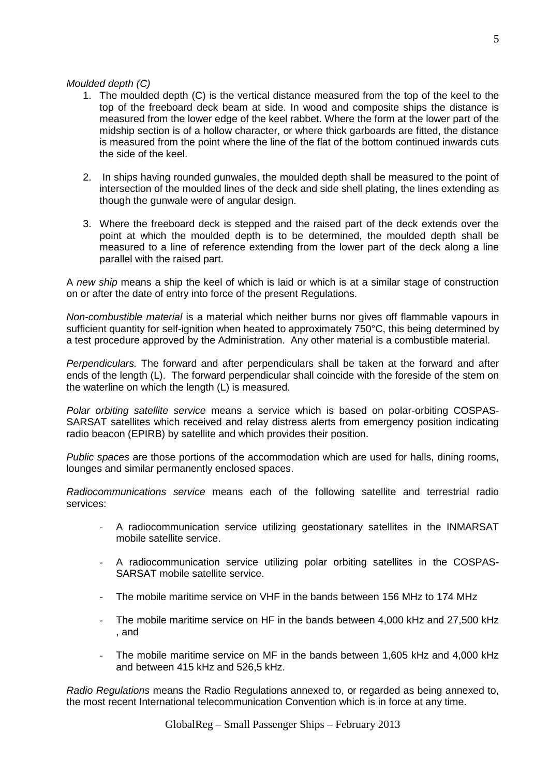## *Moulded depth (C)*

- 1. The moulded depth (C) is the vertical distance measured from the top of the keel to the top of the freeboard deck beam at side. In wood and composite ships the distance is measured from the lower edge of the keel rabbet. Where the form at the lower part of the midship section is of a hollow character, or where thick garboards are fitted, the distance is measured from the point where the line of the flat of the bottom continued inwards cuts the side of the keel.
- 2. In ships having rounded gunwales, the moulded depth shall be measured to the point of intersection of the moulded lines of the deck and side shell plating, the lines extending as though the gunwale were of angular design.
- 3. Where the freeboard deck is stepped and the raised part of the deck extends over the point at which the moulded depth is to be determined, the moulded depth shall be measured to a line of reference extending from the lower part of the deck along a line parallel with the raised part.

A *new ship* means a ship the keel of which is laid or which is at a similar stage of construction on or after the date of entry into force of the present Regulations.

*Non-combustible material* is a material which neither burns nor gives off flammable vapours in sufficient quantity for self-ignition when heated to approximately 750°C, this being determined by a test procedure approved by the Administration. Any other material is a combustible material.

*Perpendiculars.* The forward and after perpendiculars shall be taken at the forward and after ends of the length (L). The forward perpendicular shall coincide with the foreside of the stem on the waterline on which the length (L) is measured.

*Polar orbiting satellite service* means a service which is based on polar-orbiting COSPAS-SARSAT satellites which received and relay distress alerts from emergency position indicating radio beacon (EPIRB) by satellite and which provides their position.

*Public spaces* are those portions of the accommodation which are used for halls, dining rooms, lounges and similar permanently enclosed spaces.

*Radiocommunications service* means each of the following satellite and terrestrial radio services:

- A radiocommunication service utilizing geostationary satellites in the INMARSAT mobile satellite service.
- A radiocommunication service utilizing polar orbiting satellites in the COSPAS-SARSAT mobile satellite service.
- The mobile maritime service on VHF in the bands between 156 MHz to 174 MHz
- The mobile maritime service on HF in the bands between 4,000 kHz and 27,500 kHz , and
- The mobile maritime service on MF in the bands between 1,605 kHz and 4,000 kHz and between 415 kHz and 526,5 kHz.

*Radio Regulations* means the Radio Regulations annexed to, or regarded as being annexed to, the most recent International telecommunication Convention which is in force at any time.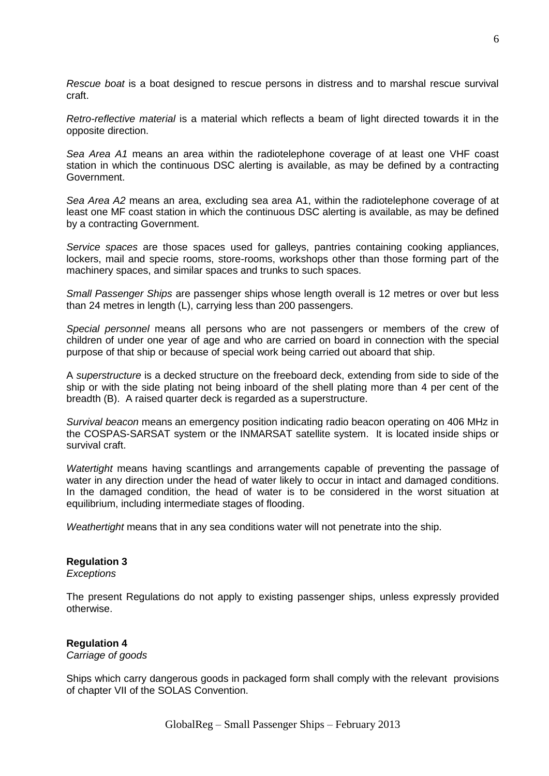*Rescue boat* is a boat designed to rescue persons in distress and to marshal rescue survival craft.

*Retro-reflective material* is a material which reflects a beam of light directed towards it in the opposite direction.

*Sea Area A1* means an area within the radiotelephone coverage of at least one VHF coast station in which the continuous DSC alerting is available, as may be defined by a contracting Government.

*Sea Area A2* means an area, excluding sea area A1, within the radiotelephone coverage of at least one MF coast station in which the continuous DSC alerting is available, as may be defined by a contracting Government.

*Service spaces* are those spaces used for galleys, pantries containing cooking appliances, lockers, mail and specie rooms, store-rooms, workshops other than those forming part of the machinery spaces, and similar spaces and trunks to such spaces.

*Small Passenger Ships* are passenger ships whose length overall is 12 metres or over but less than 24 metres in length (L), carrying less than 200 passengers.

*Special personnel* means all persons who are not passengers or members of the crew of children of under one year of age and who are carried on board in connection with the special purpose of that ship or because of special work being carried out aboard that ship.

A *superstructure* is a decked structure on the freeboard deck, extending from side to side of the ship or with the side plating not being inboard of the shell plating more than 4 per cent of the breadth (B). A raised quarter deck is regarded as a superstructure.

*Survival beacon* means an emergency position indicating radio beacon operating on 406 MHz in the COSPAS-SARSAT system or the INMARSAT satellite system. It is located inside ships or survival craft.

*Watertight* means having scantlings and arrangements capable of preventing the passage of water in any direction under the head of water likely to occur in intact and damaged conditions. In the damaged condition, the head of water is to be considered in the worst situation at equilibrium, including intermediate stages of flooding.

*Weathertight* means that in any sea conditions water will not penetrate into the ship.

## **Regulation 3**

*Exceptions*

The present Regulations do not apply to existing passenger ships, unless expressly provided otherwise.

## **Regulation 4**

*Carriage of goods*

Ships which carry dangerous goods in packaged form shall comply with the relevant provisions of chapter VII of the SOLAS Convention.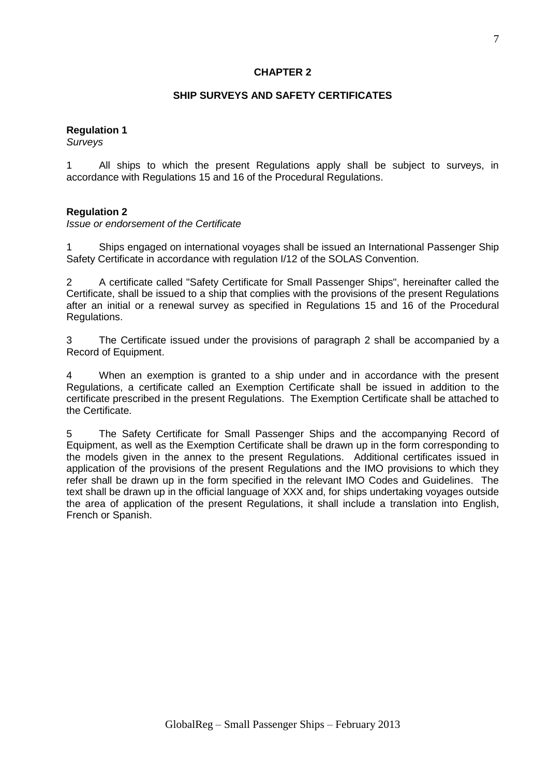## **CHAPTER 2**

## **SHIP SURVEYS AND SAFETY CERTIFICATES**

## **Regulation 1**

*Surveys*

1 All ships to which the present Regulations apply shall be subject to surveys, in accordance with Regulations 15 and 16 of the Procedural Regulations.

#### **Regulation 2**

*Issue or endorsement of the Certificate*

1 Ships engaged on international voyages shall be issued an International Passenger Ship Safety Certificate in accordance with regulation I/12 of the SOLAS Convention.

2 A certificate called "Safety Certificate for Small Passenger Ships", hereinafter called the Certificate, shall be issued to a ship that complies with the provisions of the present Regulations after an initial or a renewal survey as specified in Regulations 15 and 16 of the Procedural Regulations.

3 The Certificate issued under the provisions of paragraph 2 shall be accompanied by a Record of Equipment.

4 When an exemption is granted to a ship under and in accordance with the present Regulations, a certificate called an Exemption Certificate shall be issued in addition to the certificate prescribed in the present Regulations. The Exemption Certificate shall be attached to the Certificate.

5 The Safety Certificate for Small Passenger Ships and the accompanying Record of Equipment, as well as the Exemption Certificate shall be drawn up in the form corresponding to the models given in the annex to the present Regulations. Additional certificates issued in application of the provisions of the present Regulations and the IMO provisions to which they refer shall be drawn up in the form specified in the relevant IMO Codes and Guidelines. The text shall be drawn up in the official language of XXX and, for ships undertaking voyages outside the area of application of the present Regulations, it shall include a translation into English, French or Spanish.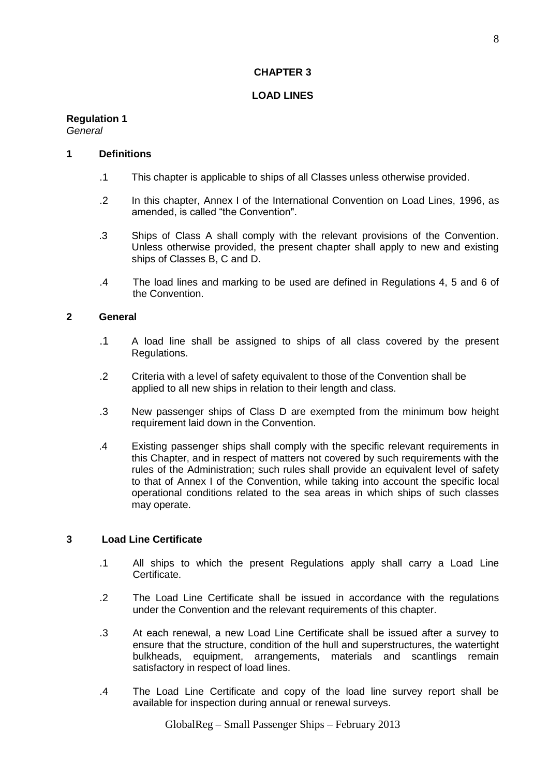## **CHAPTER 3**

## **LOAD LINES**

#### **Regulation 1** *General*

## **1 Definitions**

- .1 This chapter is applicable to ships of all Classes unless otherwise provided.
- .2 In this chapter, Annex I of the International Convention on Load Lines, 1996, as amended, is called "the Convention".
- .3 Ships of Class A shall comply with the relevant provisions of the Convention. Unless otherwise provided, the present chapter shall apply to new and existing ships of Classes B, C and D.
- .4 The load lines and marking to be used are defined in Regulations 4, 5 and 6 of the Convention.

## **2 General**

- .1 A load line shall be assigned to ships of all class covered by the present Regulations.
- .2 Criteria with a level of safety equivalent to those of the Convention shall be applied to all new ships in relation to their length and class.
- .3 New passenger ships of Class D are exempted from the minimum bow height requirement laid down in the Convention.
- .4 Existing passenger ships shall comply with the specific relevant requirements in this Chapter, and in respect of matters not covered by such requirements with the rules of the Administration; such rules shall provide an equivalent level of safety to that of Annex I of the Convention, while taking into account the specific local operational conditions related to the sea areas in which ships of such classes may operate.

## **3 Load Line Certificate**

- .1 All ships to which the present Regulations apply shall carry a Load Line Certificate.
- .2 The Load Line Certificate shall be issued in accordance with the regulations under the Convention and the relevant requirements of this chapter.
- .3 At each renewal, a new Load Line Certificate shall be issued after a survey to ensure that the structure, condition of the hull and superstructures, the watertight bulkheads, equipment, arrangements, materials and scantlings remain satisfactory in respect of load lines.
- .4 The Load Line Certificate and copy of the load line survey report shall be available for inspection during annual or renewal surveys.

GlobalReg – Small Passenger Ships – February 2013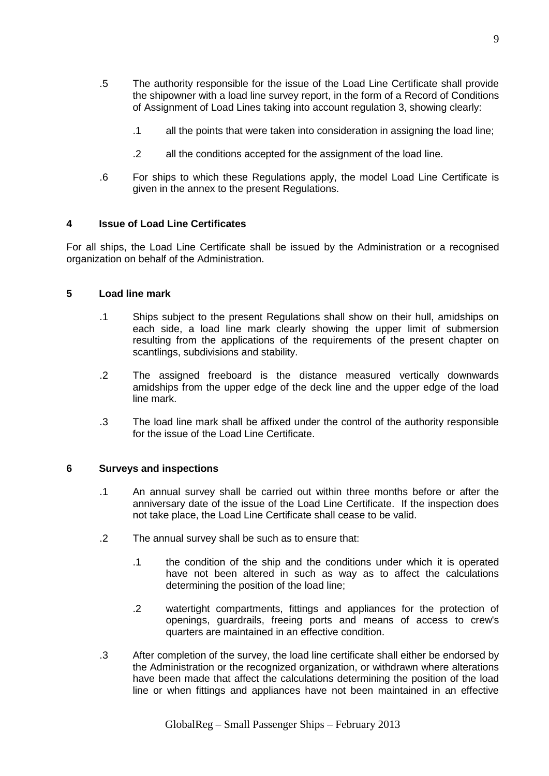- .5 The authority responsible for the issue of the Load Line Certificate shall provide the shipowner with a load line survey report, in the form of a Record of Conditions of Assignment of Load Lines taking into account regulation 3, showing clearly:
	- .1 all the points that were taken into consideration in assigning the load line;
	- .2 all the conditions accepted for the assignment of the load line.
- .6 For ships to which these Regulations apply, the model Load Line Certificate is given in the annex to the present Regulations.

#### **4 Issue of Load Line Certificates**

For all ships, the Load Line Certificate shall be issued by the Administration or a recognised organization on behalf of the Administration.

#### **5 Load line mark**

- .1 Ships subject to the present Regulations shall show on their hull, amidships on each side, a load line mark clearly showing the upper limit of submersion resulting from the applications of the requirements of the present chapter on scantlings, subdivisions and stability.
- .2 The assigned freeboard is the distance measured vertically downwards amidships from the upper edge of the deck line and the upper edge of the load line mark.
- .3 The load line mark shall be affixed under the control of the authority responsible for the issue of the Load Line Certificate.

#### **6 Surveys and inspections**

- .1 An annual survey shall be carried out within three months before or after the anniversary date of the issue of the Load Line Certificate. If the inspection does not take place, the Load Line Certificate shall cease to be valid.
- .2 The annual survey shall be such as to ensure that:
	- .1 the condition of the ship and the conditions under which it is operated have not been altered in such as way as to affect the calculations determining the position of the load line;
	- .2 watertight compartments, fittings and appliances for the protection of openings, guardrails, freeing ports and means of access to crew's quarters are maintained in an effective condition.
- .3 After completion of the survey, the load line certificate shall either be endorsed by the Administration or the recognized organization, or withdrawn where alterations have been made that affect the calculations determining the position of the load line or when fittings and appliances have not been maintained in an effective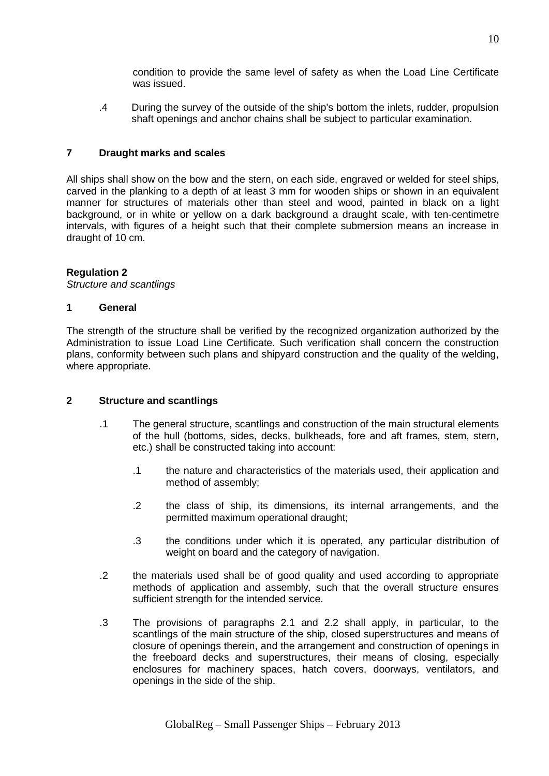condition to provide the same level of safety as when the Load Line Certificate was issued.

.4 During the survey of the outside of the ship's bottom the inlets, rudder, propulsion shaft openings and anchor chains shall be subject to particular examination.

## **7 Draught marks and scales**

All ships shall show on the bow and the stern, on each side, engraved or welded for steel ships, carved in the planking to a depth of at least 3 mm for wooden ships or shown in an equivalent manner for structures of materials other than steel and wood, painted in black on a light background, or in white or yellow on a dark background a draught scale, with ten-centimetre intervals, with figures of a height such that their complete submersion means an increase in draught of 10 cm.

#### **Regulation 2**

*Structure and scantlings*

#### **1 General**

The strength of the structure shall be verified by the recognized organization authorized by the Administration to issue Load Line Certificate. Such verification shall concern the construction plans, conformity between such plans and shipyard construction and the quality of the welding, where appropriate.

#### **2 Structure and scantlings**

- .1 The general structure, scantlings and construction of the main structural elements of the hull (bottoms, sides, decks, bulkheads, fore and aft frames, stem, stern, etc.) shall be constructed taking into account:
	- .1 the nature and characteristics of the materials used, their application and method of assembly;
	- .2 the class of ship, its dimensions, its internal arrangements, and the permitted maximum operational draught;
	- .3 the conditions under which it is operated, any particular distribution of weight on board and the category of navigation.
- .2 the materials used shall be of good quality and used according to appropriate methods of application and assembly, such that the overall structure ensures sufficient strength for the intended service.
- .3 The provisions of paragraphs 2.1 and 2.2 shall apply, in particular, to the scantlings of the main structure of the ship, closed superstructures and means of closure of openings therein, and the arrangement and construction of openings in the freeboard decks and superstructures, their means of closing, especially enclosures for machinery spaces, hatch covers, doorways, ventilators, and openings in the side of the ship.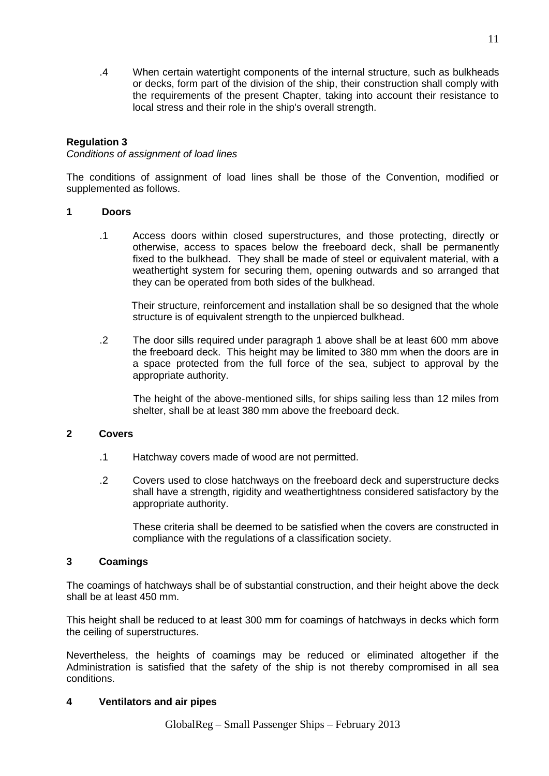.4 When certain watertight components of the internal structure, such as bulkheads or decks, form part of the division of the ship, their construction shall comply with the requirements of the present Chapter, taking into account their resistance to local stress and their role in the ship's overall strength.

## **Regulation 3**

## *Conditions of assignment of load lines*

The conditions of assignment of load lines shall be those of the Convention, modified or supplemented as follows.

#### **1 Doors**

.1 Access doors within closed superstructures, and those protecting, directly or otherwise, access to spaces below the freeboard deck, shall be permanently fixed to the bulkhead. They shall be made of steel or equivalent material, with a weathertight system for securing them, opening outwards and so arranged that they can be operated from both sides of the bulkhead.

Their structure, reinforcement and installation shall be so designed that the whole structure is of equivalent strength to the unpierced bulkhead.

.2 The door sills required under paragraph 1 above shall be at least 600 mm above the freeboard deck. This height may be limited to 380 mm when the doors are in a space protected from the full force of the sea, subject to approval by the appropriate authority.

The height of the above-mentioned sills, for ships sailing less than 12 miles from shelter, shall be at least 380 mm above the freeboard deck.

## **2 Covers**

- .1 Hatchway covers made of wood are not permitted.
- .2 Covers used to close hatchways on the freeboard deck and superstructure decks shall have a strength, rigidity and weathertightness considered satisfactory by the appropriate authority.

These criteria shall be deemed to be satisfied when the covers are constructed in compliance with the regulations of a classification society.

#### **3 Coamings**

The coamings of hatchways shall be of substantial construction, and their height above the deck shall be at least 450 mm.

This height shall be reduced to at least 300 mm for coamings of hatchways in decks which form the ceiling of superstructures.

Nevertheless, the heights of coamings may be reduced or eliminated altogether if the Administration is satisfied that the safety of the ship is not thereby compromised in all sea conditions.

## **4 Ventilators and air pipes**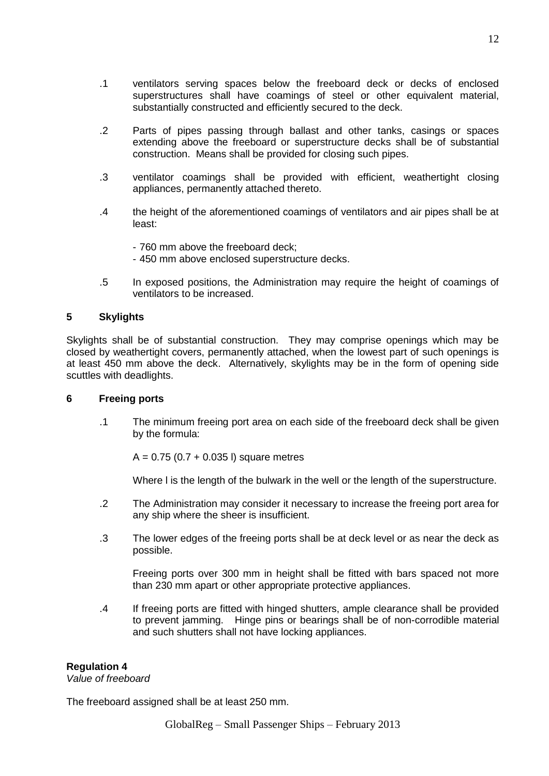- .1 ventilators serving spaces below the freeboard deck or decks of enclosed superstructures shall have coamings of steel or other equivalent material, substantially constructed and efficiently secured to the deck.
- .2 Parts of pipes passing through ballast and other tanks, casings or spaces extending above the freeboard or superstructure decks shall be of substantial construction. Means shall be provided for closing such pipes.
- .3 ventilator coamings shall be provided with efficient, weathertight closing appliances, permanently attached thereto.
- .4 the height of the aforementioned coamings of ventilators and air pipes shall be at least:
	- 760 mm above the freeboard deck;
	- 450 mm above enclosed superstructure decks.
- .5 In exposed positions, the Administration may require the height of coamings of ventilators to be increased.

#### **5 Skylights**

Skylights shall be of substantial construction. They may comprise openings which may be closed by weathertight covers, permanently attached, when the lowest part of such openings is at least 450 mm above the deck. Alternatively, skylights may be in the form of opening side scuttles with deadlights.

#### **6 Freeing ports**

.1 The minimum freeing port area on each side of the freeboard deck shall be given by the formula:

 $A = 0.75$  (0.7 + 0.035 l) square metres

Where l is the length of the bulwark in the well or the length of the superstructure.

- .2 The Administration may consider it necessary to increase the freeing port area for any ship where the sheer is insufficient.
- .3 The lower edges of the freeing ports shall be at deck level or as near the deck as possible.

Freeing ports over 300 mm in height shall be fitted with bars spaced not more than 230 mm apart or other appropriate protective appliances.

.4 If freeing ports are fitted with hinged shutters, ample clearance shall be provided to prevent jamming. Hinge pins or bearings shall be of non-corrodible material and such shutters shall not have locking appliances.

#### **Regulation 4**

*Value of freeboard*

The freeboard assigned shall be at least 250 mm.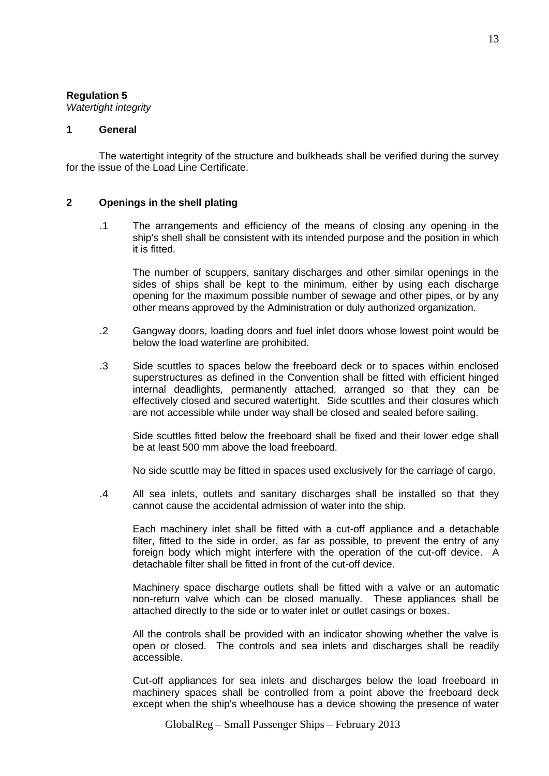## **Regulation 5**

*Watertight integrity*

#### **1 General**

The watertight integrity of the structure and bulkheads shall be verified during the survey for the issue of the Load Line Certificate.

#### **2 Openings in the shell plating**

.1 The arrangements and efficiency of the means of closing any opening in the ship's shell shall be consistent with its intended purpose and the position in which it is fitted.

The number of scuppers, sanitary discharges and other similar openings in the sides of ships shall be kept to the minimum, either by using each discharge opening for the maximum possible number of sewage and other pipes, or by any other means approved by the Administration or duly authorized organization.

- .2 Gangway doors, loading doors and fuel inlet doors whose lowest point would be below the load waterline are prohibited.
- .3 Side scuttles to spaces below the freeboard deck or to spaces within enclosed superstructures as defined in the Convention shall be fitted with efficient hinged internal deadlights, permanently attached, arranged so that they can be effectively closed and secured watertight. Side scuttles and their closures which are not accessible while under way shall be closed and sealed before sailing.

Side scuttles fitted below the freeboard shall be fixed and their lower edge shall be at least 500 mm above the load freeboard.

No side scuttle may be fitted in spaces used exclusively for the carriage of cargo.

.4 All sea inlets, outlets and sanitary discharges shall be installed so that they cannot cause the accidental admission of water into the ship.

Each machinery inlet shall be fitted with a cut-off appliance and a detachable filter, fitted to the side in order, as far as possible, to prevent the entry of any foreign body which might interfere with the operation of the cut-off device. A detachable filter shall be fitted in front of the cut-off device.

Machinery space discharge outlets shall be fitted with a valve or an automatic non-return valve which can be closed manually. These appliances shall be attached directly to the side or to water inlet or outlet casings or boxes.

All the controls shall be provided with an indicator showing whether the valve is open or closed. The controls and sea inlets and discharges shall be readily accessible.

Cut-off appliances for sea inlets and discharges below the load freeboard in machinery spaces shall be controlled from a point above the freeboard deck except when the ship's wheelhouse has a device showing the presence of water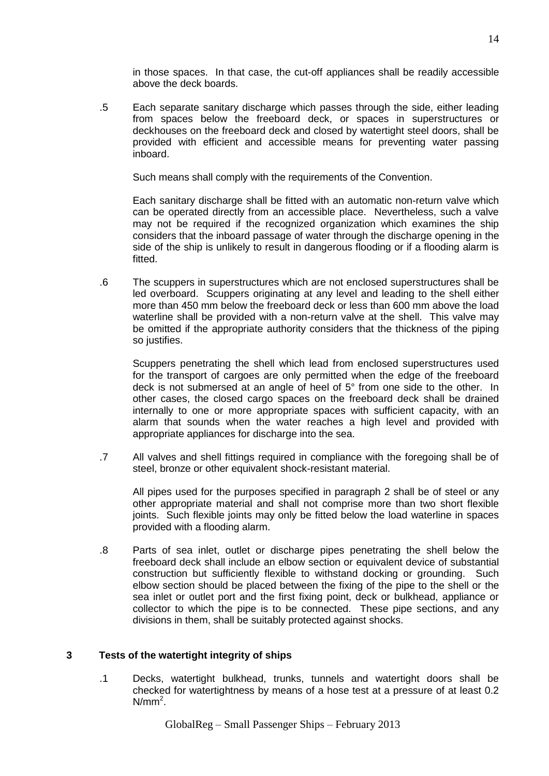in those spaces. In that case, the cut-off appliances shall be readily accessible above the deck boards.

.5 Each separate sanitary discharge which passes through the side, either leading from spaces below the freeboard deck, or spaces in superstructures or deckhouses on the freeboard deck and closed by watertight steel doors, shall be provided with efficient and accessible means for preventing water passing inboard.

Such means shall comply with the requirements of the Convention.

Each sanitary discharge shall be fitted with an automatic non-return valve which can be operated directly from an accessible place. Nevertheless, such a valve may not be required if the recognized organization which examines the ship considers that the inboard passage of water through the discharge opening in the side of the ship is unlikely to result in dangerous flooding or if a flooding alarm is fitted.

.6 The scuppers in superstructures which are not enclosed superstructures shall be led overboard. Scuppers originating at any level and leading to the shell either more than 450 mm below the freeboard deck or less than 600 mm above the load waterline shall be provided with a non-return valve at the shell. This valve may be omitted if the appropriate authority considers that the thickness of the piping so justifies.

Scuppers penetrating the shell which lead from enclosed superstructures used for the transport of cargoes are only permitted when the edge of the freeboard deck is not submersed at an angle of heel of 5° from one side to the other. In other cases, the closed cargo spaces on the freeboard deck shall be drained internally to one or more appropriate spaces with sufficient capacity, with an alarm that sounds when the water reaches a high level and provided with appropriate appliances for discharge into the sea.

.7 All valves and shell fittings required in compliance with the foregoing shall be of steel, bronze or other equivalent shock-resistant material.

All pipes used for the purposes specified in paragraph 2 shall be of steel or any other appropriate material and shall not comprise more than two short flexible joints. Such flexible joints may only be fitted below the load waterline in spaces provided with a flooding alarm.

.8 Parts of sea inlet, outlet or discharge pipes penetrating the shell below the freeboard deck shall include an elbow section or equivalent device of substantial construction but sufficiently flexible to withstand docking or grounding. Such elbow section should be placed between the fixing of the pipe to the shell or the sea inlet or outlet port and the first fixing point, deck or bulkhead, appliance or collector to which the pipe is to be connected. These pipe sections, and any divisions in them, shall be suitably protected against shocks.

## **3 Tests of the watertight integrity of ships**

.1 Decks, watertight bulkhead, trunks, tunnels and watertight doors shall be checked for watertightness by means of a hose test at a pressure of at least 0.2  $N/mm<sup>2</sup>$ .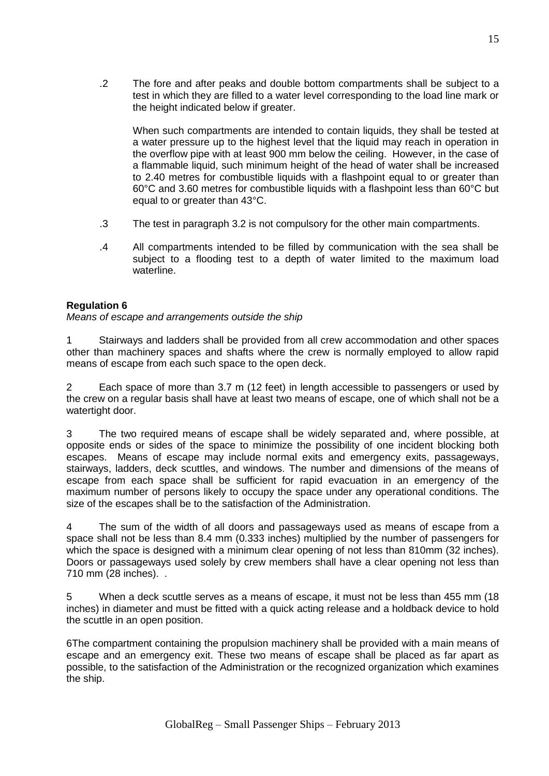When such compartments are intended to contain liquids, they shall be tested at a water pressure up to the highest level that the liquid may reach in operation in the overflow pipe with at least 900 mm below the ceiling. However, in the case of a flammable liquid, such minimum height of the head of water shall be increased to 2.40 metres for combustible liquids with a flashpoint equal to or greater than 60°C and 3.60 metres for combustible liquids with a flashpoint less than 60°C but equal to or greater than 43°C.

- .3 The test in paragraph 3.2 is not compulsory for the other main compartments.
- .4 All compartments intended to be filled by communication with the sea shall be subject to a flooding test to a depth of water limited to the maximum load waterline.

## **Regulation 6**

*Means of escape and arrangements outside the ship*

1 Stairways and ladders shall be provided from all crew accommodation and other spaces other than machinery spaces and shafts where the crew is normally employed to allow rapid means of escape from each such space to the open deck.

2 Each space of more than 3.7 m (12 feet) in length accessible to passengers or used by the crew on a regular basis shall have at least two means of escape, one of which shall not be a watertight door.

3 The two required means of escape shall be widely separated and, where possible, at opposite ends or sides of the space to minimize the possibility of one incident blocking both escapes. Means of escape may include normal exits and emergency exits, passageways, stairways, ladders, deck scuttles, and windows. The number and dimensions of the means of escape from each space shall be sufficient for rapid evacuation in an emergency of the maximum number of persons likely to occupy the space under any operational conditions. The size of the escapes shall be to the satisfaction of the Administration.

4 The sum of the width of all doors and passageways used as means of escape from a space shall not be less than 8.4 mm (0.333 inches) multiplied by the number of passengers for which the space is designed with a minimum clear opening of not less than 810mm (32 inches). Doors or passageways used solely by crew members shall have a clear opening not less than 710 mm (28 inches). .

5 When a deck scuttle serves as a means of escape, it must not be less than 455 mm (18 inches) in diameter and must be fitted with a quick acting release and a holdback device to hold the scuttle in an open position.

6The compartment containing the propulsion machinery shall be provided with a main means of escape and an emergency exit. These two means of escape shall be placed as far apart as possible, to the satisfaction of the Administration or the recognized organization which examines the ship.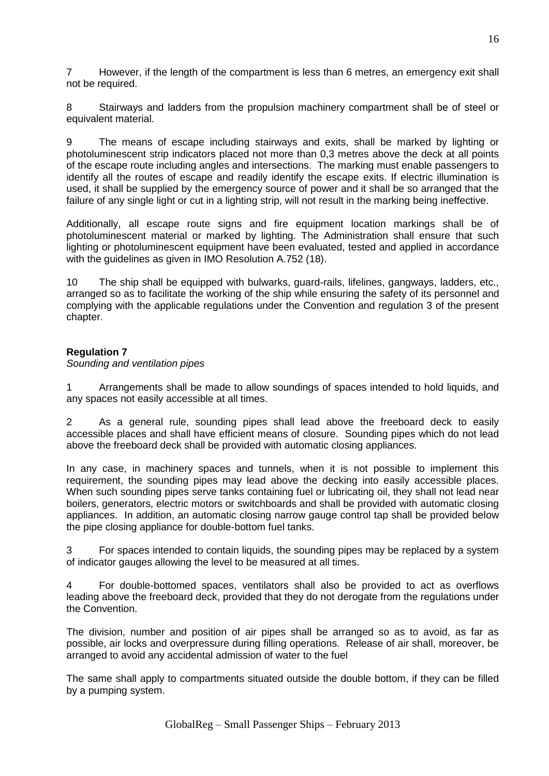7 However, if the length of the compartment is less than 6 metres, an emergency exit shall not be required.

8 Stairways and ladders from the propulsion machinery compartment shall be of steel or equivalent material.

9 The means of escape including stairways and exits, shall be marked by lighting or photoluminescent strip indicators placed not more than 0,3 metres above the deck at all points of the escape route including angles and intersections. The marking must enable passengers to identify all the routes of escape and readily identify the escape exits. If electric illumination is used, it shall be supplied by the emergency source of power and it shall be so arranged that the failure of any single light or cut in a lighting strip, will not result in the marking being ineffective.

Additionally, all escape route signs and fire equipment location markings shall be of photoluminescent material or marked by lighting. The Administration shall ensure that such lighting or photoluminescent equipment have been evaluated, tested and applied in accordance with the guidelines as given in IMO Resolution A.752 (18).

10 The ship shall be equipped with bulwarks, guard-rails, lifelines, gangways, ladders, etc., arranged so as to facilitate the working of the ship while ensuring the safety of its personnel and complying with the applicable regulations under the Convention and regulation 3 of the present chapter.

## **Regulation 7**

*Sounding and ventilation pipes* 

1 Arrangements shall be made to allow soundings of spaces intended to hold liquids, and any spaces not easily accessible at all times.

2 As a general rule, sounding pipes shall lead above the freeboard deck to easily accessible places and shall have efficient means of closure. Sounding pipes which do not lead above the freeboard deck shall be provided with automatic closing appliances.

In any case, in machinery spaces and tunnels, when it is not possible to implement this requirement, the sounding pipes may lead above the decking into easily accessible places. When such sounding pipes serve tanks containing fuel or lubricating oil, they shall not lead near boilers, generators, electric motors or switchboards and shall be provided with automatic closing appliances. In addition, an automatic closing narrow gauge control tap shall be provided below the pipe closing appliance for double-bottom fuel tanks.

3 For spaces intended to contain liquids, the sounding pipes may be replaced by a system of indicator gauges allowing the level to be measured at all times.

4 For double-bottomed spaces, ventilators shall also be provided to act as overflows leading above the freeboard deck, provided that they do not derogate from the regulations under the Convention.

The division, number and position of air pipes shall be arranged so as to avoid, as far as possible, air locks and overpressure during filling operations. Release of air shall, moreover, be arranged to avoid any accidental admission of water to the fuel

The same shall apply to compartments situated outside the double bottom, if they can be filled by a pumping system.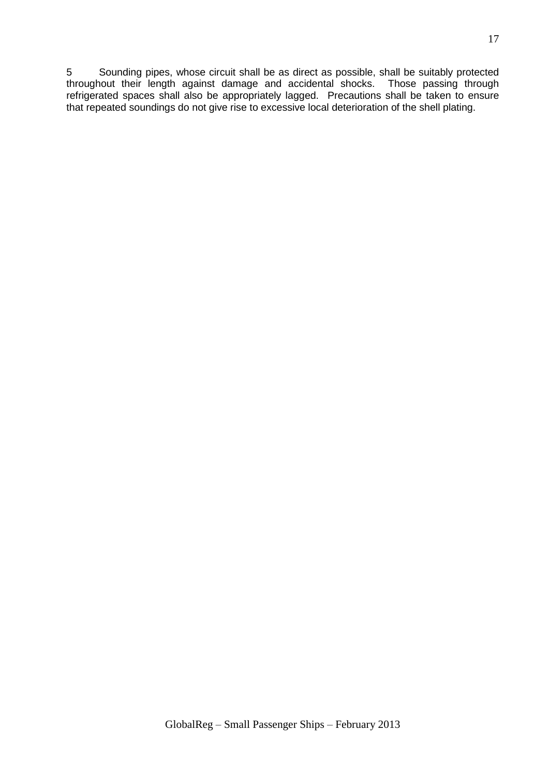5 Sounding pipes, whose circuit shall be as direct as possible, shall be suitably protected throughout their length against damage and accidental shocks. Those passing through refrigerated spaces shall also be appropriately lagged. Precautions shall be taken to ensure that repeated soundings do not give rise to excessive local deterioration of the shell plating.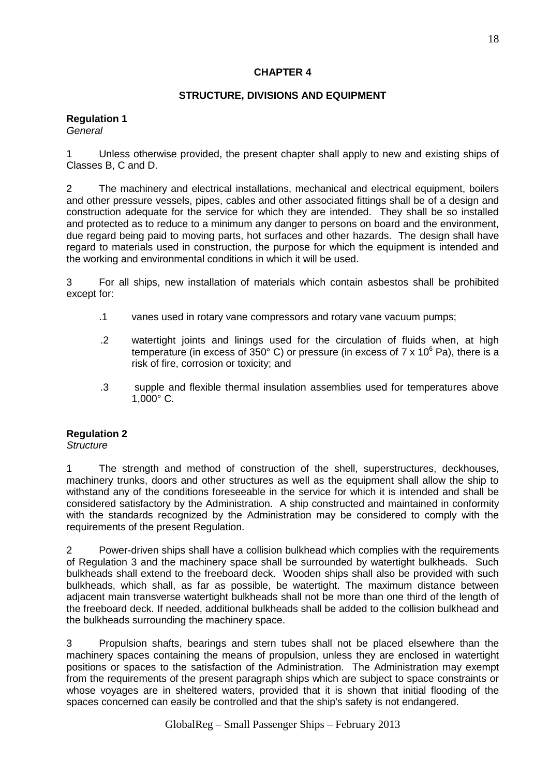## **CHAPTER 4**

## **STRUCTURE, DIVISIONS AND EQUIPMENT**

#### **Regulation 1** *General*

1 Unless otherwise provided, the present chapter shall apply to new and existing ships of Classes B, C and D.

2 The machinery and electrical installations, mechanical and electrical equipment, boilers and other pressure vessels, pipes, cables and other associated fittings shall be of a design and construction adequate for the service for which they are intended. They shall be so installed and protected as to reduce to a minimum any danger to persons on board and the environment, due regard being paid to moving parts, hot surfaces and other hazards. The design shall have regard to materials used in construction, the purpose for which the equipment is intended and the working and environmental conditions in which it will be used.

3 For all ships, new installation of materials which contain asbestos shall be prohibited except for:

- .1 vanes used in rotary vane compressors and rotary vane vacuum pumps;
- .2 watertight joints and linings used for the circulation of fluids when, at high temperature (in excess of 350 $^{\circ}$  C) or pressure (in excess of 7 x 10 $^{\circ}$  Pa), there is a risk of fire, corrosion or toxicity; and
- .3 supple and flexible thermal insulation assemblies used for temperatures above 1,000° C.

## **Regulation 2**

*Structure*

1 The strength and method of construction of the shell, superstructures, deckhouses, machinery trunks, doors and other structures as well as the equipment shall allow the ship to withstand any of the conditions foreseeable in the service for which it is intended and shall be considered satisfactory by the Administration. A ship constructed and maintained in conformity with the standards recognized by the Administration may be considered to comply with the requirements of the present Regulation.

2 Power-driven ships shall have a collision bulkhead which complies with the requirements of Regulation 3 and the machinery space shall be surrounded by watertight bulkheads. Such bulkheads shall extend to the freeboard deck. Wooden ships shall also be provided with such bulkheads, which shall, as far as possible, be watertight. The maximum distance between adjacent main transverse watertight bulkheads shall not be more than one third of the length of the freeboard deck. If needed, additional bulkheads shall be added to the collision bulkhead and the bulkheads surrounding the machinery space.

3 Propulsion shafts, bearings and stern tubes shall not be placed elsewhere than the machinery spaces containing the means of propulsion, unless they are enclosed in watertight positions or spaces to the satisfaction of the Administration. The Administration may exempt from the requirements of the present paragraph ships which are subject to space constraints or whose voyages are in sheltered waters, provided that it is shown that initial flooding of the spaces concerned can easily be controlled and that the ship's safety is not endangered.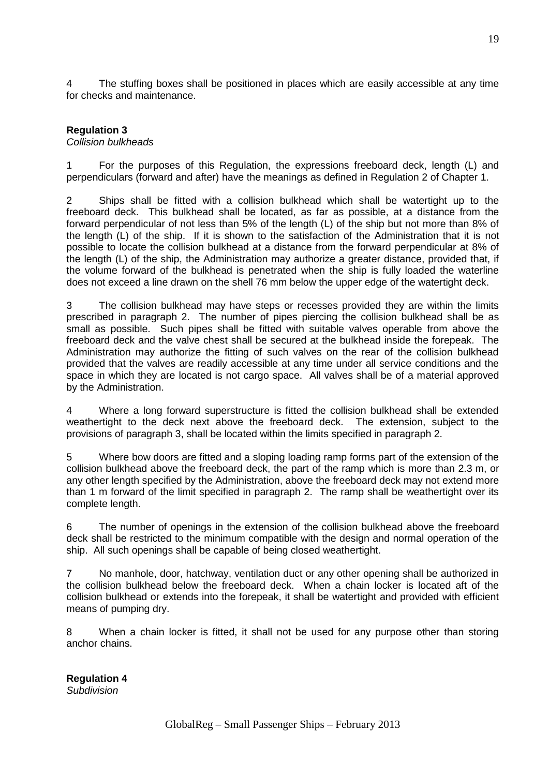4 The stuffing boxes shall be positioned in places which are easily accessible at any time for checks and maintenance.

## **Regulation 3**

#### *Collision bulkheads*

1 For the purposes of this Regulation, the expressions freeboard deck, length (L) and perpendiculars (forward and after) have the meanings as defined in Regulation 2 of Chapter 1.

2 Ships shall be fitted with a collision bulkhead which shall be watertight up to the freeboard deck. This bulkhead shall be located, as far as possible, at a distance from the forward perpendicular of not less than 5% of the length (L) of the ship but not more than 8% of the length (L) of the ship. If it is shown to the satisfaction of the Administration that it is not possible to locate the collision bulkhead at a distance from the forward perpendicular at 8% of the length (L) of the ship, the Administration may authorize a greater distance, provided that, if the volume forward of the bulkhead is penetrated when the ship is fully loaded the waterline does not exceed a line drawn on the shell 76 mm below the upper edge of the watertight deck.

3 The collision bulkhead may have steps or recesses provided they are within the limits prescribed in paragraph 2. The number of pipes piercing the collision bulkhead shall be as small as possible. Such pipes shall be fitted with suitable valves operable from above the freeboard deck and the valve chest shall be secured at the bulkhead inside the forepeak. The Administration may authorize the fitting of such valves on the rear of the collision bulkhead provided that the valves are readily accessible at any time under all service conditions and the space in which they are located is not cargo space. All valves shall be of a material approved by the Administration.

4 Where a long forward superstructure is fitted the collision bulkhead shall be extended weathertight to the deck next above the freeboard deck. The extension, subject to the provisions of paragraph 3, shall be located within the limits specified in paragraph 2.

5 Where bow doors are fitted and a sloping loading ramp forms part of the extension of the collision bulkhead above the freeboard deck, the part of the ramp which is more than 2.3 m, or any other length specified by the Administration, above the freeboard deck may not extend more than 1 m forward of the limit specified in paragraph 2. The ramp shall be weathertight over its complete length.

6 The number of openings in the extension of the collision bulkhead above the freeboard deck shall be restricted to the minimum compatible with the design and normal operation of the ship. All such openings shall be capable of being closed weathertight.

7 No manhole, door, hatchway, ventilation duct or any other opening shall be authorized in the collision bulkhead below the freeboard deck. When a chain locker is located aft of the collision bulkhead or extends into the forepeak, it shall be watertight and provided with efficient means of pumping dry.

8 When a chain locker is fitted, it shall not be used for any purpose other than storing anchor chains.

**Regulation 4** *Subdivision*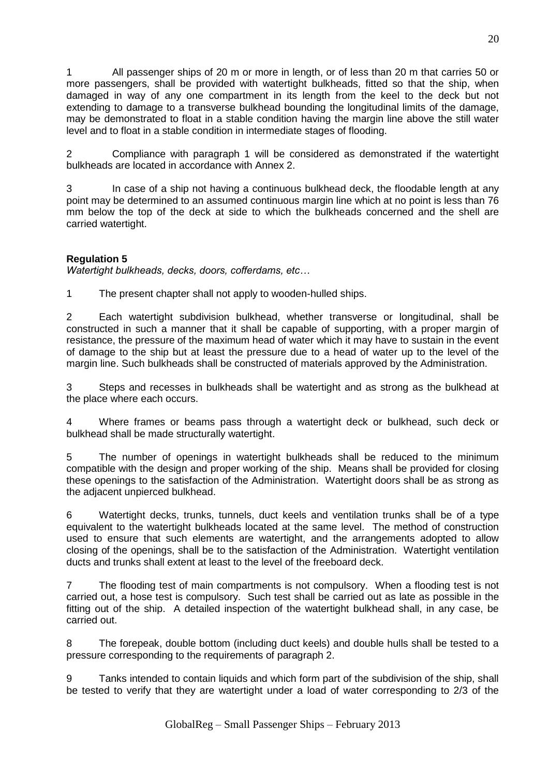1 All passenger ships of 20 m or more in length, or of less than 20 m that carries 50 or more passengers, shall be provided with watertight bulkheads, fitted so that the ship, when damaged in way of any one compartment in its length from the keel to the deck but not extending to damage to a transverse bulkhead bounding the longitudinal limits of the damage, may be demonstrated to float in a stable condition having the margin line above the still water level and to float in a stable condition in intermediate stages of flooding.

2 Compliance with paragraph 1 will be considered as demonstrated if the watertight bulkheads are located in accordance with Annex 2.

3 In case of a ship not having a continuous bulkhead deck, the floodable length at any point may be determined to an assumed continuous margin line which at no point is less than 76 mm below the top of the deck at side to which the bulkheads concerned and the shell are carried watertight.

## **Regulation 5**

*Watertight bulkheads, decks, doors, cofferdams, etc…*

1 The present chapter shall not apply to wooden-hulled ships.

2 Each watertight subdivision bulkhead, whether transverse or longitudinal, shall be constructed in such a manner that it shall be capable of supporting, with a proper margin of resistance, the pressure of the maximum head of water which it may have to sustain in the event of damage to the ship but at least the pressure due to a head of water up to the level of the margin line. Such bulkheads shall be constructed of materials approved by the Administration.

3 Steps and recesses in bulkheads shall be watertight and as strong as the bulkhead at the place where each occurs.

4 Where frames or beams pass through a watertight deck or bulkhead, such deck or bulkhead shall be made structurally watertight.

5 The number of openings in watertight bulkheads shall be reduced to the minimum compatible with the design and proper working of the ship. Means shall be provided for closing these openings to the satisfaction of the Administration. Watertight doors shall be as strong as the adjacent unpierced bulkhead.

6 Watertight decks, trunks, tunnels, duct keels and ventilation trunks shall be of a type equivalent to the watertight bulkheads located at the same level. The method of construction used to ensure that such elements are watertight, and the arrangements adopted to allow closing of the openings, shall be to the satisfaction of the Administration. Watertight ventilation ducts and trunks shall extent at least to the level of the freeboard deck.

7 The flooding test of main compartments is not compulsory. When a flooding test is not carried out, a hose test is compulsory. Such test shall be carried out as late as possible in the fitting out of the ship. A detailed inspection of the watertight bulkhead shall, in any case, be carried out.

8 The forepeak, double bottom (including duct keels) and double hulls shall be tested to a pressure corresponding to the requirements of paragraph 2.

9 Tanks intended to contain liquids and which form part of the subdivision of the ship, shall be tested to verify that they are watertight under a load of water corresponding to 2/3 of the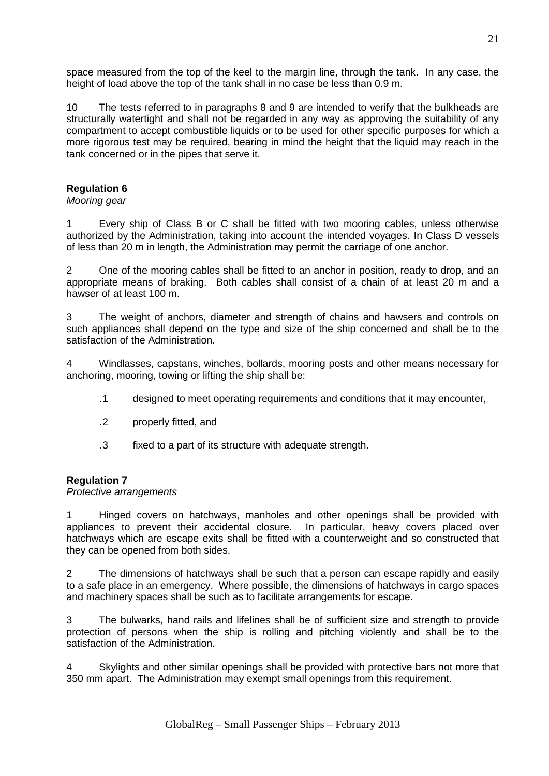space measured from the top of the keel to the margin line, through the tank. In any case, the height of load above the top of the tank shall in no case be less than 0.9 m.

10 The tests referred to in paragraphs 8 and 9 are intended to verify that the bulkheads are structurally watertight and shall not be regarded in any way as approving the suitability of any compartment to accept combustible liquids or to be used for other specific purposes for which a more rigorous test may be required, bearing in mind the height that the liquid may reach in the tank concerned or in the pipes that serve it.

## **Regulation 6**

## *Mooring gear*

1 Every ship of Class B or C shall be fitted with two mooring cables, unless otherwise authorized by the Administration, taking into account the intended voyages. In Class D vessels of less than 20 m in length, the Administration may permit the carriage of one anchor.

2 One of the mooring cables shall be fitted to an anchor in position, ready to drop, and an appropriate means of braking. Both cables shall consist of a chain of at least 20 m and a hawser of at least 100 m.

3 The weight of anchors, diameter and strength of chains and hawsers and controls on such appliances shall depend on the type and size of the ship concerned and shall be to the satisfaction of the Administration.

4 Windlasses, capstans, winches, bollards, mooring posts and other means necessary for anchoring, mooring, towing or lifting the ship shall be:

- .1 designed to meet operating requirements and conditions that it may encounter,
- .2 properly fitted, and
- .3 fixed to a part of its structure with adequate strength.

## **Regulation 7**

#### *Protective arrangements*

1 Hinged covers on hatchways, manholes and other openings shall be provided with appliances to prevent their accidental closure. In particular, heavy covers placed over hatchways which are escape exits shall be fitted with a counterweight and so constructed that they can be opened from both sides.

2 The dimensions of hatchways shall be such that a person can escape rapidly and easily to a safe place in an emergency. Where possible, the dimensions of hatchways in cargo spaces and machinery spaces shall be such as to facilitate arrangements for escape.

3 The bulwarks, hand rails and lifelines shall be of sufficient size and strength to provide protection of persons when the ship is rolling and pitching violently and shall be to the satisfaction of the Administration.

4 Skylights and other similar openings shall be provided with protective bars not more that 350 mm apart. The Administration may exempt small openings from this requirement.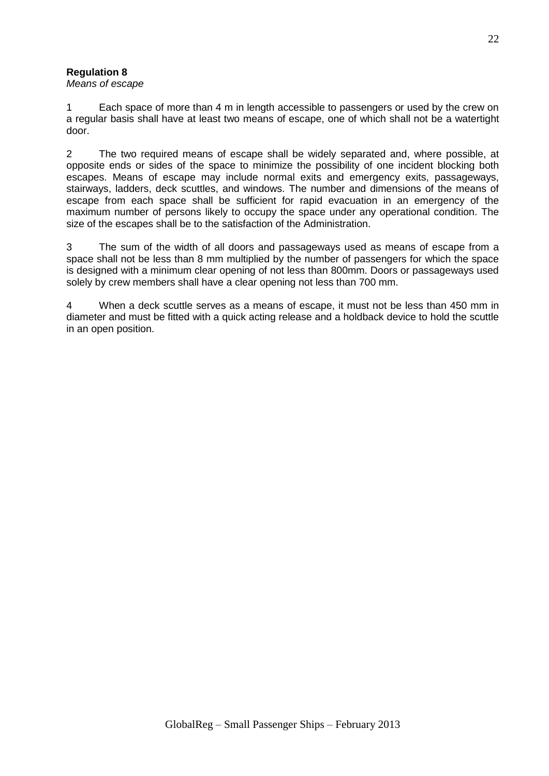## **Regulation 8**

## *Means of escape*

1 Each space of more than 4 m in length accessible to passengers or used by the crew on a regular basis shall have at least two means of escape, one of which shall not be a watertight door.

2 The two required means of escape shall be widely separated and, where possible, at opposite ends or sides of the space to minimize the possibility of one incident blocking both escapes. Means of escape may include normal exits and emergency exits, passageways, stairways, ladders, deck scuttles, and windows. The number and dimensions of the means of escape from each space shall be sufficient for rapid evacuation in an emergency of the maximum number of persons likely to occupy the space under any operational condition. The size of the escapes shall be to the satisfaction of the Administration.

3 The sum of the width of all doors and passageways used as means of escape from a space shall not be less than 8 mm multiplied by the number of passengers for which the space is designed with a minimum clear opening of not less than 800mm. Doors or passageways used solely by crew members shall have a clear opening not less than 700 mm.

4 When a deck scuttle serves as a means of escape, it must not be less than 450 mm in diameter and must be fitted with a quick acting release and a holdback device to hold the scuttle in an open position.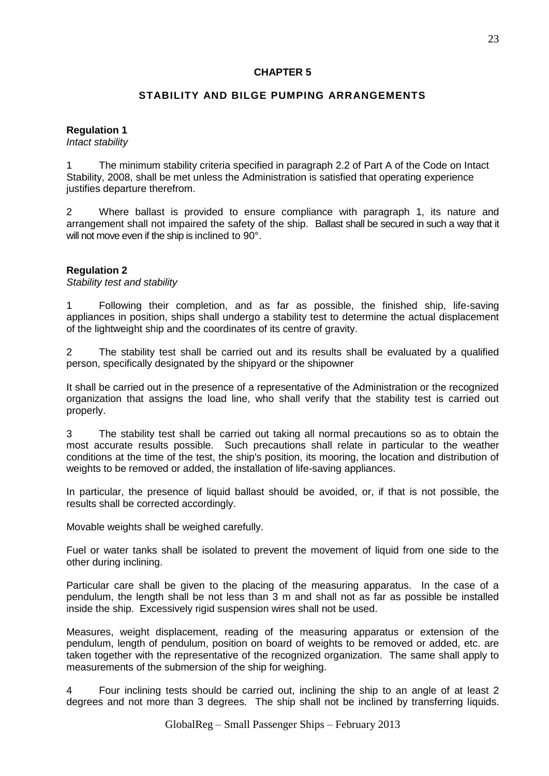## **CHAPTER 5**

## **STABILITY AND BILGE PUMPING ARRANGEMENTS**

## **Regulation 1**

*Intact stability*

1 The minimum stability criteria specified in paragraph 2.2 of Part A of the Code on Intact Stability, 2008, shall be met unless the Administration is satisfied that operating experience justifies departure therefrom.

2 Where ballast is provided to ensure compliance with paragraph 1, its nature and arrangement shall not impaired the safety of the ship. Ballast shall be secured in such a way that it will not move even if the ship is inclined to 90°.

## **Regulation 2**

*Stability test and stability*

1 Following their completion, and as far as possible, the finished ship, life-saving appliances in position, ships shall undergo a stability test to determine the actual displacement of the lightweight ship and the coordinates of its centre of gravity.

2 The stability test shall be carried out and its results shall be evaluated by a qualified person, specifically designated by the shipyard or the shipowner

It shall be carried out in the presence of a representative of the Administration or the recognized organization that assigns the load line, who shall verify that the stability test is carried out properly.

3 The stability test shall be carried out taking all normal precautions so as to obtain the most accurate results possible. Such precautions shall relate in particular to the weather conditions at the time of the test, the ship's position, its mooring, the location and distribution of weights to be removed or added, the installation of life-saving appliances.

In particular, the presence of liquid ballast should be avoided, or, if that is not possible, the results shall be corrected accordingly.

Movable weights shall be weighed carefully.

Fuel or water tanks shall be isolated to prevent the movement of liquid from one side to the other during inclining.

Particular care shall be given to the placing of the measuring apparatus. In the case of a pendulum, the length shall be not less than 3 m and shall not as far as possible be installed inside the ship. Excessively rigid suspension wires shall not be used.

Measures, weight displacement, reading of the measuring apparatus or extension of the pendulum, length of pendulum, position on board of weights to be removed or added, etc. are taken together with the representative of the recognized organization. The same shall apply to measurements of the submersion of the ship for weighing.

4 Four inclining tests should be carried out, inclining the ship to an angle of at least 2 degrees and not more than 3 degrees. The ship shall not be inclined by transferring liquids.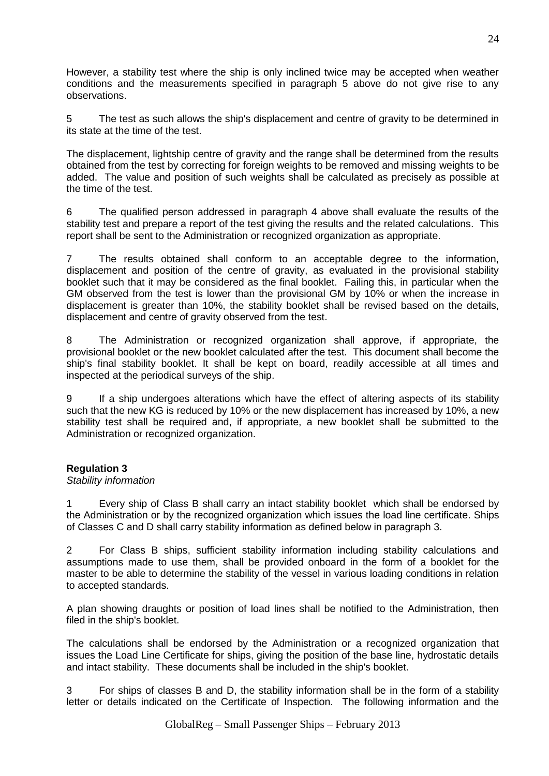However, a stability test where the ship is only inclined twice may be accepted when weather conditions and the measurements specified in paragraph 5 above do not give rise to any observations.

5 The test as such allows the ship's displacement and centre of gravity to be determined in its state at the time of the test.

The displacement, lightship centre of gravity and the range shall be determined from the results obtained from the test by correcting for foreign weights to be removed and missing weights to be added. The value and position of such weights shall be calculated as precisely as possible at the time of the test.

6 The qualified person addressed in paragraph 4 above shall evaluate the results of the stability test and prepare a report of the test giving the results and the related calculations. This report shall be sent to the Administration or recognized organization as appropriate.

7 The results obtained shall conform to an acceptable degree to the information, displacement and position of the centre of gravity, as evaluated in the provisional stability booklet such that it may be considered as the final booklet. Failing this, in particular when the GM observed from the test is lower than the provisional GM by 10% or when the increase in displacement is greater than 10%, the stability booklet shall be revised based on the details, displacement and centre of gravity observed from the test.

8 The Administration or recognized organization shall approve, if appropriate, the provisional booklet or the new booklet calculated after the test. This document shall become the ship's final stability booklet. It shall be kept on board, readily accessible at all times and inspected at the periodical surveys of the ship.

9 If a ship undergoes alterations which have the effect of altering aspects of its stability such that the new KG is reduced by 10% or the new displacement has increased by 10%, a new stability test shall be required and, if appropriate, a new booklet shall be submitted to the Administration or recognized organization.

## **Regulation 3**

## *Stability information*

1 Every ship of Class B shall carry an intact stability booklet which shall be endorsed by the Administration or by the recognized organization which issues the load line certificate. Ships of Classes C and D shall carry stability information as defined below in paragraph 3.

2 For Class B ships, sufficient stability information including stability calculations and assumptions made to use them, shall be provided onboard in the form of a booklet for the master to be able to determine the stability of the vessel in various loading conditions in relation to accepted standards.

A plan showing draughts or position of load lines shall be notified to the Administration, then filed in the ship's booklet.

The calculations shall be endorsed by the Administration or a recognized organization that issues the Load Line Certificate for ships, giving the position of the base line, hydrostatic details and intact stability. These documents shall be included in the ship's booklet.

3 For ships of classes B and D, the stability information shall be in the form of a stability letter or details indicated on the Certificate of Inspection. The following information and the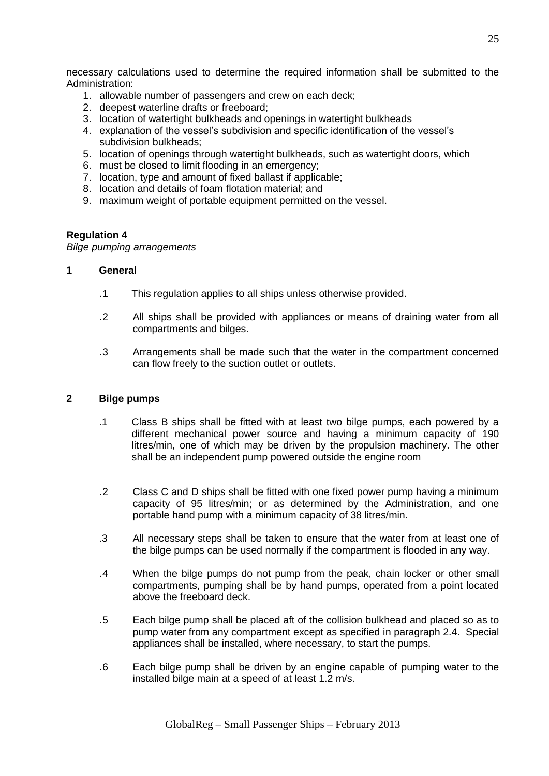necessary calculations used to determine the required information shall be submitted to the Administration:

- 1. allowable number of passengers and crew on each deck;
- 2. deepest waterline drafts or freeboard;
- 3. location of watertight bulkheads and openings in watertight bulkheads
- 4. explanation of the vessel's subdivision and specific identification of the vessel's subdivision bulkheads;
- 5. location of openings through watertight bulkheads, such as watertight doors, which
- 6. must be closed to limit flooding in an emergency;
- 7. location, type and amount of fixed ballast if applicable;
- 8. location and details of foam flotation material; and
- 9. maximum weight of portable equipment permitted on the vessel.

#### **Regulation 4**

*Bilge pumping arrangements*

## **1 General**

- .1 This regulation applies to all ships unless otherwise provided.
- .2 All ships shall be provided with appliances or means of draining water from all compartments and bilges.
- .3 Arrangements shall be made such that the water in the compartment concerned can flow freely to the suction outlet or outlets.

#### **2 Bilge pumps**

- .1 Class B ships shall be fitted with at least two bilge pumps, each powered by a different mechanical power source and having a minimum capacity of 190 litres/min, one of which may be driven by the propulsion machinery. The other shall be an independent pump powered outside the engine room
- .2 Class C and D ships shall be fitted with one fixed power pump having a minimum capacity of 95 litres/min; or as determined by the Administration, and one portable hand pump with a minimum capacity of 38 litres/min.
- .3 All necessary steps shall be taken to ensure that the water from at least one of the bilge pumps can be used normally if the compartment is flooded in any way.
- .4 When the bilge pumps do not pump from the peak, chain locker or other small compartments, pumping shall be by hand pumps, operated from a point located above the freeboard deck.
- .5 Each bilge pump shall be placed aft of the collision bulkhead and placed so as to pump water from any compartment except as specified in paragraph 2.4. Special appliances shall be installed, where necessary, to start the pumps.
- .6 Each bilge pump shall be driven by an engine capable of pumping water to the installed bilge main at a speed of at least 1.2 m/s.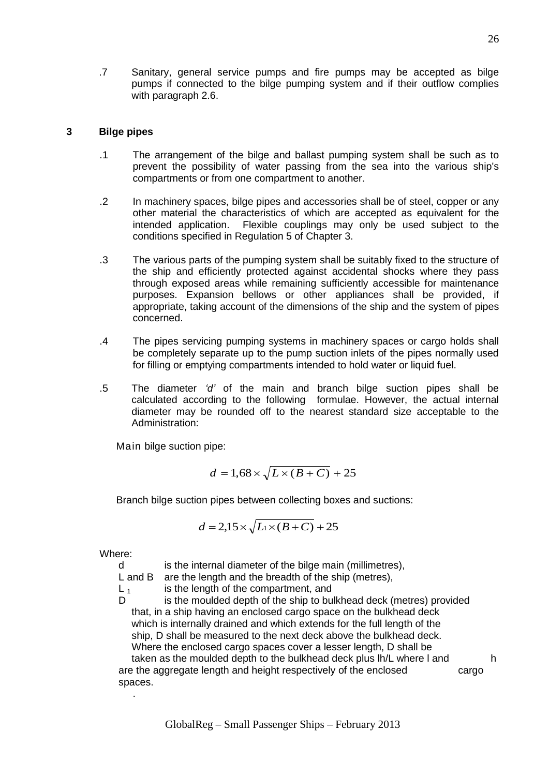## **3 Bilge pipes**

- .1 The arrangement of the bilge and ballast pumping system shall be such as to prevent the possibility of water passing from the sea into the various ship's compartments or from one compartment to another.
- .2 In machinery spaces, bilge pipes and accessories shall be of steel, copper or any other material the characteristics of which are accepted as equivalent for the intended application. Flexible couplings may only be used subject to the conditions specified in Regulation 5 of Chapter 3.
- .3 The various parts of the pumping system shall be suitably fixed to the structure of the ship and efficiently protected against accidental shocks where they pass through exposed areas while remaining sufficiently accessible for maintenance purposes. Expansion bellows or other appliances shall be provided, if appropriate, taking account of the dimensions of the ship and the system of pipes concerned.
- .4 The pipes servicing pumping systems in machinery spaces or cargo holds shall be completely separate up to the pump suction inlets of the pipes normally used for filling or emptying compartments intended to hold water or liquid fuel.
- .5 The diameter *'d'* of the main and branch bilge suction pipes shall be calculated according to the following formulae. However, the actual internal diameter may be rounded off to the nearest standard size acceptable to the Administration:

Main bilge suction pipe:

$$
d = 1,68 \times \sqrt{L \times (B+C)} + 25
$$

Branch bilge suction pipes between collecting boxes and suctions:

$$
d = 2.15 \times \sqrt{L_1 \times (B + C)} + 25
$$

Where:

.

d is the internal diameter of the bilge main (millimetres),

L and B are the length and the breadth of the ship (metres).

 $L_1$  is the length of the compartment, and

D is the moulded depth of the ship to bulkhead deck (metres) provided that, in a ship having an enclosed cargo space on the bulkhead deck which is internally drained and which extends for the full length of the ship, D shall be measured to the next deck above the bulkhead deck. Where the enclosed cargo spaces cover a lesser length, D shall be taken as the moulded depth to the bulkhead deck plus lh/L where I and h are the aggregate length and height respectively of the enclosed cargo spaces.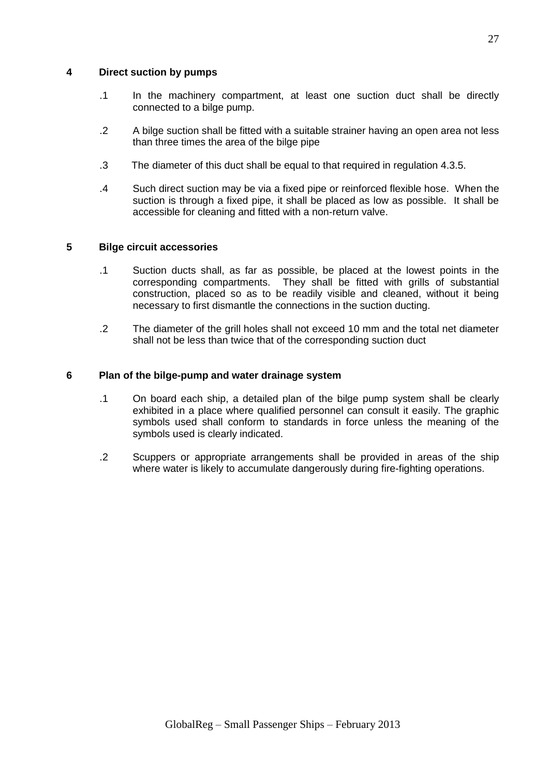## **4 Direct suction by pumps**

- .1 In the machinery compartment, at least one suction duct shall be directly connected to a bilge pump.
- .2 A bilge suction shall be fitted with a suitable strainer having an open area not less than three times the area of the bilge pipe
- .3 The diameter of this duct shall be equal to that required in regulation 4.3.5.
- .4 Such direct suction may be via a fixed pipe or reinforced flexible hose. When the suction is through a fixed pipe, it shall be placed as low as possible. It shall be accessible for cleaning and fitted with a non-return valve.

## **5 Bilge circuit accessories**

- .1 Suction ducts shall, as far as possible, be placed at the lowest points in the corresponding compartments. They shall be fitted with grills of substantial construction, placed so as to be readily visible and cleaned, without it being necessary to first dismantle the connections in the suction ducting.
- .2 The diameter of the grill holes shall not exceed 10 mm and the total net diameter shall not be less than twice that of the corresponding suction duct

## **6 Plan of the bilge-pump and water drainage system**

- .1 On board each ship, a detailed plan of the bilge pump system shall be clearly exhibited in a place where qualified personnel can consult it easily. The graphic symbols used shall conform to standards in force unless the meaning of the symbols used is clearly indicated.
- .2 Scuppers or appropriate arrangements shall be provided in areas of the ship where water is likely to accumulate dangerously during fire-fighting operations.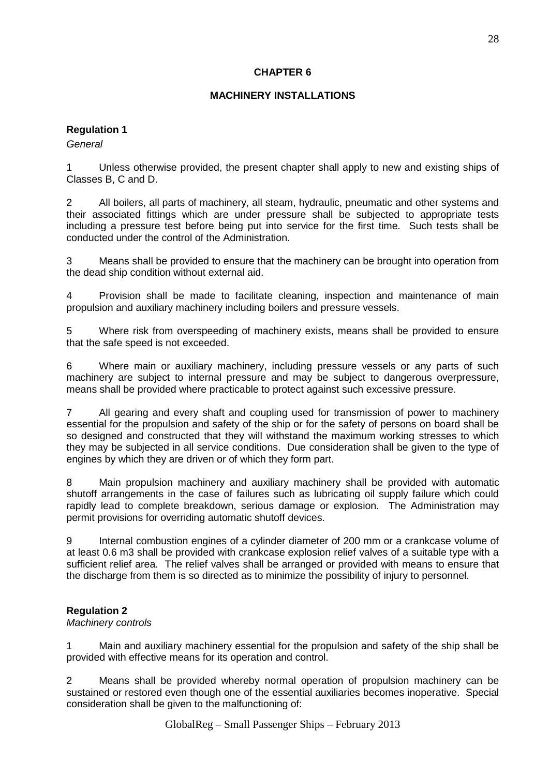## **CHAPTER 6**

## **MACHINERY INSTALLATIONS**

## **Regulation 1**

*General*

1 Unless otherwise provided, the present chapter shall apply to new and existing ships of Classes B, C and D.

2 All boilers, all parts of machinery, all steam, hydraulic, pneumatic and other systems and their associated fittings which are under pressure shall be subjected to appropriate tests including a pressure test before being put into service for the first time. Such tests shall be conducted under the control of the Administration.

3 Means shall be provided to ensure that the machinery can be brought into operation from the dead ship condition without external aid.

4 Provision shall be made to facilitate cleaning, inspection and maintenance of main propulsion and auxiliary machinery including boilers and pressure vessels.

5 Where risk from overspeeding of machinery exists, means shall be provided to ensure that the safe speed is not exceeded.

6 Where main or auxiliary machinery, including pressure vessels or any parts of such machinery are subject to internal pressure and may be subject to dangerous overpressure, means shall be provided where practicable to protect against such excessive pressure.

7 All gearing and every shaft and coupling used for transmission of power to machinery essential for the propulsion and safety of the ship or for the safety of persons on board shall be so designed and constructed that they will withstand the maximum working stresses to which they may be subjected in all service conditions. Due consideration shall be given to the type of engines by which they are driven or of which they form part.

8 Main propulsion machinery and auxiliary machinery shall be provided with automatic shutoff arrangements in the case of failures such as lubricating oil supply failure which could rapidly lead to complete breakdown, serious damage or explosion. The Administration may permit provisions for overriding automatic shutoff devices.

9 Internal combustion engines of a cylinder diameter of 200 mm or a crankcase volume of at least 0.6 m3 shall be provided with crankcase explosion relief valves of a suitable type with a sufficient relief area. The relief valves shall be arranged or provided with means to ensure that the discharge from them is so directed as to minimize the possibility of injury to personnel.

## **Regulation 2**

## *Machinery controls*

1 Main and auxiliary machinery essential for the propulsion and safety of the ship shall be provided with effective means for its operation and control.

2 Means shall be provided whereby normal operation of propulsion machinery can be sustained or restored even though one of the essential auxiliaries becomes inoperative. Special consideration shall be given to the malfunctioning of: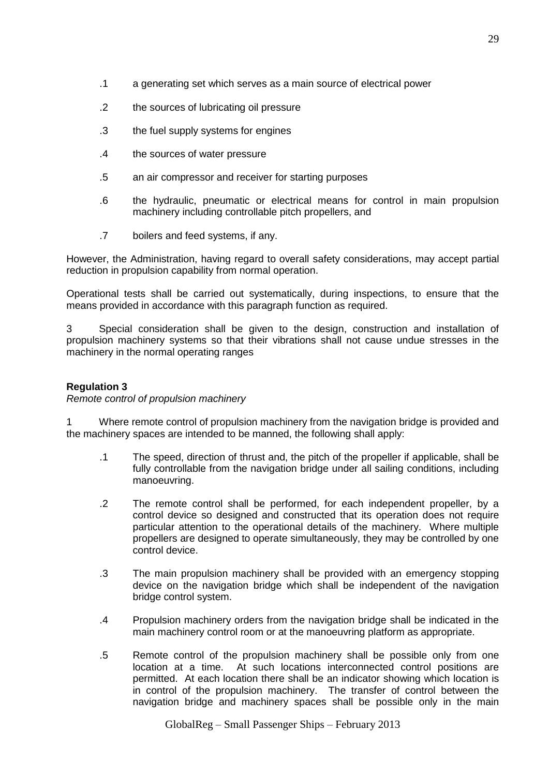- .1 a generating set which serves as a main source of electrical power
- .2 the sources of lubricating oil pressure
- .3 the fuel supply systems for engines
- .4 the sources of water pressure
- .5 an air compressor and receiver for starting purposes
- .6 the hydraulic, pneumatic or electrical means for control in main propulsion machinery including controllable pitch propellers, and
- .7 boilers and feed systems, if any.

However, the Administration, having regard to overall safety considerations, may accept partial reduction in propulsion capability from normal operation.

Operational tests shall be carried out systematically, during inspections, to ensure that the means provided in accordance with this paragraph function as required.

3 Special consideration shall be given to the design, construction and installation of propulsion machinery systems so that their vibrations shall not cause undue stresses in the machinery in the normal operating ranges

## **Regulation 3**

*Remote control of propulsion machinery*

1 Where remote control of propulsion machinery from the navigation bridge is provided and the machinery spaces are intended to be manned, the following shall apply:

- .1 The speed, direction of thrust and, the pitch of the propeller if applicable, shall be fully controllable from the navigation bridge under all sailing conditions, including manoeuvring.
- .2 The remote control shall be performed, for each independent propeller, by a control device so designed and constructed that its operation does not require particular attention to the operational details of the machinery. Where multiple propellers are designed to operate simultaneously, they may be controlled by one control device.
- .3 The main propulsion machinery shall be provided with an emergency stopping device on the navigation bridge which shall be independent of the navigation bridge control system.
- .4 Propulsion machinery orders from the navigation bridge shall be indicated in the main machinery control room or at the manoeuvring platform as appropriate.
- .5 Remote control of the propulsion machinery shall be possible only from one location at a time. At such locations interconnected control positions are permitted. At each location there shall be an indicator showing which location is in control of the propulsion machinery. The transfer of control between the navigation bridge and machinery spaces shall be possible only in the main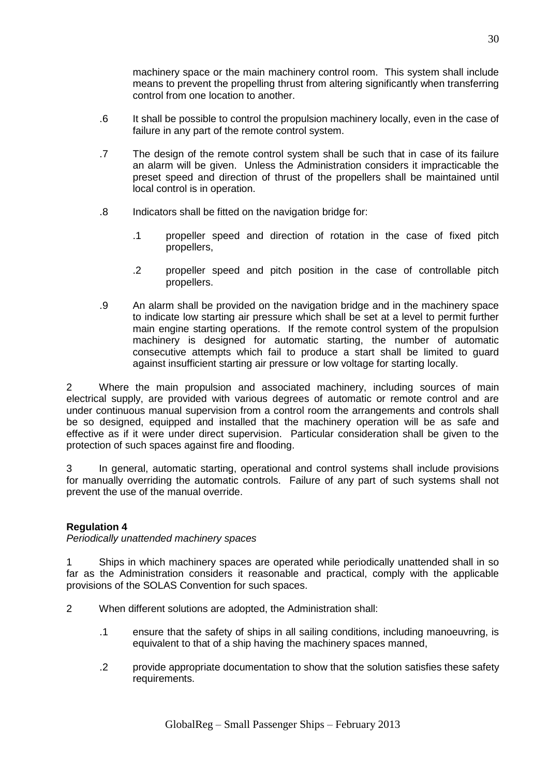machinery space or the main machinery control room. This system shall include means to prevent the propelling thrust from altering significantly when transferring control from one location to another.

- .6 It shall be possible to control the propulsion machinery locally, even in the case of failure in any part of the remote control system.
- .7 The design of the remote control system shall be such that in case of its failure an alarm will be given. Unless the Administration considers it impracticable the preset speed and direction of thrust of the propellers shall be maintained until local control is in operation.
- .8 Indicators shall be fitted on the navigation bridge for:
	- .1 propeller speed and direction of rotation in the case of fixed pitch propellers,
	- .2 propeller speed and pitch position in the case of controllable pitch propellers.
- .9 An alarm shall be provided on the navigation bridge and in the machinery space to indicate low starting air pressure which shall be set at a level to permit further main engine starting operations. If the remote control system of the propulsion machinery is designed for automatic starting, the number of automatic consecutive attempts which fail to produce a start shall be limited to guard against insufficient starting air pressure or low voltage for starting locally.

2 Where the main propulsion and associated machinery, including sources of main electrical supply, are provided with various degrees of automatic or remote control and are under continuous manual supervision from a control room the arrangements and controls shall be so designed, equipped and installed that the machinery operation will be as safe and effective as if it were under direct supervision. Particular consideration shall be given to the protection of such spaces against fire and flooding.

3 In general, automatic starting, operational and control systems shall include provisions for manually overriding the automatic controls. Failure of any part of such systems shall not prevent the use of the manual override.

## **Regulation 4**

*Periodically unattended machinery spaces*

1 Ships in which machinery spaces are operated while periodically unattended shall in so far as the Administration considers it reasonable and practical, comply with the applicable provisions of the SOLAS Convention for such spaces.

- 2 When different solutions are adopted, the Administration shall:
	- .1 ensure that the safety of ships in all sailing conditions, including manoeuvring, is equivalent to that of a ship having the machinery spaces manned,
	- .2 provide appropriate documentation to show that the solution satisfies these safety requirements.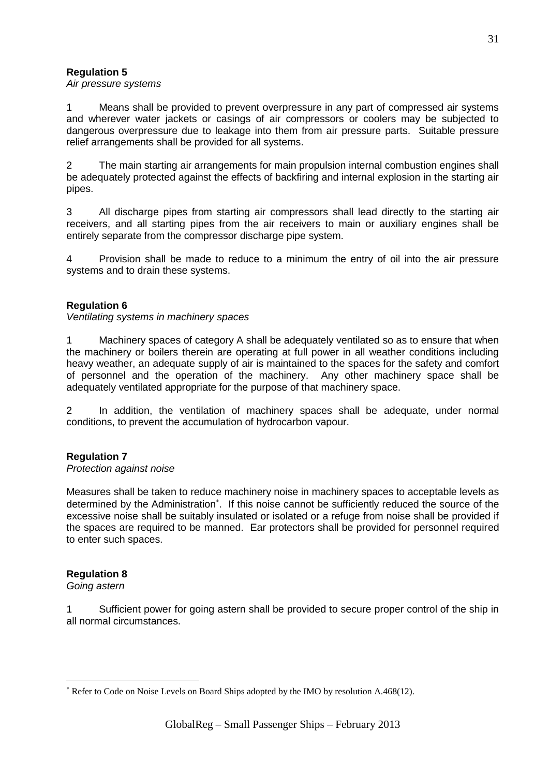## **Regulation 5**

*Air pressure systems*

1 Means shall be provided to prevent overpressure in any part of compressed air systems and wherever water jackets or casings of air compressors or coolers may be subjected to dangerous overpressure due to leakage into them from air pressure parts. Suitable pressure relief arrangements shall be provided for all systems.

2 The main starting air arrangements for main propulsion internal combustion engines shall be adequately protected against the effects of backfiring and internal explosion in the starting air pipes.

3 All discharge pipes from starting air compressors shall lead directly to the starting air receivers, and all starting pipes from the air receivers to main or auxiliary engines shall be entirely separate from the compressor discharge pipe system.

4 Provision shall be made to reduce to a minimum the entry of oil into the air pressure systems and to drain these systems.

## **Regulation 6**

*Ventilating systems in machinery spaces*

1 Machinery spaces of category A shall be adequately ventilated so as to ensure that when the machinery or boilers therein are operating at full power in all weather conditions including heavy weather, an adequate supply of air is maintained to the spaces for the safety and comfort of personnel and the operation of the machinery. Any other machinery space shall be adequately ventilated appropriate for the purpose of that machinery space.

2 In addition, the ventilation of machinery spaces shall be adequate, under normal conditions, to prevent the accumulation of hydrocarbon vapour.

## **Regulation 7**

#### *Protection against noise*

Measures shall be taken to reduce machinery noise in machinery spaces to acceptable levels as determined by the Administration<sup>\*</sup>. If this noise cannot be sufficiently reduced the source of the excessive noise shall be suitably insulated or isolated or a refuge from noise shall be provided if the spaces are required to be manned. Ear protectors shall be provided for personnel required to enter such spaces.

## **Regulation 8**

*Going astern*

1

1 Sufficient power for going astern shall be provided to secure proper control of the ship in all normal circumstances.

Refer to Code on Noise Levels on Board Ships adopted by the IMO by resolution A.468(12).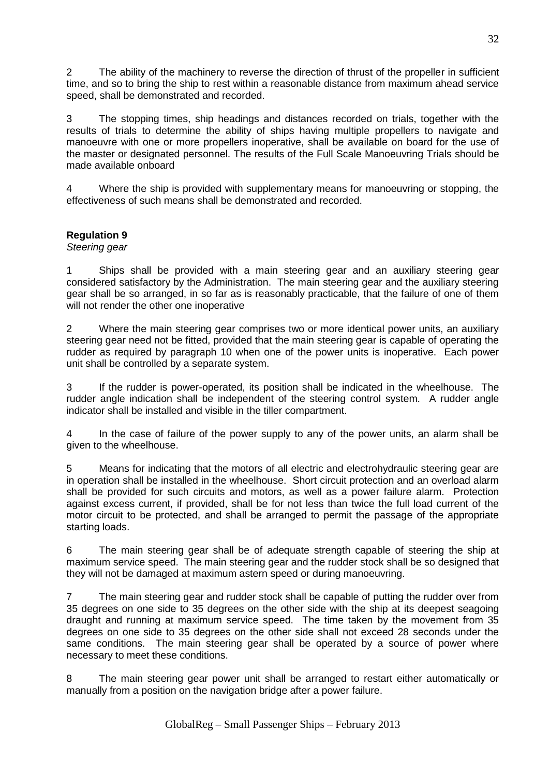2 The ability of the machinery to reverse the direction of thrust of the propeller in sufficient time, and so to bring the ship to rest within a reasonable distance from maximum ahead service speed, shall be demonstrated and recorded.

3 The stopping times, ship headings and distances recorded on trials, together with the results of trials to determine the ability of ships having multiple propellers to navigate and manoeuvre with one or more propellers inoperative, shall be available on board for the use of the master or designated personnel. The results of the Full Scale Manoeuvring Trials should be made available onboard

4 Where the ship is provided with supplementary means for manoeuvring or stopping, the effectiveness of such means shall be demonstrated and recorded.

## **Regulation 9**

## *Steering gear*

1 Ships shall be provided with a main steering gear and an auxiliary steering gear considered satisfactory by the Administration. The main steering gear and the auxiliary steering gear shall be so arranged, in so far as is reasonably practicable, that the failure of one of them will not render the other one inoperative

2 Where the main steering gear comprises two or more identical power units, an auxiliary steering gear need not be fitted, provided that the main steering gear is capable of operating the rudder as required by paragraph 10 when one of the power units is inoperative. Each power unit shall be controlled by a separate system.

3 If the rudder is power-operated, its position shall be indicated in the wheelhouse. The rudder angle indication shall be independent of the steering control system. A rudder angle indicator shall be installed and visible in the tiller compartment.

4 In the case of failure of the power supply to any of the power units, an alarm shall be given to the wheelhouse.

5 Means for indicating that the motors of all electric and electrohydraulic steering gear are in operation shall be installed in the wheelhouse. Short circuit protection and an overload alarm shall be provided for such circuits and motors, as well as a power failure alarm. Protection against excess current, if provided, shall be for not less than twice the full load current of the motor circuit to be protected, and shall be arranged to permit the passage of the appropriate starting loads.

6 The main steering gear shall be of adequate strength capable of steering the ship at maximum service speed. The main steering gear and the rudder stock shall be so designed that they will not be damaged at maximum astern speed or during manoeuvring.

7 The main steering gear and rudder stock shall be capable of putting the rudder over from 35 degrees on one side to 35 degrees on the other side with the ship at its deepest seagoing draught and running at maximum service speed. The time taken by the movement from 35 degrees on one side to 35 degrees on the other side shall not exceed 28 seconds under the same conditions. The main steering gear shall be operated by a source of power where necessary to meet these conditions.

8 The main steering gear power unit shall be arranged to restart either automatically or manually from a position on the navigation bridge after a power failure.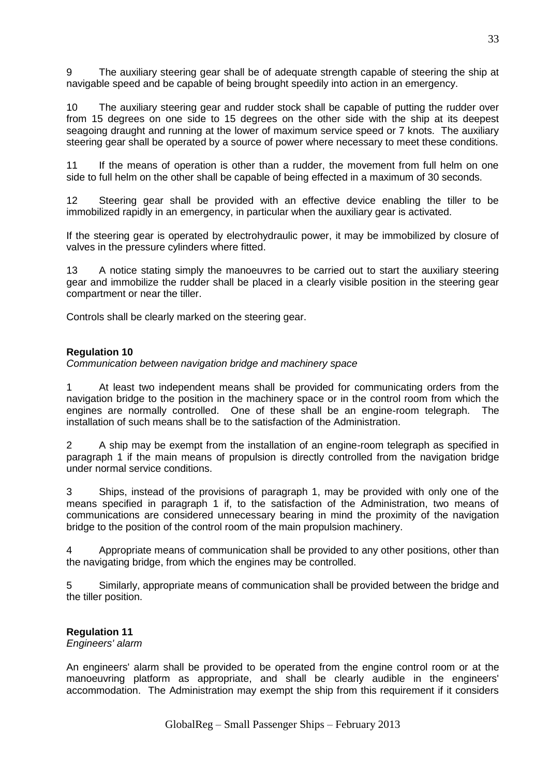9 The auxiliary steering gear shall be of adequate strength capable of steering the ship at navigable speed and be capable of being brought speedily into action in an emergency.

10 The auxiliary steering gear and rudder stock shall be capable of putting the rudder over from 15 degrees on one side to 15 degrees on the other side with the ship at its deepest seagoing draught and running at the lower of maximum service speed or 7 knots. The auxiliary steering gear shall be operated by a source of power where necessary to meet these conditions.

11 If the means of operation is other than a rudder, the movement from full helm on one side to full helm on the other shall be capable of being effected in a maximum of 30 seconds.

12 Steering gear shall be provided with an effective device enabling the tiller to be immobilized rapidly in an emergency, in particular when the auxiliary gear is activated.

If the steering gear is operated by electrohydraulic power, it may be immobilized by closure of valves in the pressure cylinders where fitted.

13 A notice stating simply the manoeuvres to be carried out to start the auxiliary steering gear and immobilize the rudder shall be placed in a clearly visible position in the steering gear compartment or near the tiller.

Controls shall be clearly marked on the steering gear.

#### **Regulation 10**

*Communication between navigation bridge and machinery space*

1 At least two independent means shall be provided for communicating orders from the navigation bridge to the position in the machinery space or in the control room from which the engines are normally controlled. One of these shall be an engine-room telegraph. The installation of such means shall be to the satisfaction of the Administration.

2 A ship may be exempt from the installation of an engine-room telegraph as specified in paragraph 1 if the main means of propulsion is directly controlled from the navigation bridge under normal service conditions.

3 Ships, instead of the provisions of paragraph 1, may be provided with only one of the means specified in paragraph 1 if, to the satisfaction of the Administration, two means of communications are considered unnecessary bearing in mind the proximity of the navigation bridge to the position of the control room of the main propulsion machinery.

4 Appropriate means of communication shall be provided to any other positions, other than the navigating bridge, from which the engines may be controlled.

5 Similarly, appropriate means of communication shall be provided between the bridge and the tiller position.

### **Regulation 11**

*Engineers' alarm*

An engineers' alarm shall be provided to be operated from the engine control room or at the manoeuvring platform as appropriate, and shall be clearly audible in the engineers' accommodation. The Administration may exempt the ship from this requirement if it considers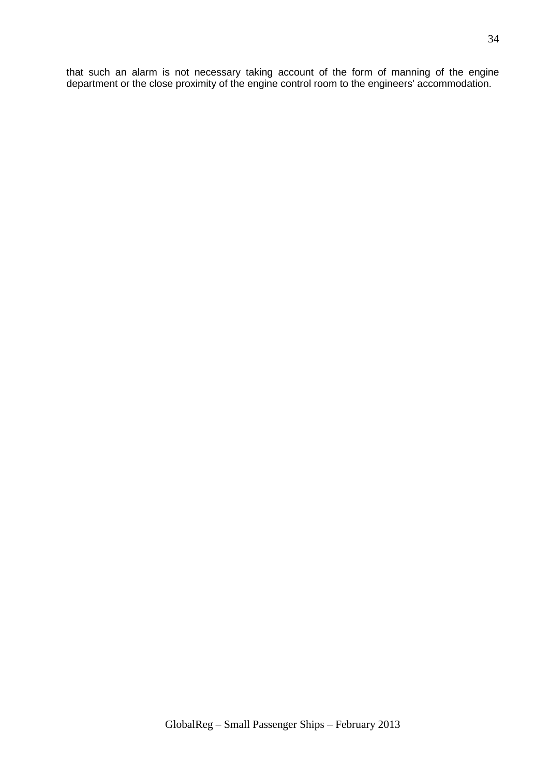that such an alarm is not necessary taking account of the form of manning of the engine department or the close proximity of the engine control room to the engineers' accommodation.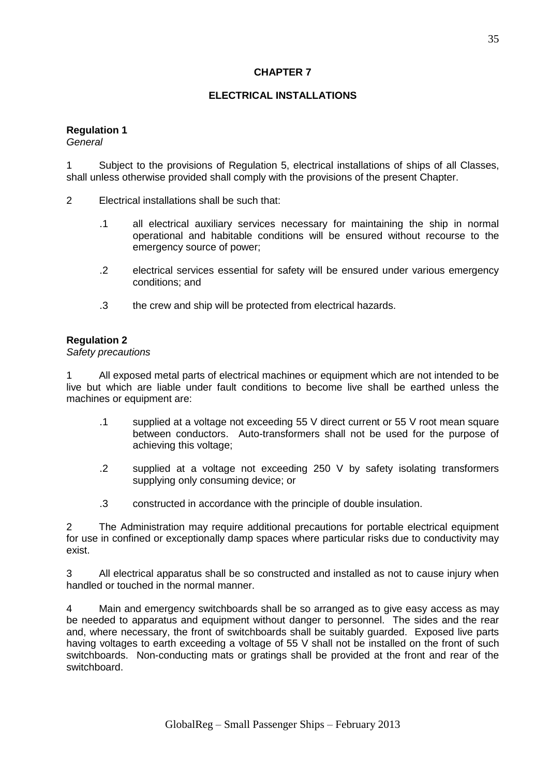## **CHAPTER 7**

## **ELECTRICAL INSTALLATIONS**

### **Regulation 1**

*General*

1 Subject to the provisions of Regulation 5, electrical installations of ships of all Classes, shall unless otherwise provided shall comply with the provisions of the present Chapter.

- 2 Electrical installations shall be such that:
	- .1 all electrical auxiliary services necessary for maintaining the ship in normal operational and habitable conditions will be ensured without recourse to the emergency source of power;
	- .2 electrical services essential for safety will be ensured under various emergency conditions; and
	- .3 the crew and ship will be protected from electrical hazards.

#### **Regulation 2**

*Safety precautions*

1 All exposed metal parts of electrical machines or equipment which are not intended to be live but which are liable under fault conditions to become live shall be earthed unless the machines or equipment are:

- .1 supplied at a voltage not exceeding 55 V direct current or 55 V root mean square between conductors. Auto-transformers shall not be used for the purpose of achieving this voltage;
- .2 supplied at a voltage not exceeding 250 V by safety isolating transformers supplying only consuming device; or
- .3 constructed in accordance with the principle of double insulation.

2 The Administration may require additional precautions for portable electrical equipment for use in confined or exceptionally damp spaces where particular risks due to conductivity may exist.

3 All electrical apparatus shall be so constructed and installed as not to cause injury when handled or touched in the normal manner.

4 Main and emergency switchboards shall be so arranged as to give easy access as may be needed to apparatus and equipment without danger to personnel. The sides and the rear and, where necessary, the front of switchboards shall be suitably guarded. Exposed live parts having voltages to earth exceeding a voltage of 55 V shall not be installed on the front of such switchboards. Non-conducting mats or gratings shall be provided at the front and rear of the switchboard.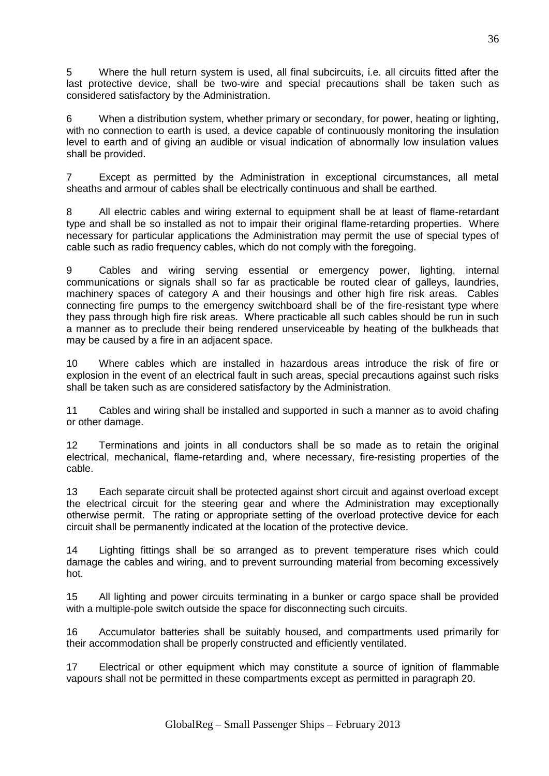5 Where the hull return system is used, all final subcircuits, i.e. all circuits fitted after the last protective device, shall be two-wire and special precautions shall be taken such as considered satisfactory by the Administration.

6 When a distribution system, whether primary or secondary, for power, heating or lighting, with no connection to earth is used, a device capable of continuously monitoring the insulation level to earth and of giving an audible or visual indication of abnormally low insulation values shall be provided.

7 Except as permitted by the Administration in exceptional circumstances, all metal sheaths and armour of cables shall be electrically continuous and shall be earthed.

8 All electric cables and wiring external to equipment shall be at least of flame-retardant type and shall be so installed as not to impair their original flame-retarding properties. Where necessary for particular applications the Administration may permit the use of special types of cable such as radio frequency cables, which do not comply with the foregoing.

9 Cables and wiring serving essential or emergency power, lighting, internal communications or signals shall so far as practicable be routed clear of galleys, laundries, machinery spaces of category A and their housings and other high fire risk areas. Cables connecting fire pumps to the emergency switchboard shall be of the fire-resistant type where they pass through high fire risk areas. Where practicable all such cables should be run in such a manner as to preclude their being rendered unserviceable by heating of the bulkheads that may be caused by a fire in an adjacent space.

10 Where cables which are installed in hazardous areas introduce the risk of fire or explosion in the event of an electrical fault in such areas, special precautions against such risks shall be taken such as are considered satisfactory by the Administration.

11 Cables and wiring shall be installed and supported in such a manner as to avoid chafing or other damage.

12 Terminations and joints in all conductors shall be so made as to retain the original electrical, mechanical, flame-retarding and, where necessary, fire-resisting properties of the cable.

13 Each separate circuit shall be protected against short circuit and against overload except the electrical circuit for the steering gear and where the Administration may exceptionally otherwise permit. The rating or appropriate setting of the overload protective device for each circuit shall be permanently indicated at the location of the protective device.

14 Lighting fittings shall be so arranged as to prevent temperature rises which could damage the cables and wiring, and to prevent surrounding material from becoming excessively hot.

15 All lighting and power circuits terminating in a bunker or cargo space shall be provided with a multiple-pole switch outside the space for disconnecting such circuits.

16 Accumulator batteries shall be suitably housed, and compartments used primarily for their accommodation shall be properly constructed and efficiently ventilated.

17 Electrical or other equipment which may constitute a source of ignition of flammable vapours shall not be permitted in these compartments except as permitted in paragraph 20.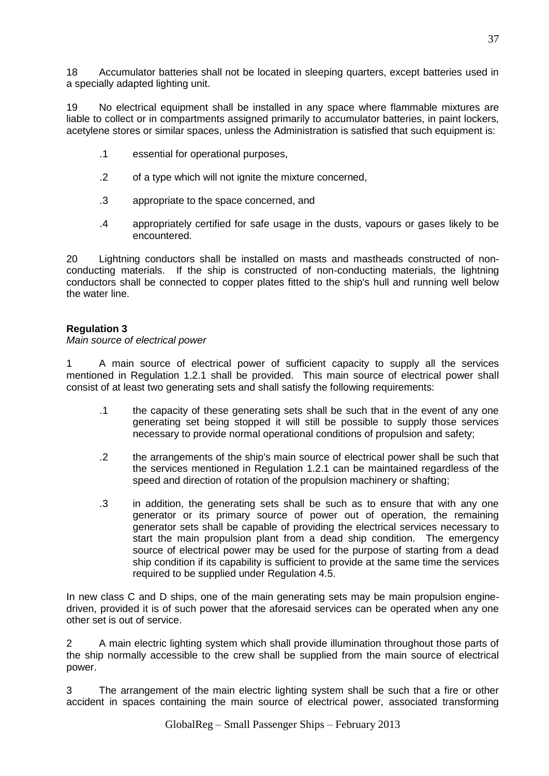18 Accumulator batteries shall not be located in sleeping quarters, except batteries used in a specially adapted lighting unit.

19 No electrical equipment shall be installed in any space where flammable mixtures are liable to collect or in compartments assigned primarily to accumulator batteries, in paint lockers, acetylene stores or similar spaces, unless the Administration is satisfied that such equipment is:

- .1 essential for operational purposes,
- .2 of a type which will not ignite the mixture concerned,
- .3 appropriate to the space concerned, and
- .4 appropriately certified for safe usage in the dusts, vapours or gases likely to be encountered.

20 Lightning conductors shall be installed on masts and mastheads constructed of nonconducting materials. If the ship is constructed of non-conducting materials, the lightning conductors shall be connected to copper plates fitted to the ship's hull and running well below the water line.

# **Regulation 3**

*Main source of electrical power*

1 A main source of electrical power of sufficient capacity to supply all the services mentioned in Regulation 1.2.1 shall be provided. This main source of electrical power shall consist of at least two generating sets and shall satisfy the following requirements:

- .1 the capacity of these generating sets shall be such that in the event of any one generating set being stopped it will still be possible to supply those services necessary to provide normal operational conditions of propulsion and safety;
- .2 the arrangements of the ship's main source of electrical power shall be such that the services mentioned in Regulation 1.2.1 can be maintained regardless of the speed and direction of rotation of the propulsion machinery or shafting;
- .3 in addition, the generating sets shall be such as to ensure that with any one generator or its primary source of power out of operation, the remaining generator sets shall be capable of providing the electrical services necessary to start the main propulsion plant from a dead ship condition. The emergency source of electrical power may be used for the purpose of starting from a dead ship condition if its capability is sufficient to provide at the same time the services required to be supplied under Regulation 4.5.

In new class C and D ships, one of the main generating sets may be main propulsion enginedriven, provided it is of such power that the aforesaid services can be operated when any one other set is out of service.

2 A main electric lighting system which shall provide illumination throughout those parts of the ship normally accessible to the crew shall be supplied from the main source of electrical power.

3 The arrangement of the main electric lighting system shall be such that a fire or other accident in spaces containing the main source of electrical power, associated transforming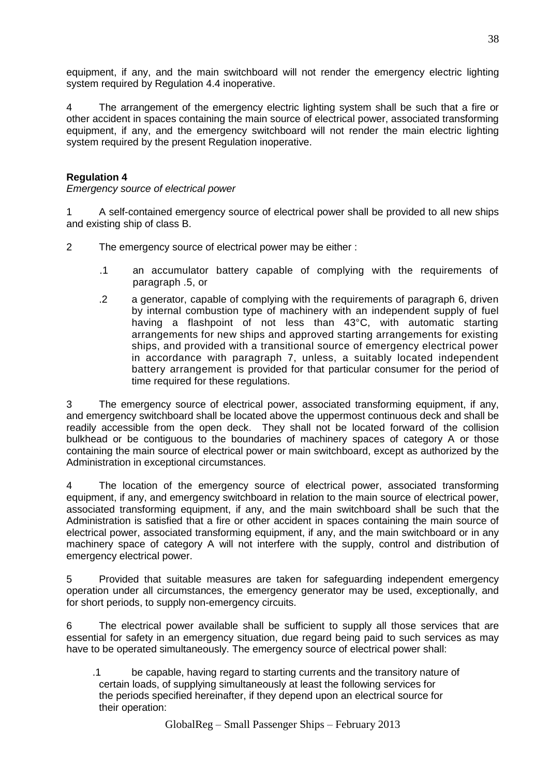equipment, if any, and the main switchboard will not render the emergency electric lighting system required by Regulation 4.4 inoperative.

4 The arrangement of the emergency electric lighting system shall be such that a fire or other accident in spaces containing the main source of electrical power, associated transforming equipment, if any, and the emergency switchboard will not render the main electric lighting system required by the present Regulation inoperative.

## **Regulation 4**

*Emergency source of electrical power*

1 A self-contained emergency source of electrical power shall be provided to all new ships and existing ship of class B.

2 The emergency source of electrical power may be either :

- .1 an accumulator battery capable of complying with the requirements of paragraph .5, or
- .2 a generator, capable of complying with the requirements of paragraph 6, driven by internal combustion type of machinery with an independent supply of fuel having a flashpoint of not less than 43°C, with automatic starting arrangements for new ships and approved starting arrangements for existing ships, and provided with a transitional source of emergency electrical power in accordance with paragraph 7, unless, a suitably located independent battery arrangement is provided for that particular consumer for the period of time required for these regulations.

3 The emergency source of electrical power, associated transforming equipment, if any, and emergency switchboard shall be located above the uppermost continuous deck and shall be readily accessible from the open deck. They shall not be located forward of the collision bulkhead or be contiguous to the boundaries of machinery spaces of category A or those containing the main source of electrical power or main switchboard, except as authorized by the Administration in exceptional circumstances.

4 The location of the emergency source of electrical power, associated transforming equipment, if any, and emergency switchboard in relation to the main source of electrical power, associated transforming equipment, if any, and the main switchboard shall be such that the Administration is satisfied that a fire or other accident in spaces containing the main source of electrical power, associated transforming equipment, if any, and the main switchboard or in any machinery space of category A will not interfere with the supply, control and distribution of emergency electrical power.

5 Provided that suitable measures are taken for safeguarding independent emergency operation under all circumstances, the emergency generator may be used, exceptionally, and for short periods, to supply non-emergency circuits.

6 The electrical power available shall be sufficient to supply all those services that are essential for safety in an emergency situation, due regard being paid to such services as may have to be operated simultaneously. The emergency source of electrical power shall:

.1 be capable, having regard to starting currents and the transitory nature of certain loads, of supplying simultaneously at least the following services for the periods specified hereinafter, if they depend upon an electrical source for their operation:

38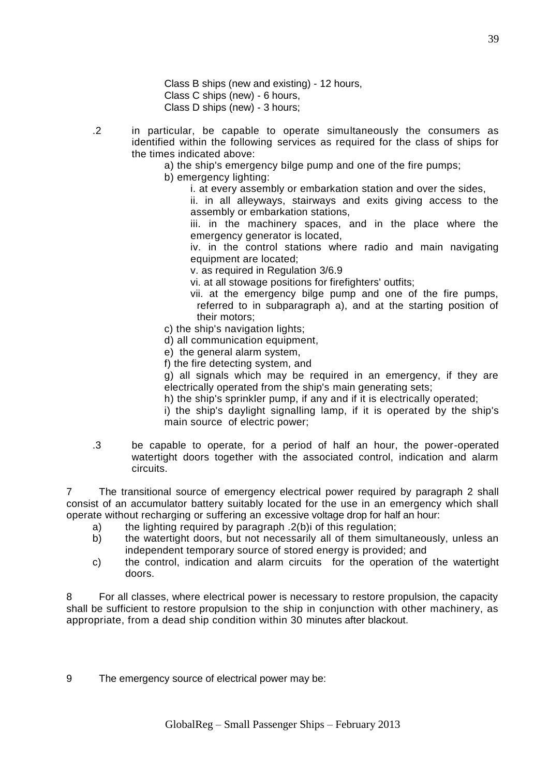Class B ships (new and existing) - 12 hours, Class C ships (new) - 6 hours, Class D ships (new) - 3 hours;

- .2 in particular, be capable to operate simultaneously the consumers as identified within the following services as required for the class of ships for the times indicated above:
	- a) the ship's emergency bilge pump and one of the fire pumps;

b) emergency lighting:

i. at every assembly or embarkation station and over the sides,

ii. in all alleyways, stairways and exits giving access to the assembly or embarkation stations,

iii. in the machinery spaces, and in the place where the emergency generator is located,

iv. in the control stations where radio and main navigating equipment are located;

v. as required in Regulation 3/6.9

vi. at all stowage positions for firefighters' outfits;

- vii. at the emergency bilge pump and one of the fire pumps, referred to in subparagraph a), and at the starting position of their motors;
- c) the ship's navigation lights;
- d) all communication equipment,
- e) the general alarm system,
- f) the fire detecting system, and

g) all signals which may be required in an emergency, if they are electrically operated from the ship's main generating sets;

h) the ship's sprinkler pump, if any and if it is electrically operated;

i) the ship's daylight signalling lamp, if it is operated by the ship's main source of electric power;

.3 be capable to operate, for a period of half an hour, the power-operated watertight doors together with the associated control, indication and alarm circuits.

7 The transitional source of emergency electrical power required by paragraph 2 shall consist of an accumulator battery suitably located for the use in an emergency which shall operate without recharging or suffering an excessive voltage drop for half an hour:

- a) the lighting required by paragraph .2(b)i of this regulation;
- b) the watertight doors, but not necessarily all of them simultaneously, unless an independent temporary source of stored energy is provided; and
- c) the control, indication and alarm circuits for the operation of the watertight doors.

8 For all classes, where electrical power is necessary to restore propulsion, the capacity shall be sufficient to restore propulsion to the ship in conjunction with other machinery, as appropriate, from a dead ship condition within 30 minutes after blackout.

9 The emergency source of electrical power may be: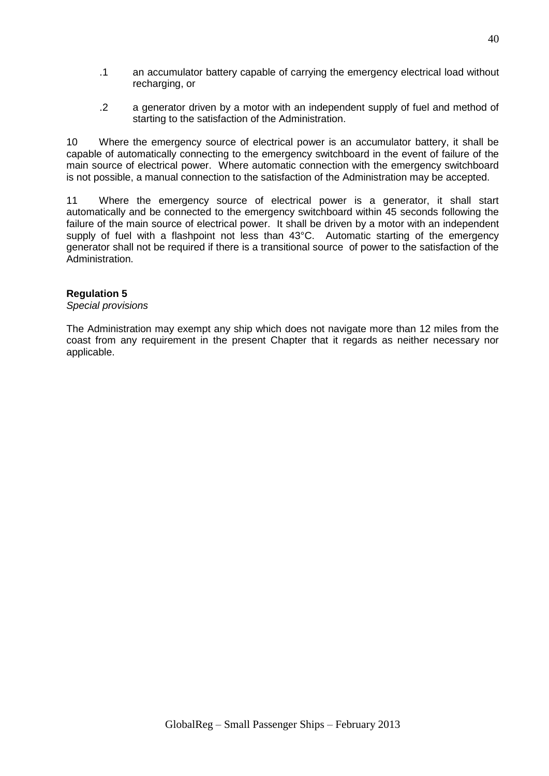- .1 an accumulator battery capable of carrying the emergency electrical load without recharging, or
- .2 a generator driven by a motor with an independent supply of fuel and method of starting to the satisfaction of the Administration.

10 Where the emergency source of electrical power is an accumulator battery, it shall be capable of automatically connecting to the emergency switchboard in the event of failure of the main source of electrical power. Where automatic connection with the emergency switchboard is not possible, a manual connection to the satisfaction of the Administration may be accepted.

11 Where the emergency source of electrical power is a generator, it shall start automatically and be connected to the emergency switchboard within 45 seconds following the failure of the main source of electrical power. It shall be driven by a motor with an independent supply of fuel with a flashpoint not less than 43°C. Automatic starting of the emergency generator shall not be required if there is a transitional source of power to the satisfaction of the Administration.

### **Regulation 5**

*Special provisions*

The Administration may exempt any ship which does not navigate more than 12 miles from the coast from any requirement in the present Chapter that it regards as neither necessary nor applicable.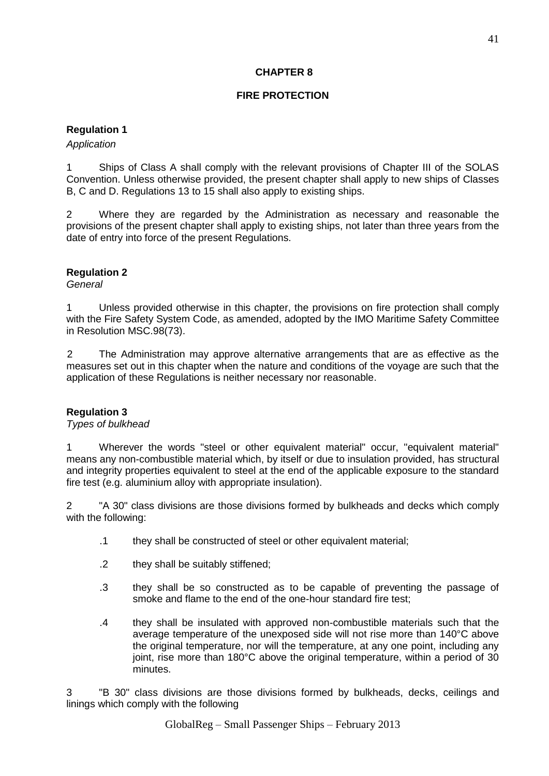## **CHAPTER 8**

## **FIRE PROTECTION**

### **Regulation 1**

#### *Application*

1 Ships of Class A shall comply with the relevant provisions of Chapter III of the SOLAS Convention. Unless otherwise provided, the present chapter shall apply to new ships of Classes B, C and D. Regulations 13 to 15 shall also apply to existing ships.

2 Where they are regarded by the Administration as necessary and reasonable the provisions of the present chapter shall apply to existing ships, not later than three years from the date of entry into force of the present Regulations.

### **Regulation 2**

*General*

1 Unless provided otherwise in this chapter, the provisions on fire protection shall comply with the Fire Safety System Code, as amended, adopted by the IMO Maritime Safety Committee in Resolution MSC.98(73).

2 The Administration may approve alternative arrangements that are as effective as the measures set out in this chapter when the nature and conditions of the voyage are such that the application of these Regulations is neither necessary nor reasonable.

### **Regulation 3**

### *Types of bulkhead*

1 Wherever the words "steel or other equivalent material" occur, "equivalent material" means any non-combustible material which, by itself or due to insulation provided, has structural and integrity properties equivalent to steel at the end of the applicable exposure to the standard fire test (e.g. aluminium alloy with appropriate insulation).

2 "A 30" class divisions are those divisions formed by bulkheads and decks which comply with the following:

- .1 they shall be constructed of steel or other equivalent material;
- .2 they shall be suitably stiffened;
- .3 they shall be so constructed as to be capable of preventing the passage of smoke and flame to the end of the one-hour standard fire test;
- .4 they shall be insulated with approved non-combustible materials such that the average temperature of the unexposed side will not rise more than 140°C above the original temperature, nor will the temperature, at any one point, including any joint, rise more than 180°C above the original temperature, within a period of 30 minutes.

3 "B 30" class divisions are those divisions formed by bulkheads, decks, ceilings and linings which comply with the following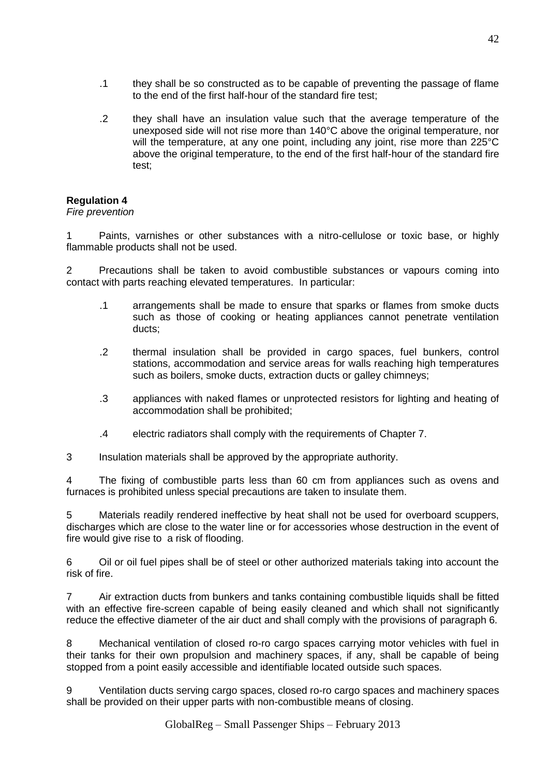- .1 they shall be so constructed as to be capable of preventing the passage of flame to the end of the first half-hour of the standard fire test;
- .2 they shall have an insulation value such that the average temperature of the unexposed side will not rise more than 140°C above the original temperature, nor will the temperature, at any one point, including any joint, rise more than 225°C above the original temperature, to the end of the first half-hour of the standard fire test;

*Fire prevention*

1 Paints, varnishes or other substances with a nitro-cellulose or toxic base, or highly flammable products shall not be used.

2 Precautions shall be taken to avoid combustible substances or vapours coming into contact with parts reaching elevated temperatures. In particular:

- .1 arrangements shall be made to ensure that sparks or flames from smoke ducts such as those of cooking or heating appliances cannot penetrate ventilation ducts;
- .2 thermal insulation shall be provided in cargo spaces, fuel bunkers, control stations, accommodation and service areas for walls reaching high temperatures such as boilers, smoke ducts, extraction ducts or galley chimneys;
- .3 appliances with naked flames or unprotected resistors for lighting and heating of accommodation shall be prohibited;
- .4 electric radiators shall comply with the requirements of Chapter 7.

3 Insulation materials shall be approved by the appropriate authority.

4 The fixing of combustible parts less than 60 cm from appliances such as ovens and furnaces is prohibited unless special precautions are taken to insulate them.

5 Materials readily rendered ineffective by heat shall not be used for overboard scuppers, discharges which are close to the water line or for accessories whose destruction in the event of fire would give rise to a risk of flooding.

6 Oil or oil fuel pipes shall be of steel or other authorized materials taking into account the risk of fire.

7 Air extraction ducts from bunkers and tanks containing combustible liquids shall be fitted with an effective fire-screen capable of being easily cleaned and which shall not significantly reduce the effective diameter of the air duct and shall comply with the provisions of paragraph 6.

8 Mechanical ventilation of closed ro-ro cargo spaces carrying motor vehicles with fuel in their tanks for their own propulsion and machinery spaces, if any, shall be capable of being stopped from a point easily accessible and identifiable located outside such spaces.

9 Ventilation ducts serving cargo spaces, closed ro-ro cargo spaces and machinery spaces shall be provided on their upper parts with non-combustible means of closing.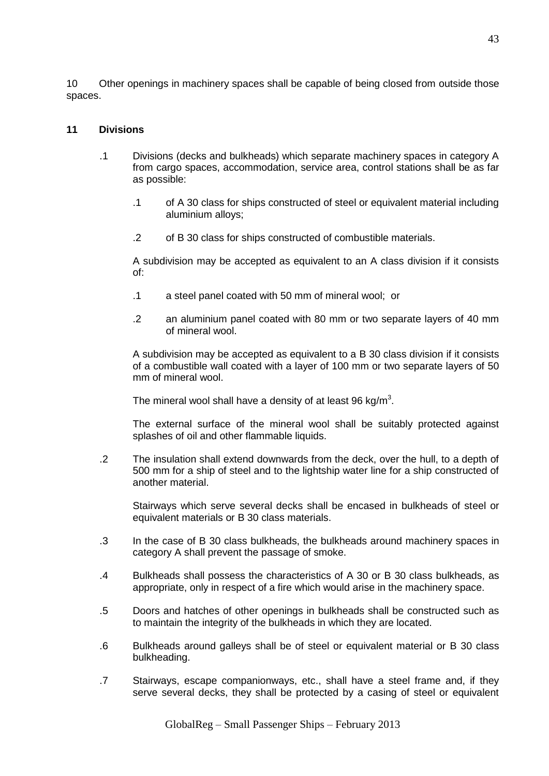10 Other openings in machinery spaces shall be capable of being closed from outside those spaces.

#### **11 Divisions**

- .1 Divisions (decks and bulkheads) which separate machinery spaces in category A from cargo spaces, accommodation, service area, control stations shall be as far as possible:
	- .1 of A 30 class for ships constructed of steel or equivalent material including aluminium alloys;
	- .2 of B 30 class for ships constructed of combustible materials.

A subdivision may be accepted as equivalent to an A class division if it consists of:

- .1 a steel panel coated with 50 mm of mineral wool; or
- .2 an aluminium panel coated with 80 mm or two separate layers of 40 mm of mineral wool.

A subdivision may be accepted as equivalent to a B 30 class division if it consists of a combustible wall coated with a layer of 100 mm or two separate layers of 50 mm of mineral wool.

The mineral wool shall have a density of at least 96 kg/m<sup>3</sup>.

The external surface of the mineral wool shall be suitably protected against splashes of oil and other flammable liquids.

.2 The insulation shall extend downwards from the deck, over the hull, to a depth of 500 mm for a ship of steel and to the lightship water line for a ship constructed of another material.

Stairways which serve several decks shall be encased in bulkheads of steel or equivalent materials or B 30 class materials.

- .3 In the case of B 30 class bulkheads, the bulkheads around machinery spaces in category A shall prevent the passage of smoke.
- .4 Bulkheads shall possess the characteristics of A 30 or B 30 class bulkheads, as appropriate, only in respect of a fire which would arise in the machinery space.
- .5 Doors and hatches of other openings in bulkheads shall be constructed such as to maintain the integrity of the bulkheads in which they are located.
- .6 Bulkheads around galleys shall be of steel or equivalent material or B 30 class bulkheading.
- .7 Stairways, escape companionways, etc., shall have a steel frame and, if they serve several decks, they shall be protected by a casing of steel or equivalent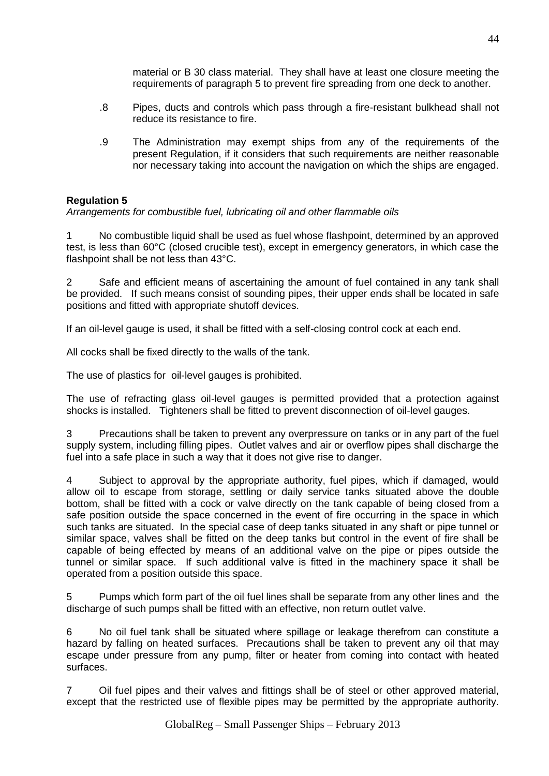- .8 Pipes, ducts and controls which pass through a fire-resistant bulkhead shall not reduce its resistance to fire.
- .9 The Administration may exempt ships from any of the requirements of the present Regulation, if it considers that such requirements are neither reasonable nor necessary taking into account the navigation on which the ships are engaged.

*Arrangements for combustible fuel, lubricating oil and other flammable oils*

1 No combustible liquid shall be used as fuel whose flashpoint, determined by an approved test, is less than 60°C (closed crucible test), except in emergency generators, in which case the flashpoint shall be not less than 43°C.

2 Safe and efficient means of ascertaining the amount of fuel contained in any tank shall be provided. If such means consist of sounding pipes, their upper ends shall be located in safe positions and fitted with appropriate shutoff devices.

If an oil-level gauge is used, it shall be fitted with a self-closing control cock at each end.

All cocks shall be fixed directly to the walls of the tank.

The use of plastics for oil-level gauges is prohibited.

The use of refracting glass oil-level gauges is permitted provided that a protection against shocks is installed. Tighteners shall be fitted to prevent disconnection of oil-level gauges.

3 Precautions shall be taken to prevent any overpressure on tanks or in any part of the fuel supply system, including filling pipes. Outlet valves and air or overflow pipes shall discharge the fuel into a safe place in such a way that it does not give rise to danger.

4 Subject to approval by the appropriate authority, fuel pipes, which if damaged, would allow oil to escape from storage, settling or daily service tanks situated above the double bottom, shall be fitted with a cock or valve directly on the tank capable of being closed from a safe position outside the space concerned in the event of fire occurring in the space in which such tanks are situated. In the special case of deep tanks situated in any shaft or pipe tunnel or similar space, valves shall be fitted on the deep tanks but control in the event of fire shall be capable of being effected by means of an additional valve on the pipe or pipes outside the tunnel or similar space. If such additional valve is fitted in the machinery space it shall be operated from a position outside this space.

5 Pumps which form part of the oil fuel lines shall be separate from any other lines and the discharge of such pumps shall be fitted with an effective, non return outlet valve.

6 No oil fuel tank shall be situated where spillage or leakage therefrom can constitute a hazard by falling on heated surfaces. Precautions shall be taken to prevent any oil that may escape under pressure from any pump, filter or heater from coming into contact with heated surfaces.

7 Oil fuel pipes and their valves and fittings shall be of steel or other approved material, except that the restricted use of flexible pipes may be permitted by the appropriate authority.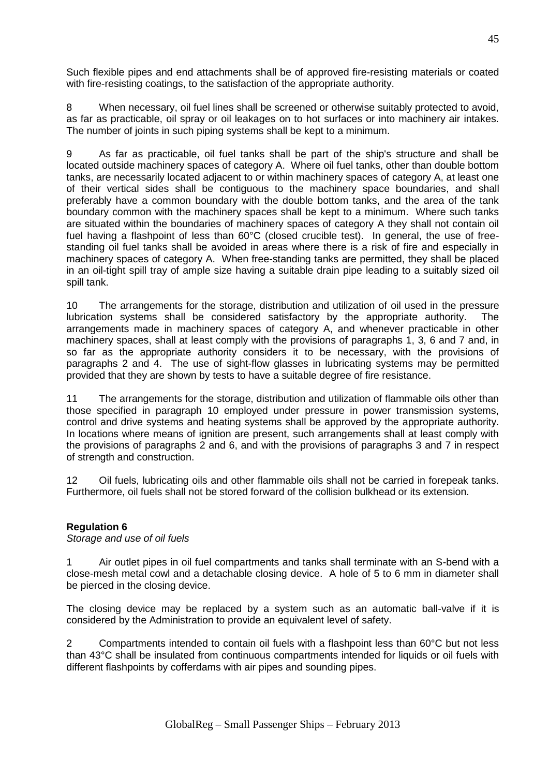Such flexible pipes and end attachments shall be of approved fire-resisting materials or coated with fire-resisting coatings, to the satisfaction of the appropriate authority.

8 When necessary, oil fuel lines shall be screened or otherwise suitably protected to avoid, as far as practicable, oil spray or oil leakages on to hot surfaces or into machinery air intakes. The number of joints in such piping systems shall be kept to a minimum.

9 As far as practicable, oil fuel tanks shall be part of the ship's structure and shall be located outside machinery spaces of category A. Where oil fuel tanks, other than double bottom tanks, are necessarily located adjacent to or within machinery spaces of category A, at least one of their vertical sides shall be contiguous to the machinery space boundaries, and shall preferably have a common boundary with the double bottom tanks, and the area of the tank boundary common with the machinery spaces shall be kept to a minimum. Where such tanks are situated within the boundaries of machinery spaces of category A they shall not contain oil fuel having a flashpoint of less than 60°C (closed crucible test). In general, the use of freestanding oil fuel tanks shall be avoided in areas where there is a risk of fire and especially in machinery spaces of category A. When free-standing tanks are permitted, they shall be placed in an oil-tight spill tray of ample size having a suitable drain pipe leading to a suitably sized oil spill tank.

10 The arrangements for the storage, distribution and utilization of oil used in the pressure lubrication systems shall be considered satisfactory by the appropriate authority. The arrangements made in machinery spaces of category A, and whenever practicable in other machinery spaces, shall at least comply with the provisions of paragraphs 1, 3, 6 and 7 and, in so far as the appropriate authority considers it to be necessary, with the provisions of paragraphs 2 and 4. The use of sight-flow glasses in lubricating systems may be permitted provided that they are shown by tests to have a suitable degree of fire resistance.

11 The arrangements for the storage, distribution and utilization of flammable oils other than those specified in paragraph 10 employed under pressure in power transmission systems, control and drive systems and heating systems shall be approved by the appropriate authority. In locations where means of ignition are present, such arrangements shall at least comply with the provisions of paragraphs 2 and 6, and with the provisions of paragraphs 3 and 7 in respect of strength and construction.

12 Oil fuels, lubricating oils and other flammable oils shall not be carried in forepeak tanks. Furthermore, oil fuels shall not be stored forward of the collision bulkhead or its extension.

### **Regulation 6**

*Storage and use of oil fuels*

1 Air outlet pipes in oil fuel compartments and tanks shall terminate with an S-bend with a close-mesh metal cowl and a detachable closing device. A hole of 5 to 6 mm in diameter shall be pierced in the closing device.

The closing device may be replaced by a system such as an automatic ball-valve if it is considered by the Administration to provide an equivalent level of safety.

2 Compartments intended to contain oil fuels with a flashpoint less than 60°C but not less than 43°C shall be insulated from continuous compartments intended for liquids or oil fuels with different flashpoints by cofferdams with air pipes and sounding pipes.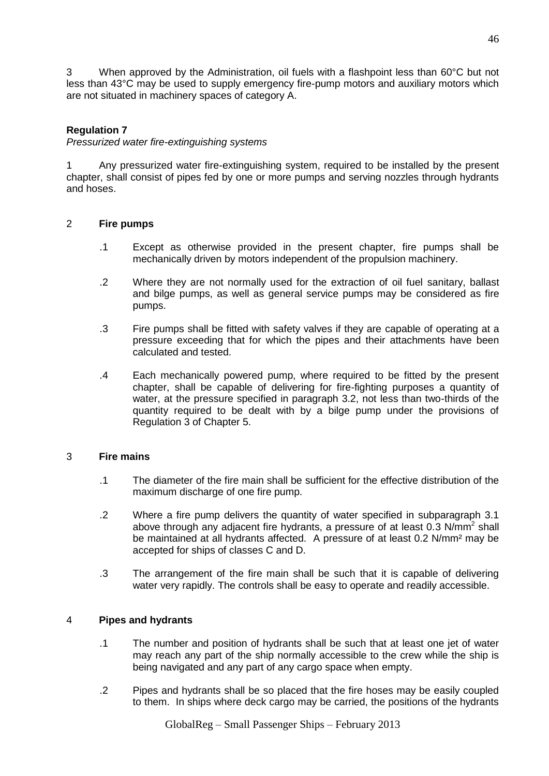3 When approved by the Administration, oil fuels with a flashpoint less than 60°C but not less than 43°C may be used to supply emergency fire-pump motors and auxiliary motors which are not situated in machinery spaces of category A.

### **Regulation 7**

*Pressurized water fire-extinguishing systems*

1 Any pressurized water fire-extinguishing system, required to be installed by the present chapter, shall consist of pipes fed by one or more pumps and serving nozzles through hydrants and hoses.

### 2 **Fire pumps**

- .1 Except as otherwise provided in the present chapter, fire pumps shall be mechanically driven by motors independent of the propulsion machinery.
- .2 Where they are not normally used for the extraction of oil fuel sanitary, ballast and bilge pumps, as well as general service pumps may be considered as fire pumps.
- .3 Fire pumps shall be fitted with safety valves if they are capable of operating at a pressure exceeding that for which the pipes and their attachments have been calculated and tested.
- .4 Each mechanically powered pump, where required to be fitted by the present chapter, shall be capable of delivering for fire-fighting purposes a quantity of water, at the pressure specified in paragraph 3.2, not less than two-thirds of the quantity required to be dealt with by a bilge pump under the provisions of Regulation 3 of Chapter 5.

### 3 **Fire mains**

- .1 The diameter of the fire main shall be sufficient for the effective distribution of the maximum discharge of one fire pump.
- .2 Where a fire pump delivers the quantity of water specified in subparagraph 3.1 above through any adjacent fire hydrants, a pressure of at least 0.3  $N/mm^2$  shall be maintained at all hydrants affected. A pressure of at least 0.2 N/mm² may be accepted for ships of classes C and D.
- .3 The arrangement of the fire main shall be such that it is capable of delivering water very rapidly. The controls shall be easy to operate and readily accessible.

### 4 **Pipes and hydrants**

- .1 The number and position of hydrants shall be such that at least one jet of water may reach any part of the ship normally accessible to the crew while the ship is being navigated and any part of any cargo space when empty.
- .2 Pipes and hydrants shall be so placed that the fire hoses may be easily coupled to them. In ships where deck cargo may be carried, the positions of the hydrants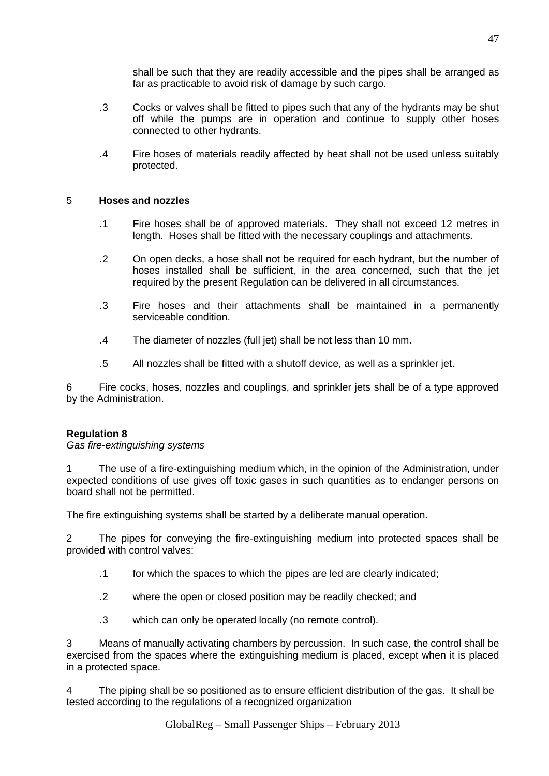shall be such that they are readily accessible and the pipes shall be arranged as far as practicable to avoid risk of damage by such cargo.

- .3 Cocks or valves shall be fitted to pipes such that any of the hydrants may be shut off while the pumps are in operation and continue to supply other hoses connected to other hydrants.
- .4 Fire hoses of materials readily affected by heat shall not be used unless suitably protected.

### 5 **Hoses and nozzles**

- .1 Fire hoses shall be of approved materials. They shall not exceed 12 metres in length. Hoses shall be fitted with the necessary couplings and attachments.
- .2 On open decks, a hose shall not be required for each hydrant, but the number of hoses installed shall be sufficient, in the area concerned, such that the jet required by the present Regulation can be delivered in all circumstances.
- .3 Fire hoses and their attachments shall be maintained in a permanently serviceable condition.
- .4 The diameter of nozzles (full jet) shall be not less than 10 mm.
- .5 All nozzles shall be fitted with a shutoff device, as well as a sprinkler jet.

6 Fire cocks, hoses, nozzles and couplings, and sprinkler jets shall be of a type approved by the Administration.

### **Regulation 8**

*Gas fire-extinguishing systems*

1 The use of a fire-extinguishing medium which, in the opinion of the Administration, under expected conditions of use gives off toxic gases in such quantities as to endanger persons on board shall not be permitted.

The fire extinguishing systems shall be started by a deliberate manual operation.

2 The pipes for conveying the fire-extinguishing medium into protected spaces shall be provided with control valves:

- .1 for which the spaces to which the pipes are led are clearly indicated;
- .2 where the open or closed position may be readily checked; and
- .3 which can only be operated locally (no remote control).

3 Means of manually activating chambers by percussion. In such case, the control shall be exercised from the spaces where the extinguishing medium is placed, except when it is placed in a protected space.

4 The piping shall be so positioned as to ensure efficient distribution of the gas. It shall be tested according to the regulations of a recognized organization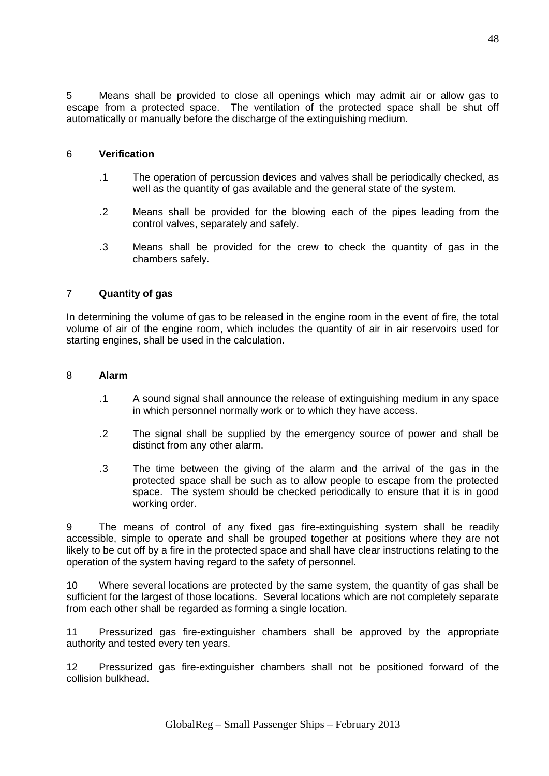5 Means shall be provided to close all openings which may admit air or allow gas to escape from a protected space. The ventilation of the protected space shall be shut off automatically or manually before the discharge of the extinguishing medium.

#### 6 **Verification**

- .1 The operation of percussion devices and valves shall be periodically checked, as well as the quantity of gas available and the general state of the system.
- .2 Means shall be provided for the blowing each of the pipes leading from the control valves, separately and safely.
- .3 Means shall be provided for the crew to check the quantity of gas in the chambers safely.

#### 7 **Quantity of gas**

In determining the volume of gas to be released in the engine room in the event of fire, the total volume of air of the engine room, which includes the quantity of air in air reservoirs used for starting engines, shall be used in the calculation.

#### 8 **Alarm**

- .1 A sound signal shall announce the release of extinguishing medium in any space in which personnel normally work or to which they have access.
- .2 The signal shall be supplied by the emergency source of power and shall be distinct from any other alarm.
- .3 The time between the giving of the alarm and the arrival of the gas in the protected space shall be such as to allow people to escape from the protected space. The system should be checked periodically to ensure that it is in good working order.

9 The means of control of any fixed gas fire-extinguishing system shall be readily accessible, simple to operate and shall be grouped together at positions where they are not likely to be cut off by a fire in the protected space and shall have clear instructions relating to the operation of the system having regard to the safety of personnel.

10 Where several locations are protected by the same system, the quantity of gas shall be sufficient for the largest of those locations. Several locations which are not completely separate from each other shall be regarded as forming a single location.

11 Pressurized gas fire-extinguisher chambers shall be approved by the appropriate authority and tested every ten years.

12 Pressurized gas fire-extinguisher chambers shall not be positioned forward of the collision bulkhead.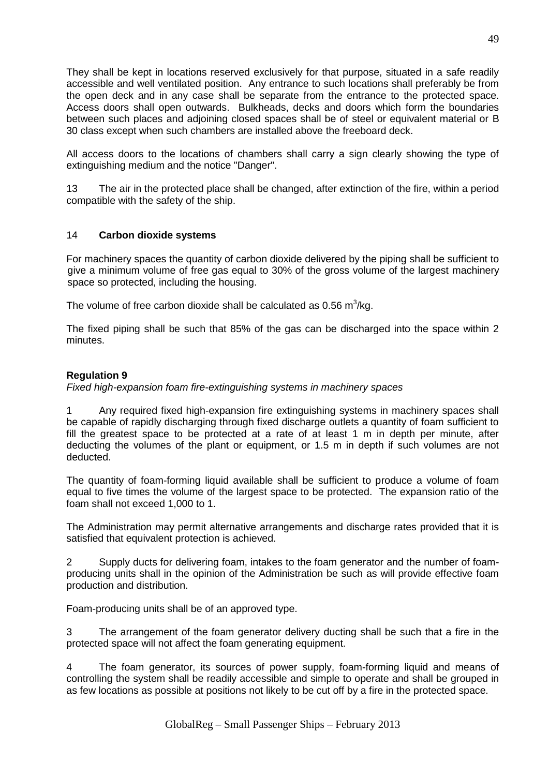They shall be kept in locations reserved exclusively for that purpose, situated in a safe readily accessible and well ventilated position. Any entrance to such locations shall preferably be from the open deck and in any case shall be separate from the entrance to the protected space. Access doors shall open outwards. Bulkheads, decks and doors which form the boundaries between such places and adjoining closed spaces shall be of steel or equivalent material or B 30 class except when such chambers are installed above the freeboard deck.

All access doors to the locations of chambers shall carry a sign clearly showing the type of extinguishing medium and the notice "Danger".

13 The air in the protected place shall be changed, after extinction of the fire, within a period compatible with the safety of the ship.

### 14 **Carbon dioxide systems**

For machinery spaces the quantity of carbon dioxide delivered by the piping shall be sufficient to give a minimum volume of free gas equal to 30% of the gross volume of the largest machinery space so protected, including the housing.

The volume of free carbon dioxide shall be calculated as  $0.56$  m $^3$ /kg.

The fixed piping shall be such that 85% of the gas can be discharged into the space within 2 minutes.

### **Regulation 9**

*Fixed high-expansion foam fire-extinguishing systems in machinery spaces*

1 Any required fixed high-expansion fire extinguishing systems in machinery spaces shall be capable of rapidly discharging through fixed discharge outlets a quantity of foam sufficient to fill the greatest space to be protected at a rate of at least 1 m in depth per minute, after deducting the volumes of the plant or equipment, or 1.5 m in depth if such volumes are not deducted.

The quantity of foam-forming liquid available shall be sufficient to produce a volume of foam equal to five times the volume of the largest space to be protected. The expansion ratio of the foam shall not exceed 1,000 to 1.

The Administration may permit alternative arrangements and discharge rates provided that it is satisfied that equivalent protection is achieved.

2 Supply ducts for delivering foam, intakes to the foam generator and the number of foamproducing units shall in the opinion of the Administration be such as will provide effective foam production and distribution.

Foam-producing units shall be of an approved type.

3 The arrangement of the foam generator delivery ducting shall be such that a fire in the protected space will not affect the foam generating equipment.

4 The foam generator, its sources of power supply, foam-forming liquid and means of controlling the system shall be readily accessible and simple to operate and shall be grouped in as few locations as possible at positions not likely to be cut off by a fire in the protected space.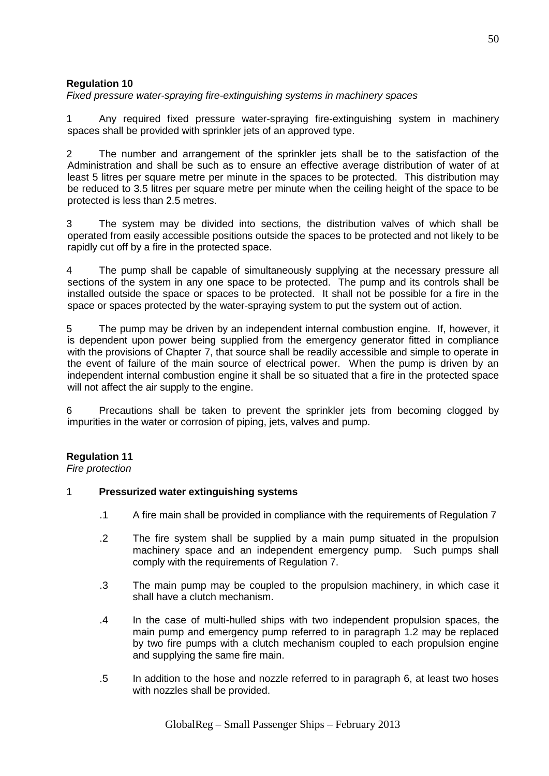*Fixed pressure water-spraying fire-extinguishing systems in machinery spaces*

1 Any required fixed pressure water-spraying fire-extinguishing system in machinery spaces shall be provided with sprinkler jets of an approved type.

2 The number and arrangement of the sprinkler jets shall be to the satisfaction of the Administration and shall be such as to ensure an effective average distribution of water of at least 5 litres per square metre per minute in the spaces to be protected. This distribution may be reduced to 3.5 litres per square metre per minute when the ceiling height of the space to be protected is less than 2.5 metres.

3 The system may be divided into sections, the distribution valves of which shall be operated from easily accessible positions outside the spaces to be protected and not likely to be rapidly cut off by a fire in the protected space.

4 The pump shall be capable of simultaneously supplying at the necessary pressure all sections of the system in any one space to be protected. The pump and its controls shall be installed outside the space or spaces to be protected. It shall not be possible for a fire in the space or spaces protected by the water-spraying system to put the system out of action.

5 The pump may be driven by an independent internal combustion engine. If, however, it is dependent upon power being supplied from the emergency generator fitted in compliance with the provisions of Chapter 7, that source shall be readily accessible and simple to operate in the event of failure of the main source of electrical power. When the pump is driven by an independent internal combustion engine it shall be so situated that a fire in the protected space will not affect the air supply to the engine.

6 Precautions shall be taken to prevent the sprinkler jets from becoming clogged by impurities in the water or corrosion of piping, jets, valves and pump.

### **Regulation 11**

*Fire protection*

### 1 **Pressurized water extinguishing systems**

- .1 A fire main shall be provided in compliance with the requirements of Regulation 7
- .2 The fire system shall be supplied by a main pump situated in the propulsion machinery space and an independent emergency pump. Such pumps shall comply with the requirements of Regulation 7.
- .3 The main pump may be coupled to the propulsion machinery, in which case it shall have a clutch mechanism.
- .4 In the case of multi-hulled ships with two independent propulsion spaces, the main pump and emergency pump referred to in paragraph 1.2 may be replaced by two fire pumps with a clutch mechanism coupled to each propulsion engine and supplying the same fire main.
- .5 In addition to the hose and nozzle referred to in paragraph 6, at least two hoses with nozzles shall be provided.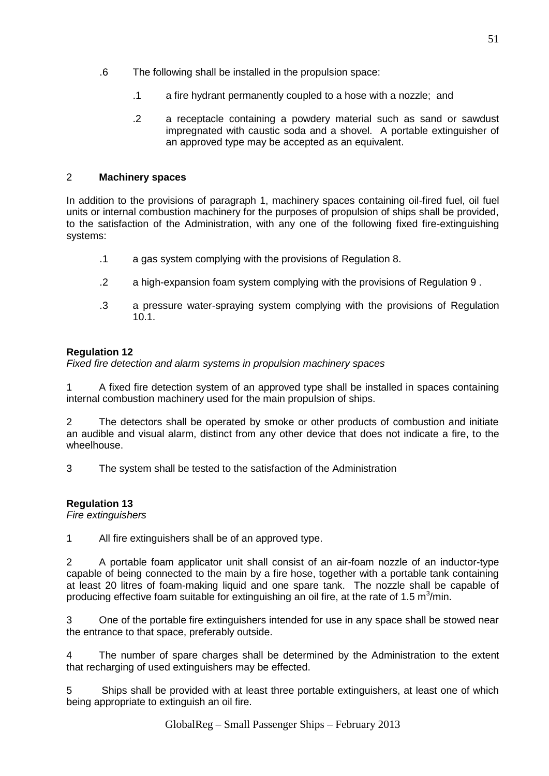- .6 The following shall be installed in the propulsion space:
	- .1 a fire hydrant permanently coupled to a hose with a nozzle; and
	- .2 a receptacle containing a powdery material such as sand or sawdust impregnated with caustic soda and a shovel. A portable extinguisher of an approved type may be accepted as an equivalent.

# 2 **Machinery spaces**

In addition to the provisions of paragraph 1, machinery spaces containing oil-fired fuel, oil fuel units or internal combustion machinery for the purposes of propulsion of ships shall be provided, to the satisfaction of the Administration, with any one of the following fixed fire-extinguishing systems:

- .1 a gas system complying with the provisions of Regulation 8.
- .2 a high-expansion foam system complying with the provisions of Regulation 9 .
- .3 a pressure water-spraying system complying with the provisions of Regulation 10.1.

# **Regulation 12**

*Fixed fire detection and alarm systems in propulsion machinery spaces*

1 A fixed fire detection system of an approved type shall be installed in spaces containing internal combustion machinery used for the main propulsion of ships.

2 The detectors shall be operated by smoke or other products of combustion and initiate an audible and visual alarm, distinct from any other device that does not indicate a fire, to the wheelhouse.

3 The system shall be tested to the satisfaction of the Administration

## **Regulation 13**

*Fire extinguishers*

1 All fire extinguishers shall be of an approved type.

2 A portable foam applicator unit shall consist of an air-foam nozzle of an inductor-type capable of being connected to the main by a fire hose, together with a portable tank containing at least 20 litres of foam-making liquid and one spare tank. The nozzle shall be capable of producing effective foam suitable for extinguishing an oil fire, at the rate of 1.5 m<sup>3</sup>/min.

3 One of the portable fire extinguishers intended for use in any space shall be stowed near the entrance to that space, preferably outside.

The number of spare charges shall be determined by the Administration to the extent that recharging of used extinguishers may be effected.

5 Ships shall be provided with at least three portable extinguishers, at least one of which being appropriate to extinguish an oil fire.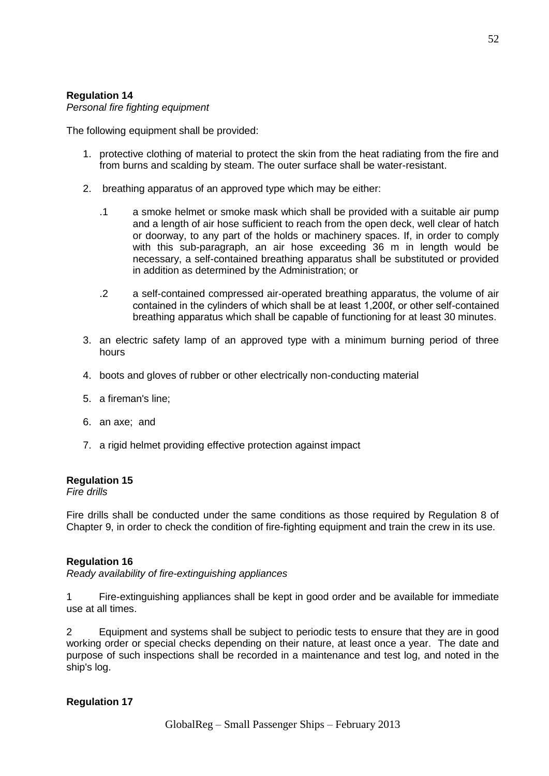*Personal fire fighting equipment*

The following equipment shall be provided:

- 1. protective clothing of material to protect the skin from the heat radiating from the fire and from burns and scalding by steam. The outer surface shall be water-resistant.
- 2. breathing apparatus of an approved type which may be either:
	- .1 a smoke helmet or smoke mask which shall be provided with a suitable air pump and a length of air hose sufficient to reach from the open deck, well clear of hatch or doorway, to any part of the holds or machinery spaces. If, in order to comply with this sub-paragraph, an air hose exceeding 36 m in length would be necessary, a self-contained breathing apparatus shall be substituted or provided in addition as determined by the Administration; or
	- .2 a self-contained compressed air-operated breathing apparatus, the volume of air contained in the cylinders of which shall be at least 1,200ℓ, or other self-contained breathing apparatus which shall be capable of functioning for at least 30 minutes.
- 3. an electric safety lamp of an approved type with a minimum burning period of three hours
- 4. boots and gloves of rubber or other electrically non-conducting material
- 5. a fireman's line;
- 6. an axe; and
- 7. a rigid helmet providing effective protection against impact

### **Regulation 15**

*Fire drills* 

Fire drills shall be conducted under the same conditions as those required by Regulation 8 of Chapter 9, in order to check the condition of fire-fighting equipment and train the crew in its use.

### **Regulation 16**

*Ready availability of fire-extinguishing appliances*

1 Fire-extinguishing appliances shall be kept in good order and be available for immediate use at all times.

2 Equipment and systems shall be subject to periodic tests to ensure that they are in good working order or special checks depending on their nature, at least once a year. The date and purpose of such inspections shall be recorded in a maintenance and test log, and noted in the ship's log.

## **Regulation 17**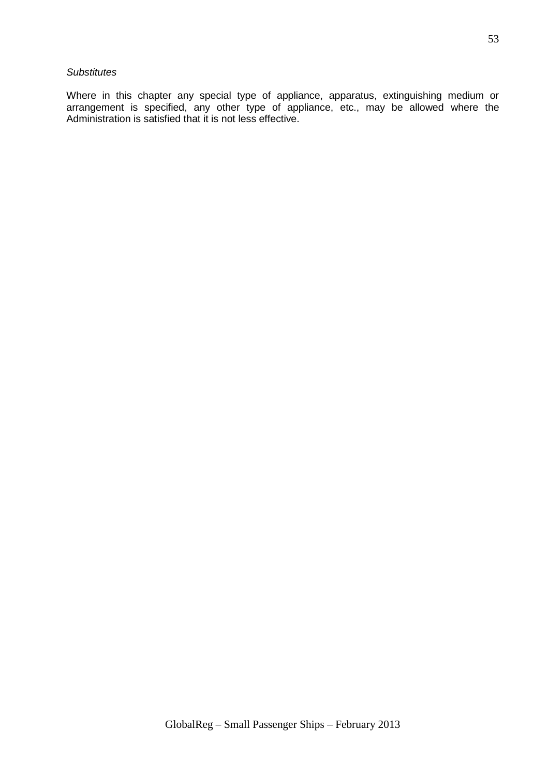#### *Substitutes*

Where in this chapter any special type of appliance, apparatus, extinguishing medium or arrangement is specified, any other type of appliance, etc., may be allowed where the Administration is satisfied that it is not less effective.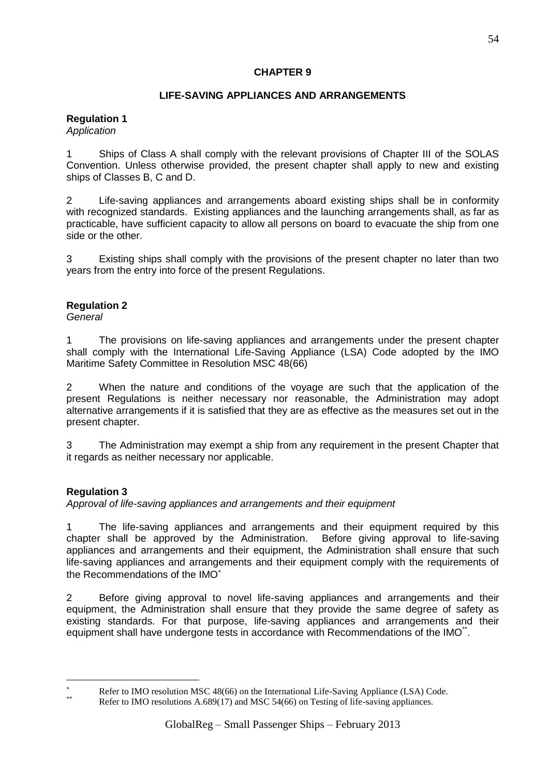# **CHAPTER 9**

# **LIFE-SAVING APPLIANCES AND ARRANGEMENTS**

#### **Regulation 1** *Application*

1 Ships of Class A shall comply with the relevant provisions of Chapter III of the SOLAS Convention. Unless otherwise provided, the present chapter shall apply to new and existing ships of Classes B, C and D.

2 Life-saving appliances and arrangements aboard existing ships shall be in conformity with recognized standards. Existing appliances and the launching arrangements shall, as far as practicable, have sufficient capacity to allow all persons on board to evacuate the ship from one side or the other.

3 Existing ships shall comply with the provisions of the present chapter no later than two years from the entry into force of the present Regulations.

## **Regulation 2**

*General*

1 The provisions on life-saving appliances and arrangements under the present chapter shall comply with the International Life-Saving Appliance (LSA) Code adopted by the IMO Maritime Safety Committee in Resolution MSC 48(66)

2 When the nature and conditions of the voyage are such that the application of the present Regulations is neither necessary nor reasonable, the Administration may adopt alternative arrangements if it is satisfied that they are as effective as the measures set out in the present chapter.

3 The Administration may exempt a ship from any requirement in the present Chapter that it regards as neither necessary nor applicable.

# **Regulation 3**

1

*Approval of life-saving appliances and arrangements and their equipment*

1 The life-saving appliances and arrangements and their equipment required by this chapter shall be approved by the Administration. Before giving approval to life-saving appliances and arrangements and their equipment, the Administration shall ensure that such life-saving appliances and arrangements and their equipment comply with the requirements of the Recommendations of the IMO

2 Before giving approval to novel life-saving appliances and arrangements and their equipment, the Administration shall ensure that they provide the same degree of safety as existing standards. For that purpose, life-saving appliances and arrangements and their equipment shall have undergone tests in accordance with Recommendations of the IMO\*\*.

Refer to IMO resolution MSC 48(66) on the International Life-Saving Appliance (LSA) Code.

Refer to IMO resolutions A.689(17) and MSC 54(66) on Testing of life-saving appliances.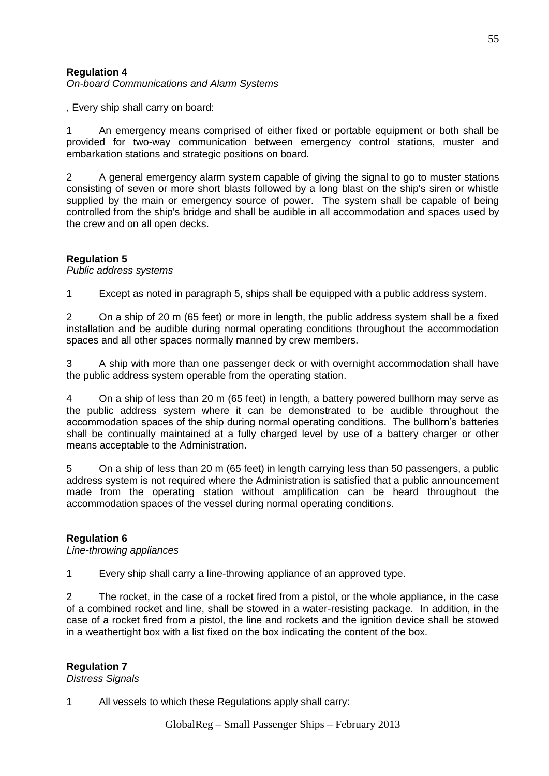*On-board Communications and Alarm Systems*

, Every ship shall carry on board:

1 An emergency means comprised of either fixed or portable equipment or both shall be provided for two-way communication between emergency control stations, muster and embarkation stations and strategic positions on board.

2 A general emergency alarm system capable of giving the signal to go to muster stations consisting of seven or more short blasts followed by a long blast on the ship's siren or whistle supplied by the main or emergency source of power. The system shall be capable of being controlled from the ship's bridge and shall be audible in all accommodation and spaces used by the crew and on all open decks.

### **Regulation 5**

*Public address systems*

1 Except as noted in paragraph 5, ships shall be equipped with a public address system.

2 On a ship of 20 m (65 feet) or more in length, the public address system shall be a fixed installation and be audible during normal operating conditions throughout the accommodation spaces and all other spaces normally manned by crew members.

3 A ship with more than one passenger deck or with overnight accommodation shall have the public address system operable from the operating station.

4 On a ship of less than 20 m (65 feet) in length, a battery powered bullhorn may serve as the public address system where it can be demonstrated to be audible throughout the accommodation spaces of the ship during normal operating conditions. The bullhorn's batteries shall be continually maintained at a fully charged level by use of a battery charger or other means acceptable to the Administration.

5 On a ship of less than 20 m (65 feet) in length carrying less than 50 passengers, a public address system is not required where the Administration is satisfied that a public announcement made from the operating station without amplification can be heard throughout the accommodation spaces of the vessel during normal operating conditions.

### **Regulation 6**

*Line-throwing appliances*

1 Every ship shall carry a line-throwing appliance of an approved type.

2 The rocket, in the case of a rocket fired from a pistol, or the whole appliance, in the case of a combined rocket and line, shall be stowed in a water-resisting package. In addition, in the case of a rocket fired from a pistol, the line and rockets and the ignition device shall be stowed in a weathertight box with a list fixed on the box indicating the content of the box.

#### **Regulation 7**

*Distress Signals*

1 All vessels to which these Regulations apply shall carry: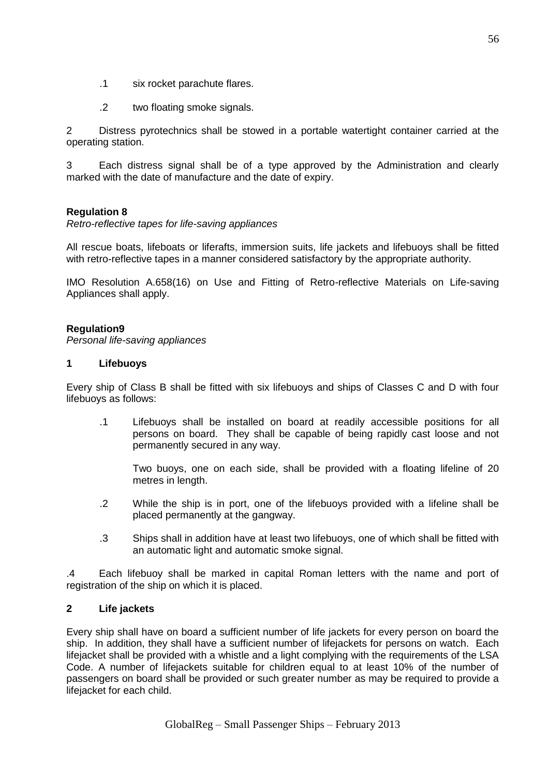- .1 six rocket parachute flares.
- .2 two floating smoke signals.

2 Distress pyrotechnics shall be stowed in a portable watertight container carried at the operating station.

3 Each distress signal shall be of a type approved by the Administration and clearly marked with the date of manufacture and the date of expiry.

### **Regulation 8**

*Retro-reflective tapes for life-saving appliances*

All rescue boats, lifeboats or liferafts, immersion suits, life jackets and lifebuoys shall be fitted with retro-reflective tapes in a manner considered satisfactory by the appropriate authority.

IMO Resolution A.658(16) on Use and Fitting of Retro-reflective Materials on Life-saving Appliances shall apply.

### **Regulation9**

*Personal life-saving appliances*

#### **1 Lifebuoys**

Every ship of Class B shall be fitted with six lifebuoys and ships of Classes C and D with four lifebuoys as follows:

.1 Lifebuoys shall be installed on board at readily accessible positions for all persons on board. They shall be capable of being rapidly cast loose and not permanently secured in any way.

Two buoys, one on each side, shall be provided with a floating lifeline of 20 metres in length.

- .2 While the ship is in port, one of the lifebuoys provided with a lifeline shall be placed permanently at the gangway.
- .3 Ships shall in addition have at least two lifebuoys, one of which shall be fitted with an automatic light and automatic smoke signal.

.4 Each lifebuoy shall be marked in capital Roman letters with the name and port of registration of the ship on which it is placed.

### **2 Life jackets**

Every ship shall have on board a sufficient number of life jackets for every person on board the ship. In addition, they shall have a sufficient number of lifejackets for persons on watch. Each lifejacket shall be provided with a whistle and a light complying with the requirements of the LSA Code. A number of lifejackets suitable for children equal to at least 10% of the number of passengers on board shall be provided or such greater number as may be required to provide a lifejacket for each child.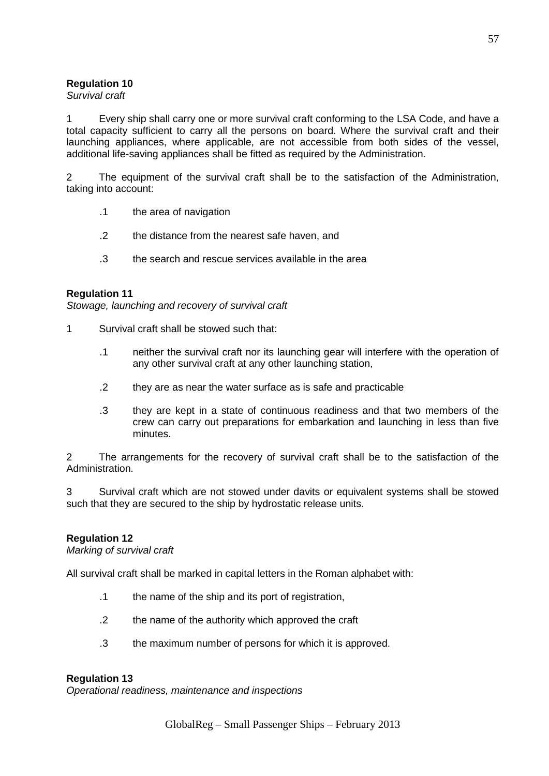### *Survival craft*

Every ship shall carry one or more survival craft conforming to the LSA Code, and have a total capacity sufficient to carry all the persons on board. Where the survival craft and their launching appliances, where applicable, are not accessible from both sides of the vessel, additional life-saving appliances shall be fitted as required by the Administration.

2 The equipment of the survival craft shall be to the satisfaction of the Administration, taking into account:

- .1 the area of navigation
- .2 the distance from the nearest safe haven, and
- .3 the search and rescue services available in the area

#### **Regulation 11**

*Stowage, launching and recovery of survival craft*

- 1 Survival craft shall be stowed such that:
	- .1 neither the survival craft nor its launching gear will interfere with the operation of any other survival craft at any other launching station,
	- .2 they are as near the water surface as is safe and practicable
	- .3 they are kept in a state of continuous readiness and that two members of the crew can carry out preparations for embarkation and launching in less than five minutes.

2 The arrangements for the recovery of survival craft shall be to the satisfaction of the Administration.

3 Survival craft which are not stowed under davits or equivalent systems shall be stowed such that they are secured to the ship by hydrostatic release units.

### **Regulation 12**

*Marking of survival craft* 

All survival craft shall be marked in capital letters in the Roman alphabet with:

- .1 the name of the ship and its port of registration,
- .2 the name of the authority which approved the craft
- .3 the maximum number of persons for which it is approved.

#### **Regulation 13**

*Operational readiness, maintenance and inspections*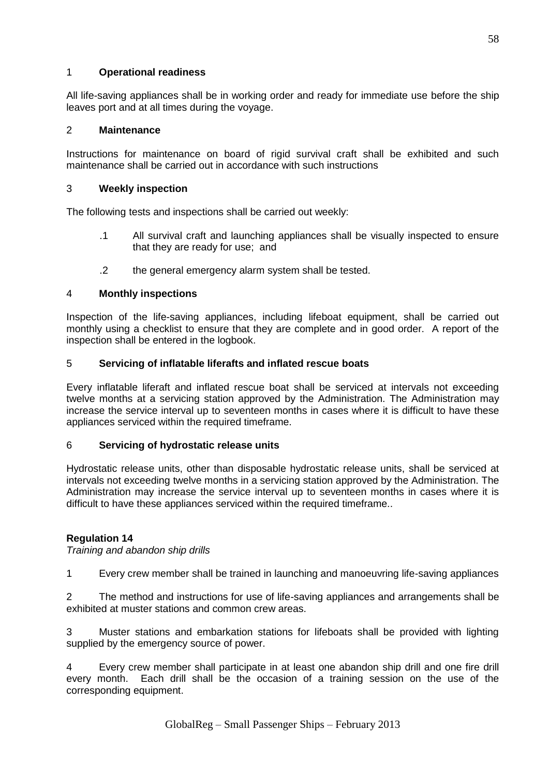## 1 **Operational readiness**

All life-saving appliances shall be in working order and ready for immediate use before the ship leaves port and at all times during the voyage.

### 2 **Maintenance**

Instructions for maintenance on board of rigid survival craft shall be exhibited and such maintenance shall be carried out in accordance with such instructions

### 3 **Weekly inspection**

The following tests and inspections shall be carried out weekly:

- .1 All survival craft and launching appliances shall be visually inspected to ensure that they are ready for use; and
- .2 the general emergency alarm system shall be tested.

### 4 **Monthly inspections**

Inspection of the life-saving appliances, including lifeboat equipment, shall be carried out monthly using a checklist to ensure that they are complete and in good order. A report of the inspection shall be entered in the logbook.

### 5 **Servicing of inflatable liferafts and inflated rescue boats**

Every inflatable liferaft and inflated rescue boat shall be serviced at intervals not exceeding twelve months at a servicing station approved by the Administration. The Administration may increase the service interval up to seventeen months in cases where it is difficult to have these appliances serviced within the required timeframe.

### 6 **Servicing of hydrostatic release units**

Hydrostatic release units, other than disposable hydrostatic release units, shall be serviced at intervals not exceeding twelve months in a servicing station approved by the Administration. The Administration may increase the service interval up to seventeen months in cases where it is difficult to have these appliances serviced within the required timeframe..

## **Regulation 14**

*Training and abandon ship drills*

1 Every crew member shall be trained in launching and manoeuvring life-saving appliances

2 The method and instructions for use of life-saving appliances and arrangements shall be exhibited at muster stations and common crew areas.

3 Muster stations and embarkation stations for lifeboats shall be provided with lighting supplied by the emergency source of power.

4 Every crew member shall participate in at least one abandon ship drill and one fire drill every month. Each drill shall be the occasion of a training session on the use of the corresponding equipment.

58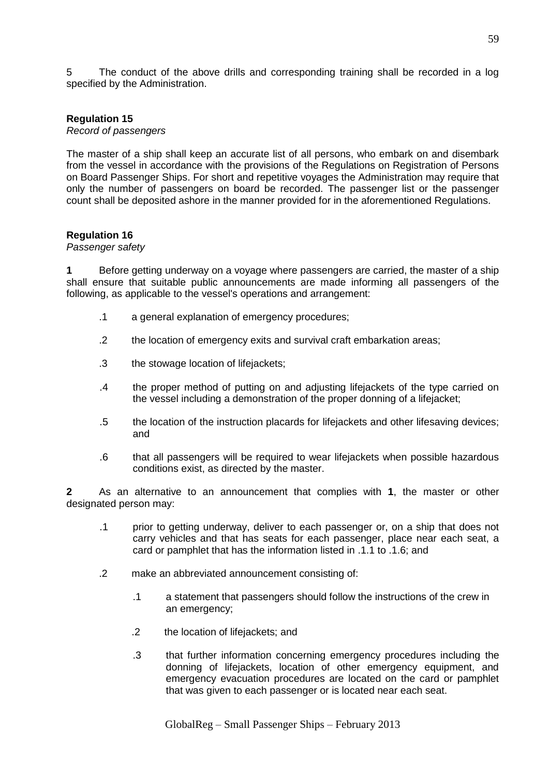5 The conduct of the above drills and corresponding training shall be recorded in a log specified by the Administration.

#### **Regulation 15**

*Record of passengers*

The master of a ship shall keep an accurate list of all persons, who embark on and disembark from the vessel in accordance with the provisions of the Regulations on Registration of Persons on Board Passenger Ships. For short and repetitive voyages the Administration may require that only the number of passengers on board be recorded. The passenger list or the passenger count shall be deposited ashore in the manner provided for in the aforementioned Regulations.

#### **Regulation 16**

#### *Passenger safety*

**1** Before getting underway on a voyage where passengers are carried, the master of a ship shall ensure that suitable public announcements are made informing all passengers of the following, as applicable to the vessel's operations and arrangement:

- .1 a general explanation of emergency procedures;
- .2 the location of emergency exits and survival craft embarkation areas;
- .3 the stowage location of lifejackets;
- .4 the proper method of putting on and adjusting lifejackets of the type carried on the vessel including a demonstration of the proper donning of a lifejacket;
- .5 the location of the instruction placards for lifejackets and other lifesaving devices; and
- .6 that all passengers will be required to wear lifejackets when possible hazardous conditions exist, as directed by the master.

**2** As an alternative to an announcement that complies with **1**, the master or other designated person may:

- .1 prior to getting underway, deliver to each passenger or, on a ship that does not carry vehicles and that has seats for each passenger, place near each seat, a card or pamphlet that has the information listed in .1.1 to .1.6; and
- .2 make an abbreviated announcement consisting of:
	- .1 a statement that passengers should follow the instructions of the crew in an emergency;
	- .2 the location of lifejackets; and
	- .3 that further information concerning emergency procedures including the donning of lifejackets, location of other emergency equipment, and emergency evacuation procedures are located on the card or pamphlet that was given to each passenger or is located near each seat.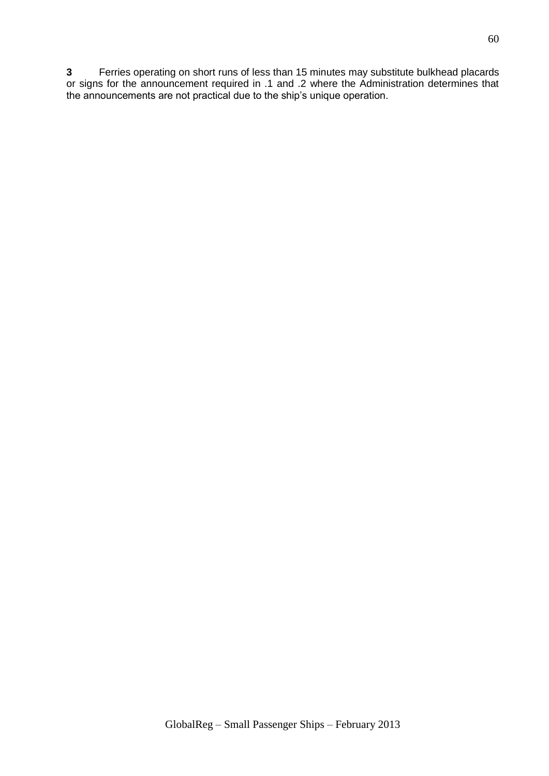**3** Ferries operating on short runs of less than 15 minutes may substitute bulkhead placards or signs for the announcement required in .1 and .2 where the Administration determines that the announcements are not practical due to the ship's unique operation.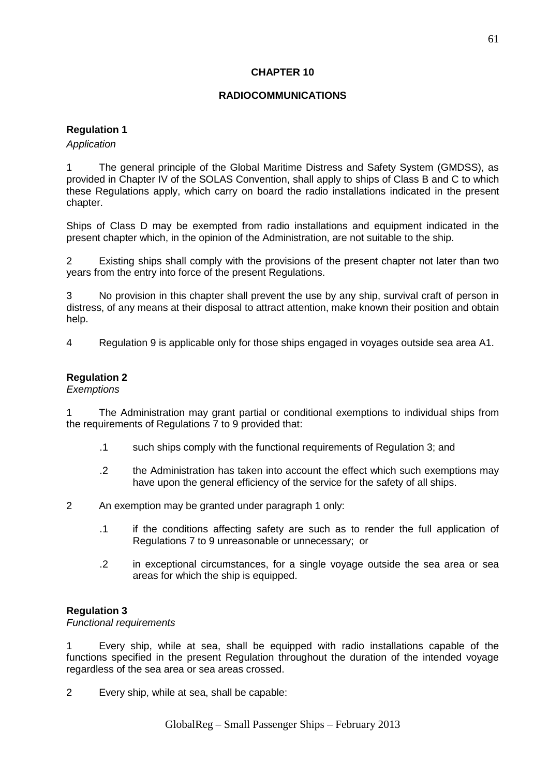### **CHAPTER 10**

### **RADIOCOMMUNICATIONS**

### **Regulation 1**

#### *Application*

1 The general principle of the Global Maritime Distress and Safety System (GMDSS), as provided in Chapter IV of the SOLAS Convention, shall apply to ships of Class B and C to which these Regulations apply, which carry on board the radio installations indicated in the present chapter.

Ships of Class D may be exempted from radio installations and equipment indicated in the present chapter which, in the opinion of the Administration, are not suitable to the ship.

2 Existing ships shall comply with the provisions of the present chapter not later than two years from the entry into force of the present Regulations.

3 No provision in this chapter shall prevent the use by any ship, survival craft of person in distress, of any means at their disposal to attract attention, make known their position and obtain help.

4 Regulation 9 is applicable only for those ships engaged in voyages outside sea area A1.

### **Regulation 2**

*Exemptions*

1 The Administration may grant partial or conditional exemptions to individual ships from the requirements of Regulations 7 to 9 provided that:

- .1 such ships comply with the functional requirements of Regulation 3; and
- .2 the Administration has taken into account the effect which such exemptions may have upon the general efficiency of the service for the safety of all ships.
- 2 An exemption may be granted under paragraph 1 only:
	- .1 if the conditions affecting safety are such as to render the full application of Regulations 7 to 9 unreasonable or unnecessary; or
	- .2 in exceptional circumstances, for a single voyage outside the sea area or sea areas for which the ship is equipped.

### **Regulation 3**

*Functional requirements*

1 Every ship, while at sea, shall be equipped with radio installations capable of the functions specified in the present Regulation throughout the duration of the intended voyage regardless of the sea area or sea areas crossed.

2 Every ship, while at sea, shall be capable: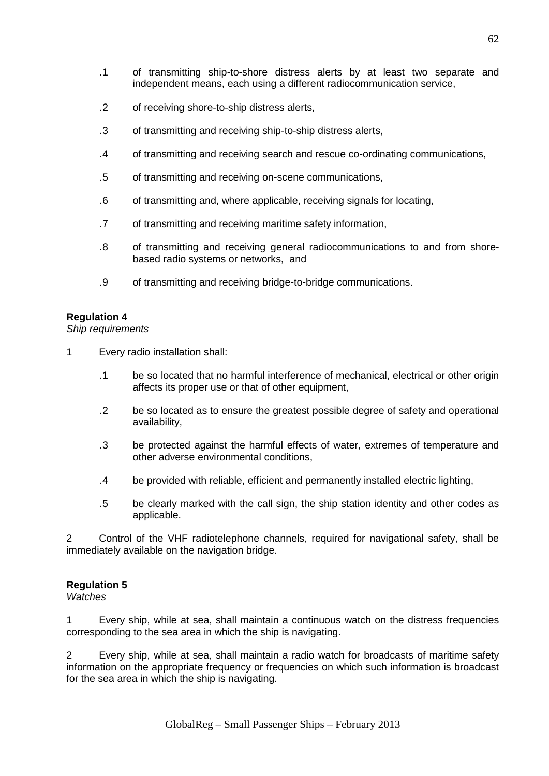- .1 of transmitting ship-to-shore distress alerts by at least two separate and independent means, each using a different radiocommunication service,
- .2 of receiving shore-to-ship distress alerts,
- .3 of transmitting and receiving ship-to-ship distress alerts,
- .4 of transmitting and receiving search and rescue co-ordinating communications,
- .5 of transmitting and receiving on-scene communications,
- .6 of transmitting and, where applicable, receiving signals for locating,
- .7 of transmitting and receiving maritime safety information,
- .8 of transmitting and receiving general radiocommunications to and from shorebased radio systems or networks, and
- .9 of transmitting and receiving bridge-to-bridge communications.

#### *Ship requirements*

- 1 Every radio installation shall:
	- .1 be so located that no harmful interference of mechanical, electrical or other origin affects its proper use or that of other equipment,
	- .2 be so located as to ensure the greatest possible degree of safety and operational availability,
	- .3 be protected against the harmful effects of water, extremes of temperature and other adverse environmental conditions,
	- .4 be provided with reliable, efficient and permanently installed electric lighting,
	- .5 be clearly marked with the call sign, the ship station identity and other codes as applicable.

2 Control of the VHF radiotelephone channels, required for navigational safety, shall be immediately available on the navigation bridge.

### **Regulation 5**

*Watches*

1 Every ship, while at sea, shall maintain a continuous watch on the distress frequencies corresponding to the sea area in which the ship is navigating.

2 Every ship, while at sea, shall maintain a radio watch for broadcasts of maritime safety information on the appropriate frequency or frequencies on which such information is broadcast for the sea area in which the ship is navigating.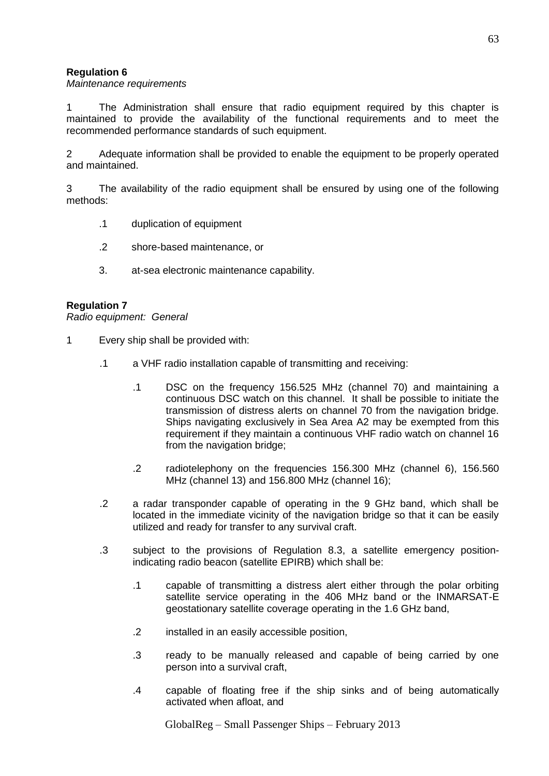### *Maintenance requirements*

1 The Administration shall ensure that radio equipment required by this chapter is maintained to provide the availability of the functional requirements and to meet the recommended performance standards of such equipment.

2 Adequate information shall be provided to enable the equipment to be properly operated and maintained.

3 The availability of the radio equipment shall be ensured by using one of the following methods:

- .1 duplication of equipment
- .2 shore-based maintenance, or
- 3. at-sea electronic maintenance capability.

### **Regulation 7**

*Radio equipment: General*

- 1 Every ship shall be provided with:
	- .1 a VHF radio installation capable of transmitting and receiving:
		- .1 DSC on the frequency 156.525 MHz (channel 70) and maintaining a continuous DSC watch on this channel. It shall be possible to initiate the transmission of distress alerts on channel 70 from the navigation bridge. Ships navigating exclusively in Sea Area A2 may be exempted from this requirement if they maintain a continuous VHF radio watch on channel 16 from the navigation bridge;
		- .2 radiotelephony on the frequencies 156.300 MHz (channel 6), 156.560 MHz (channel 13) and 156.800 MHz (channel 16);
	- .2 a radar transponder capable of operating in the 9 GHz band, which shall be located in the immediate vicinity of the navigation bridge so that it can be easily utilized and ready for transfer to any survival craft.
	- .3 subject to the provisions of Regulation 8.3, a satellite emergency positionindicating radio beacon (satellite EPIRB) which shall be:
		- .1 capable of transmitting a distress alert either through the polar orbiting satellite service operating in the 406 MHz band or the INMARSAT-E geostationary satellite coverage operating in the 1.6 GHz band,
		- .2 installed in an easily accessible position,
		- .3 ready to be manually released and capable of being carried by one person into a survival craft,
		- .4 capable of floating free if the ship sinks and of being automatically activated when afloat, and

GlobalReg – Small Passenger Ships – February 2013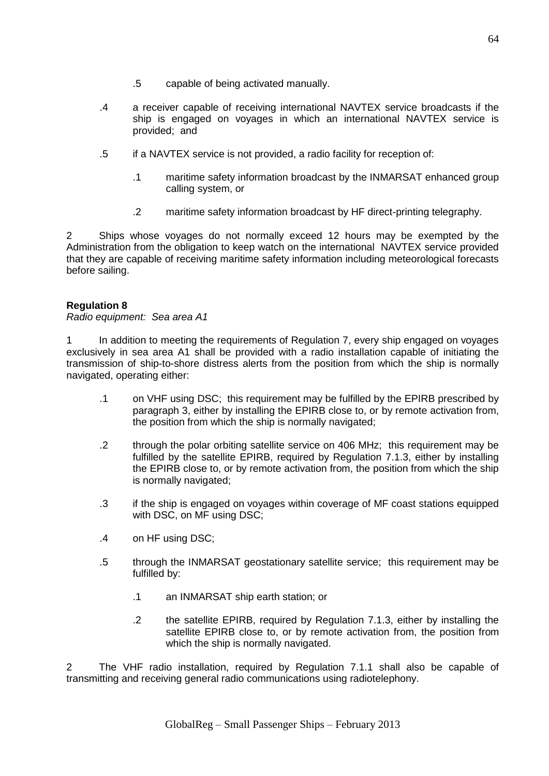- .5 capable of being activated manually.
- .4 a receiver capable of receiving international NAVTEX service broadcasts if the ship is engaged on voyages in which an international NAVTEX service is provided; and
- .5 if a NAVTEX service is not provided, a radio facility for reception of:
	- .1 maritime safety information broadcast by the INMARSAT enhanced group calling system, or
	- .2 maritime safety information broadcast by HF direct-printing telegraphy.

2 Ships whose voyages do not normally exceed 12 hours may be exempted by the Administration from the obligation to keep watch on the international NAVTEX service provided that they are capable of receiving maritime safety information including meteorological forecasts before sailing.

### **Regulation 8**

*Radio equipment: Sea area A1*

1 In addition to meeting the requirements of Regulation 7, every ship engaged on voyages exclusively in sea area A1 shall be provided with a radio installation capable of initiating the transmission of ship-to-shore distress alerts from the position from which the ship is normally navigated, operating either:

- .1 on VHF using DSC; this requirement may be fulfilled by the EPIRB prescribed by paragraph 3, either by installing the EPIRB close to, or by remote activation from, the position from which the ship is normally navigated;
- .2 through the polar orbiting satellite service on 406 MHz; this requirement may be fulfilled by the satellite EPIRB, required by Regulation 7.1.3, either by installing the EPIRB close to, or by remote activation from, the position from which the ship is normally navigated;
- .3 if the ship is engaged on voyages within coverage of MF coast stations equipped with DSC, on MF using DSC;
- .4 on HF using DSC;
- .5 through the INMARSAT geostationary satellite service; this requirement may be fulfilled by:
	- .1 an INMARSAT ship earth station; or
	- .2 the satellite EPIRB, required by Regulation 7.1.3, either by installing the satellite EPIRB close to, or by remote activation from, the position from which the ship is normally navigated.

2 The VHF radio installation, required by Regulation 7.1.1 shall also be capable of transmitting and receiving general radio communications using radiotelephony.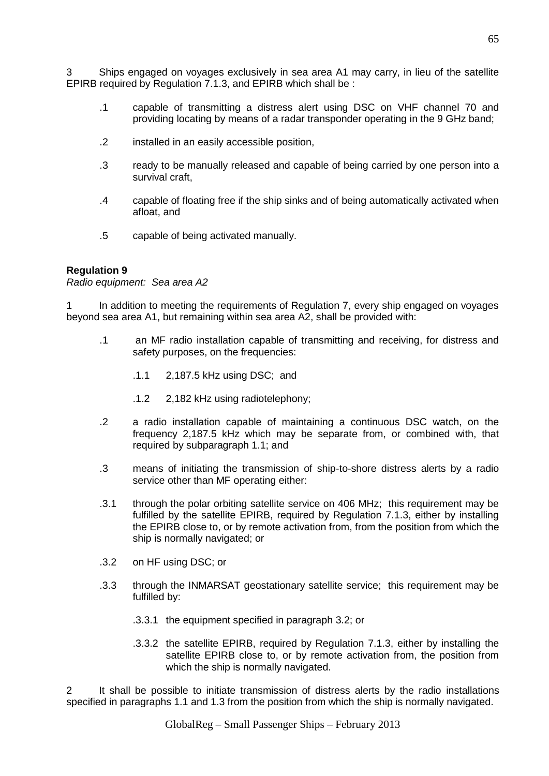3 Ships engaged on voyages exclusively in sea area A1 may carry, in lieu of the satellite EPIRB required by Regulation 7.1.3, and EPIRB which shall be :

- .1 capable of transmitting a distress alert using DSC on VHF channel 70 and providing locating by means of a radar transponder operating in the 9 GHz band;
- .2 installed in an easily accessible position,
- .3 ready to be manually released and capable of being carried by one person into a survival craft,
- .4 capable of floating free if the ship sinks and of being automatically activated when afloat, and
- .5 capable of being activated manually.

#### **Regulation 9**

*Radio equipment: Sea area A2*

In addition to meeting the requirements of Regulation 7, every ship engaged on voyages beyond sea area A1, but remaining within sea area A2, shall be provided with:

- .1 an MF radio installation capable of transmitting and receiving, for distress and safety purposes, on the frequencies:
	- .1.1 2,187.5 kHz using DSC; and
	- .1.2 2,182 kHz using radiotelephony;
- .2 a radio installation capable of maintaining a continuous DSC watch, on the frequency 2,187.5 kHz which may be separate from, or combined with, that required by subparagraph 1.1; and
- .3 means of initiating the transmission of ship-to-shore distress alerts by a radio service other than MF operating either:
- .3.1 through the polar orbiting satellite service on 406 MHz; this requirement may be fulfilled by the satellite EPIRB, required by Regulation 7.1.3, either by installing the EPIRB close to, or by remote activation from, from the position from which the ship is normally navigated; or
- .3.2 on HF using DSC; or
- .3.3 through the INMARSAT geostationary satellite service; this requirement may be fulfilled by:
	- .3.3.1 the equipment specified in paragraph 3.2; or
	- .3.3.2 the satellite EPIRB, required by Regulation 7.1.3, either by installing the satellite EPIRB close to, or by remote activation from, the position from which the ship is normally navigated.

2 It shall be possible to initiate transmission of distress alerts by the radio installations specified in paragraphs 1.1 and 1.3 from the position from which the ship is normally navigated.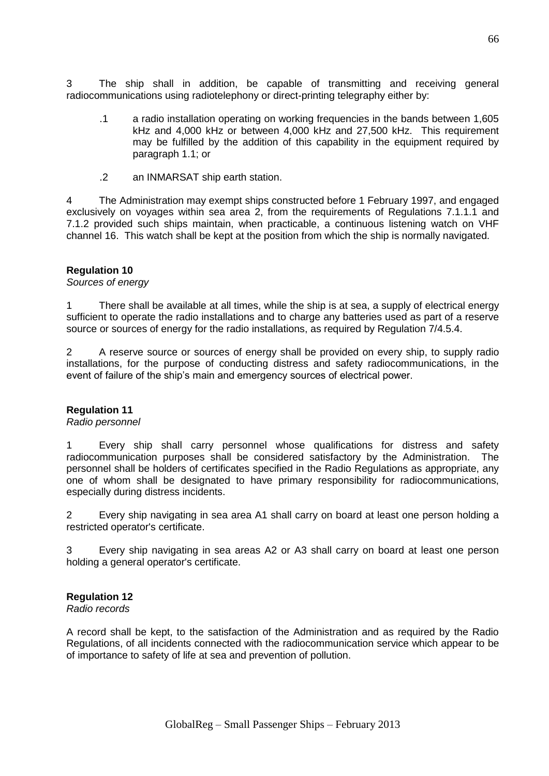3 The ship shall in addition, be capable of transmitting and receiving general radiocommunications using radiotelephony or direct-printing telegraphy either by:

- .1 a radio installation operating on working frequencies in the bands between 1,605 kHz and 4,000 kHz or between 4,000 kHz and 27,500 kHz. This requirement may be fulfilled by the addition of this capability in the equipment required by paragraph 1.1; or
- .2 an INMARSAT ship earth station.

4 The Administration may exempt ships constructed before 1 February 1997, and engaged exclusively on voyages within sea area 2, from the requirements of Regulations 7.1.1.1 and 7.1.2 provided such ships maintain, when practicable, a continuous listening watch on VHF channel 16. This watch shall be kept at the position from which the ship is normally navigated.

### **Regulation 10**

*Sources of energy*

1 There shall be available at all times, while the ship is at sea, a supply of electrical energy sufficient to operate the radio installations and to charge any batteries used as part of a reserve source or sources of energy for the radio installations, as required by Regulation 7/4.5.4.

2 A reserve source or sources of energy shall be provided on every ship, to supply radio installations, for the purpose of conducting distress and safety radiocommunications, in the event of failure of the ship's main and emergency sources of electrical power.

#### **Regulation 11**

#### *Radio personnel*

1 Every ship shall carry personnel whose qualifications for distress and safety radiocommunication purposes shall be considered satisfactory by the Administration. The personnel shall be holders of certificates specified in the Radio Regulations as appropriate, any one of whom shall be designated to have primary responsibility for radiocommunications, especially during distress incidents.

2 Every ship navigating in sea area A1 shall carry on board at least one person holding a restricted operator's certificate.

3 Every ship navigating in sea areas A2 or A3 shall carry on board at least one person holding a general operator's certificate.

## **Regulation 12**

*Radio records*

A record shall be kept, to the satisfaction of the Administration and as required by the Radio Regulations, of all incidents connected with the radiocommunication service which appear to be of importance to safety of life at sea and prevention of pollution.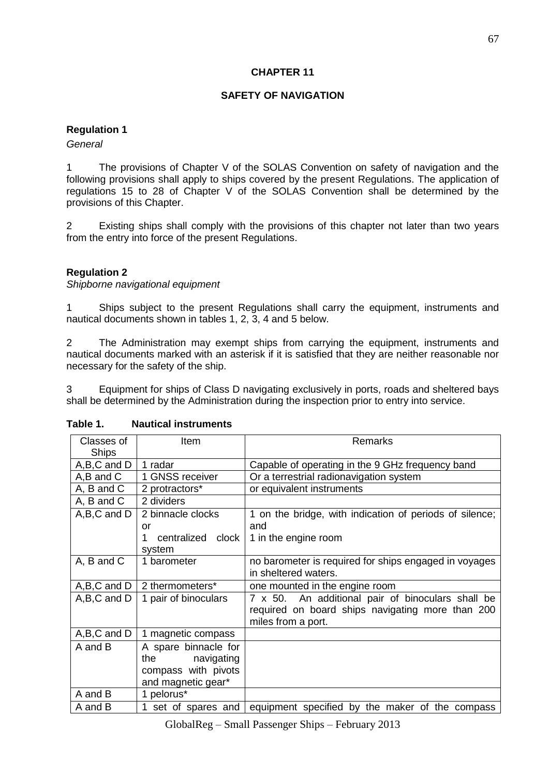## **CHAPTER 11**

## **SAFETY OF NAVIGATION**

### **Regulation 1**

### *General*

1 The provisions of Chapter V of the SOLAS Convention on safety of navigation and the following provisions shall apply to ships covered by the present Regulations. The application of regulations 15 to 28 of Chapter V of the SOLAS Convention shall be determined by the provisions of this Chapter.

2 Existing ships shall comply with the provisions of this chapter not later than two years from the entry into force of the present Regulations.

### **Regulation 2**

*Shipborne navigational equipment*

1 Ships subject to the present Regulations shall carry the equipment, instruments and nautical documents shown in tables 1, 2, 3, 4 and 5 below.

2 The Administration may exempt ships from carrying the equipment, instruments and nautical documents marked with an asterisk if it is satisfied that they are neither reasonable nor necessary for the safety of the ship.

3 Equipment for ships of Class D navigating exclusively in ports, roads and sheltered bays shall be determined by the Administration during the inspection prior to entry into service.

| Classes of            | Item                                                                                | Remarks                                                                                                                     |
|-----------------------|-------------------------------------------------------------------------------------|-----------------------------------------------------------------------------------------------------------------------------|
| <b>Ships</b>          |                                                                                     |                                                                                                                             |
| A,B,C and D           | 1 radar                                                                             | Capable of operating in the 9 GHz frequency band                                                                            |
| A,B and C             | 1 GNSS receiver                                                                     | Or a terrestrial radionavigation system                                                                                     |
| A, B and C            | 2 protractors*                                                                      | or equivalent instruments                                                                                                   |
| A, B and C            | 2 dividers                                                                          |                                                                                                                             |
| A,B,C and D           | 2 binnacle clocks<br>or<br>centralized clock<br>1<br>system                         | 1 on the bridge, with indication of periods of silence;<br>and<br>1 in the engine room                                      |
| A, B and C            | 1 barometer                                                                         | no barometer is required for ships engaged in voyages<br>in sheltered waters.                                               |
| A, B, C and D $\vert$ | 2 thermometers*                                                                     | one mounted in the engine room                                                                                              |
| A,B,C and D           | 1 pair of binoculars                                                                | 7 x 50. An additional pair of binoculars shall be<br>required on board ships navigating more than 200<br>miles from a port. |
| A,B,C and D           | 1 magnetic compass                                                                  |                                                                                                                             |
| A and B               | A spare binnacle for<br>the navigating<br>compass with pivots<br>and magnetic gear* |                                                                                                                             |
| A and B               | 1 pelorus*                                                                          |                                                                                                                             |
| A and B               | 1 set of spares and                                                                 | equipment specified by the maker of the compass                                                                             |

#### **Table 1. Nautical instruments**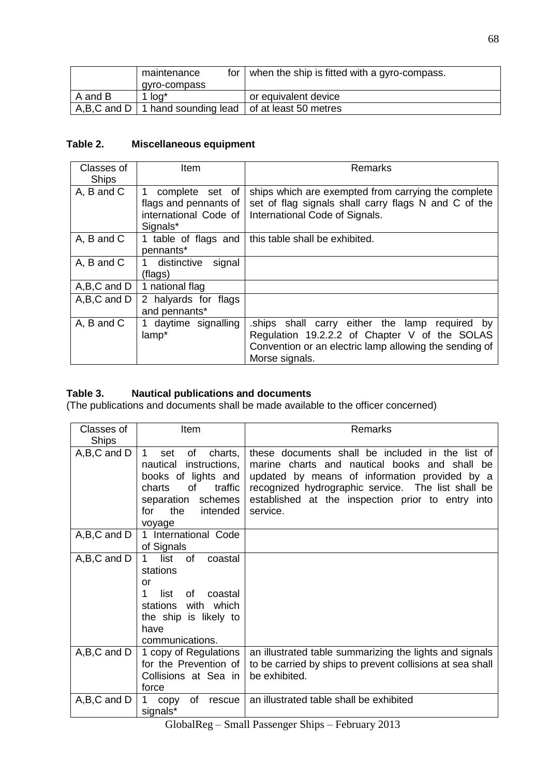|         | maintenance                                                    | for $\vert$ when the ship is fitted with a gyro-compass. |
|---------|----------------------------------------------------------------|----------------------------------------------------------|
|         | qyro-compass                                                   |                                                          |
| A and B | 1 log*                                                         | or equivalent device                                     |
|         | $A, B, C$ and D   1 hand sounding lead   of at least 50 metres |                                                          |

# **Table 2. Miscellaneous equipment**

| Classes of<br><b>Ships</b> | Item                                                                          | <b>Remarks</b>                                                                                                                                                                   |
|----------------------------|-------------------------------------------------------------------------------|----------------------------------------------------------------------------------------------------------------------------------------------------------------------------------|
| A, B and C                 | complete set of<br>flags and pennants of<br>international Code of<br>Signals* | ships which are exempted from carrying the complete<br>set of flag signals shall carry flags N and C of the<br>International Code of Signals.                                    |
| A, B and C                 | 1 table of flags and<br>pennants*                                             | this table shall be exhibited.                                                                                                                                                   |
| A, B and C                 | 1 distinctive<br>signal<br>(flags)                                            |                                                                                                                                                                                  |
| A,B,C and D                | 1 national flag                                                               |                                                                                                                                                                                  |
| A,B,C and D                | 2 halyards for flags<br>and pennants*                                         |                                                                                                                                                                                  |
| A, B and C                 | daytime signalling<br>lamp*                                                   | ships shall carry either the lamp<br>required<br>by<br>Regulation 19.2.2.2 of Chapter V of the SOLAS<br>Convention or an electric lamp allowing the sending of<br>Morse signals. |

# **Table 3. Nautical publications and documents**

(The publications and documents shall be made available to the officer concerned)

| Classes of<br><b>Ships</b> | Item                                                                                                                                                                | <b>Remarks</b>                                                                                                                                                                                                                                                            |
|----------------------------|---------------------------------------------------------------------------------------------------------------------------------------------------------------------|---------------------------------------------------------------------------------------------------------------------------------------------------------------------------------------------------------------------------------------------------------------------------|
| $A,B,C$ and $D$            | 1.<br>of<br>charts,<br>set<br>instructions,<br>nautical<br>books of lights and<br>of<br>traffic<br>charts<br>separation schemes<br>the<br>intended<br>for<br>voyage | these documents shall be included in the list of<br>marine charts and nautical books and shall be<br>updated by means of information provided by a<br>recognized hydrographic service. The list shall be<br>established at the inspection prior to entry into<br>service. |
| A,B,C and D                | 1 International Code<br>of Signals                                                                                                                                  |                                                                                                                                                                                                                                                                           |
| A,B,C and D                | list<br>of<br>1.<br>coastal<br>stations<br>or<br>1<br>list<br>οf<br>coastal<br>with which<br>stations<br>the ship is likely to<br>have<br>communications.           |                                                                                                                                                                                                                                                                           |
| A,B,C and D                | 1 copy of Regulations<br>for the Prevention of<br>Collisions at Sea in<br>force                                                                                     | an illustrated table summarizing the lights and signals<br>to be carried by ships to prevent collisions at sea shall<br>be exhibited.                                                                                                                                     |
| A,B,C and D                | copy<br>of<br>rescue<br>1<br>signals*                                                                                                                               | an illustrated table shall be exhibited                                                                                                                                                                                                                                   |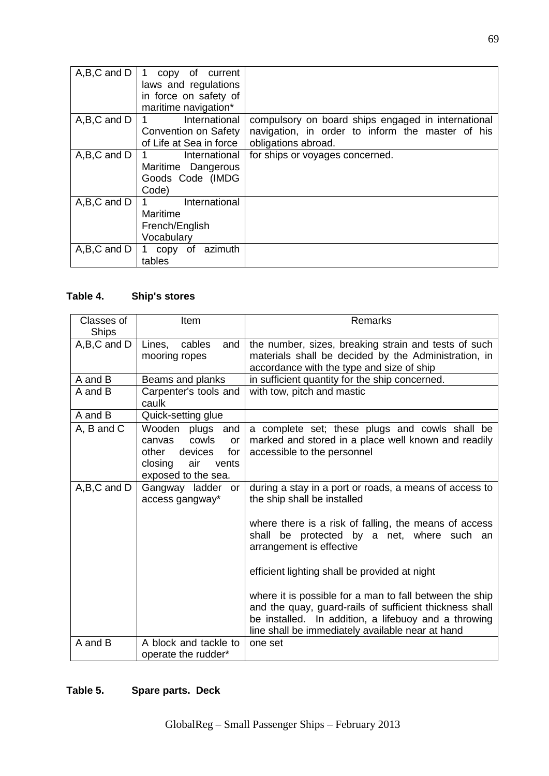| A,B,C and D | copy of current<br>laws and regulations<br>in force on safety of<br>maritime navigation*   |                                                                                                                               |
|-------------|--------------------------------------------------------------------------------------------|-------------------------------------------------------------------------------------------------------------------------------|
| A,B,C and D | International<br>$1 \quad \blacksquare$<br>Convention on Safety<br>of Life at Sea in force | compulsory on board ships engaged in international<br>navigation, in order to inform the master of his<br>obligations abroad. |
| A,B,C and D | International<br>Maritime Dangerous<br>Goods Code (IMDG<br>Code)                           | for ships or voyages concerned.                                                                                               |
| A,B,C and D | International<br>$1 \quad \Box$<br>Maritime<br>French/English<br>Vocabulary                |                                                                                                                               |
| A,B,C and D | azimuth<br>copy of<br>tables                                                               |                                                                                                                               |

# **Table 4. Ship's stores**

| Classes of<br><b>Ships</b> | Item                                                                                                                   | Remarks                                                                                                                                                                                                                        |
|----------------------------|------------------------------------------------------------------------------------------------------------------------|--------------------------------------------------------------------------------------------------------------------------------------------------------------------------------------------------------------------------------|
| $A,B,C$ and $D$            | cables<br>Lines,<br>and<br>mooring ropes                                                                               | the number, sizes, breaking strain and tests of such<br>materials shall be decided by the Administration, in<br>accordance with the type and size of ship                                                                      |
| A and B                    | Beams and planks                                                                                                       | in sufficient quantity for the ship concerned.                                                                                                                                                                                 |
| A and B                    | Carpenter's tools and<br>caulk                                                                                         | with tow, pitch and mastic                                                                                                                                                                                                     |
| A and B                    | Quick-setting glue                                                                                                     |                                                                                                                                                                                                                                |
| A, B and C                 | Wooden plugs and<br>cowls<br>canvas<br>or<br>for<br>other<br>devices<br>closing<br>air<br>vents<br>exposed to the sea. | a complete set; these plugs and cowls shall be<br>marked and stored in a place well known and readily<br>accessible to the personnel                                                                                           |
| A,B,C and D                | Gangway ladder<br>or<br>access gangway*                                                                                | during a stay in a port or roads, a means of access to<br>the ship shall be installed                                                                                                                                          |
|                            |                                                                                                                        | where there is a risk of falling, the means of access<br>shall be protected by a net, where such an<br>arrangement is effective                                                                                                |
|                            |                                                                                                                        | efficient lighting shall be provided at night                                                                                                                                                                                  |
|                            |                                                                                                                        | where it is possible for a man to fall between the ship<br>and the quay, guard-rails of sufficient thickness shall<br>be installed. In addition, a lifebuoy and a throwing<br>line shall be immediately available near at hand |
| A and B                    | A block and tackle to<br>operate the rudder*                                                                           | one set                                                                                                                                                                                                                        |

# **Table 5. Spare parts. Deck**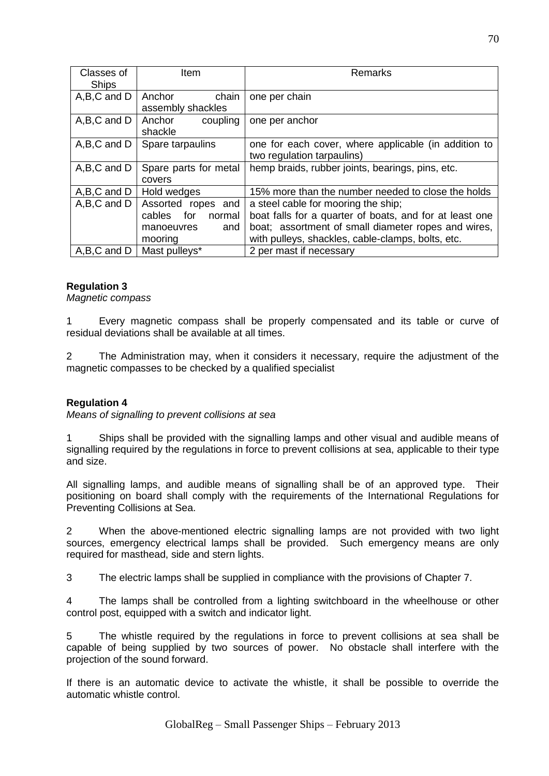| Classes of      | Item                    | Remarks                                                 |
|-----------------|-------------------------|---------------------------------------------------------|
| <b>Ships</b>    |                         |                                                         |
| $A,B,C$ and $D$ | chain<br>Anchor         | one per chain                                           |
|                 | assembly shackles       |                                                         |
| A,B,C and D     | Anchor<br>coupling      | one per anchor                                          |
|                 | shackle                 |                                                         |
| A,B,C and D     | Spare tarpaulins        | one for each cover, where applicable (in addition to    |
|                 |                         | two regulation tarpaulins)                              |
| A,B,C and D     | Spare parts for metal   | hemp braids, rubber joints, bearings, pins, etc.        |
|                 | covers                  |                                                         |
| A,B,C and D     | Hold wedges             | 15% more than the number needed to close the holds      |
| A,B,C and D     | Assorted ropes<br>and   | a steel cable for mooring the ship;                     |
|                 | for<br>cables<br>normal | boat falls for a quarter of boats, and for at least one |
|                 | and<br>manoeuvres       | boat; assortment of small diameter ropes and wires,     |
|                 | mooring                 | with pulleys, shackles, cable-clamps, bolts, etc.       |
| A,B,C and D     | Mast pulleys*           | 2 per mast if necessary                                 |

# **Regulation 3**

*Magnetic compass*

1 Every magnetic compass shall be properly compensated and its table or curve of residual deviations shall be available at all times.

2 The Administration may, when it considers it necessary, require the adjustment of the magnetic compasses to be checked by a qualified specialist

## **Regulation 4**

*Means of signalling to prevent collisions at sea*

1 Ships shall be provided with the signalling lamps and other visual and audible means of signalling required by the regulations in force to prevent collisions at sea, applicable to their type and size.

All signalling lamps, and audible means of signalling shall be of an approved type. Their positioning on board shall comply with the requirements of the International Regulations for Preventing Collisions at Sea.

2 When the above-mentioned electric signalling lamps are not provided with two light sources, emergency electrical lamps shall be provided. Such emergency means are only required for masthead, side and stern lights.

3 The electric lamps shall be supplied in compliance with the provisions of Chapter 7.

4 The lamps shall be controlled from a lighting switchboard in the wheelhouse or other control post, equipped with a switch and indicator light.

5 The whistle required by the regulations in force to prevent collisions at sea shall be capable of being supplied by two sources of power. No obstacle shall interfere with the projection of the sound forward.

If there is an automatic device to activate the whistle, it shall be possible to override the automatic whistle control.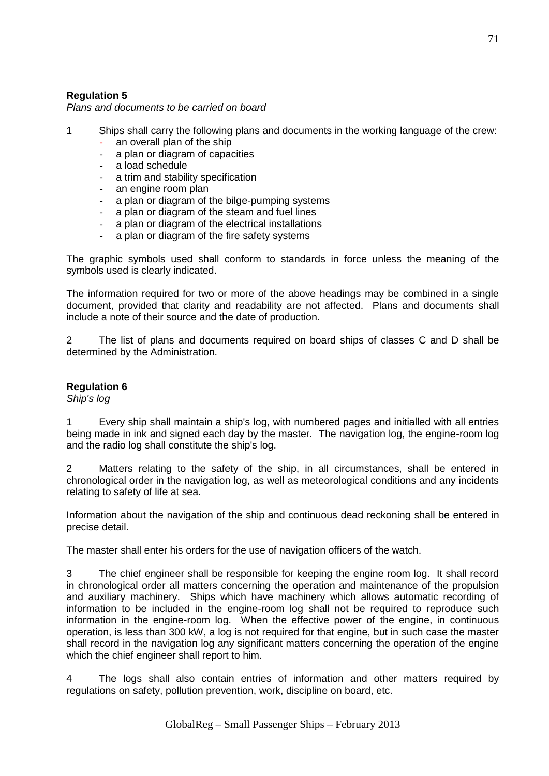# **Regulation 5**

*Plans and documents to be carried on board*

- 1 Ships shall carry the following plans and documents in the working language of the crew:
	- an overall plan of the ship
	- a plan or diagram of capacities
	- a load schedule
	- a trim and stability specification
	- an engine room plan
	- a plan or diagram of the bilge-pumping systems
	- a plan or diagram of the steam and fuel lines
	- a plan or diagram of the electrical installations
	- a plan or diagram of the fire safety systems

The graphic symbols used shall conform to standards in force unless the meaning of the symbols used is clearly indicated.

The information required for two or more of the above headings may be combined in a single document, provided that clarity and readability are not affected. Plans and documents shall include a note of their source and the date of production.

2 The list of plans and documents required on board ships of classes C and D shall be determined by the Administration.

# **Regulation 6**

*Ship's log*

1 Every ship shall maintain a ship's log, with numbered pages and initialled with all entries being made in ink and signed each day by the master. The navigation log, the engine-room log and the radio log shall constitute the ship's log.

2 Matters relating to the safety of the ship, in all circumstances, shall be entered in chronological order in the navigation log, as well as meteorological conditions and any incidents relating to safety of life at sea.

Information about the navigation of the ship and continuous dead reckoning shall be entered in precise detail.

The master shall enter his orders for the use of navigation officers of the watch.

3 The chief engineer shall be responsible for keeping the engine room log. It shall record in chronological order all matters concerning the operation and maintenance of the propulsion and auxiliary machinery. Ships which have machinery which allows automatic recording of information to be included in the engine-room log shall not be required to reproduce such information in the engine-room log. When the effective power of the engine, in continuous operation, is less than 300 kW, a log is not required for that engine, but in such case the master shall record in the navigation log any significant matters concerning the operation of the engine which the chief engineer shall report to him.

4 The logs shall also contain entries of information and other matters required by regulations on safety, pollution prevention, work, discipline on board, etc.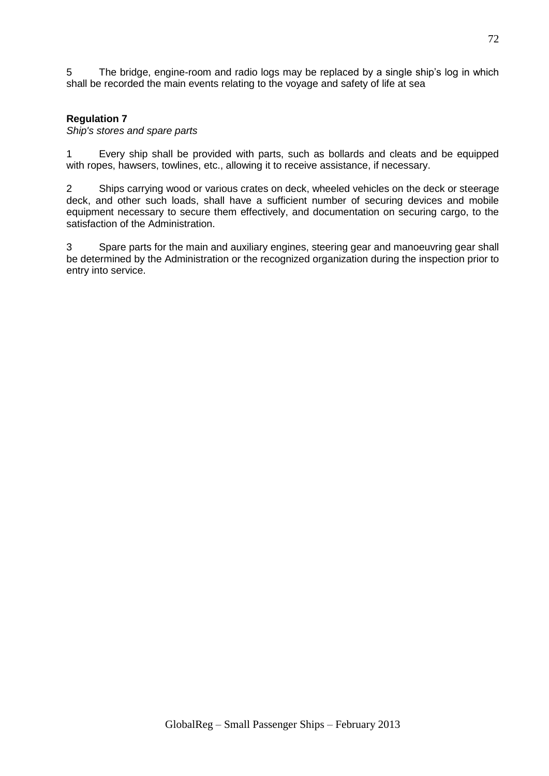5 The bridge, engine-room and radio logs may be replaced by a single ship's log in which shall be recorded the main events relating to the voyage and safety of life at sea

# **Regulation 7**

*Ship's stores and spare parts*

1 Every ship shall be provided with parts, such as bollards and cleats and be equipped with ropes, hawsers, towlines, etc., allowing it to receive assistance, if necessary.

2 Ships carrying wood or various crates on deck, wheeled vehicles on the deck or steerage deck, and other such loads, shall have a sufficient number of securing devices and mobile equipment necessary to secure them effectively, and documentation on securing cargo, to the satisfaction of the Administration.

3 Spare parts for the main and auxiliary engines, steering gear and manoeuvring gear shall be determined by the Administration or the recognized organization during the inspection prior to entry into service.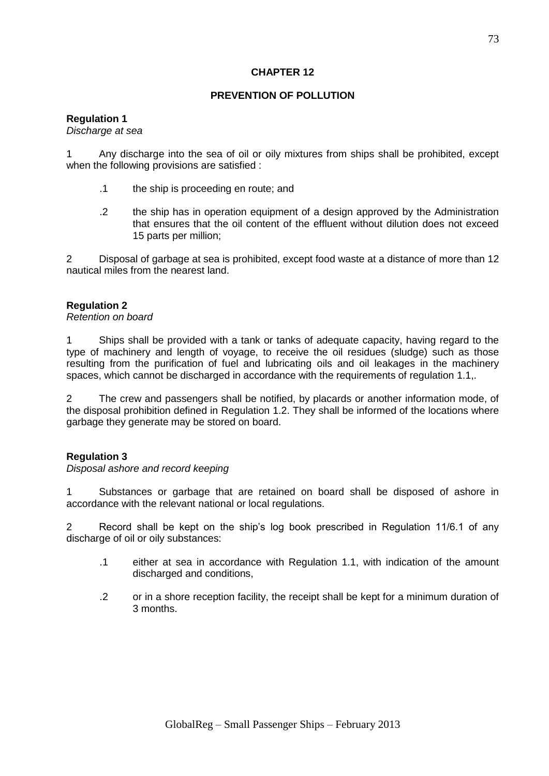# **CHAPTER 12**

# **PREVENTION OF POLLUTION**

# **Regulation 1**

### *Discharge at sea*

1 Any discharge into the sea of oil or oily mixtures from ships shall be prohibited, except when the following provisions are satisfied :

- .1 the ship is proceeding en route; and
- .2 the ship has in operation equipment of a design approved by the Administration that ensures that the oil content of the effluent without dilution does not exceed 15 parts per million;

2 Disposal of garbage at sea is prohibited, except food waste at a distance of more than 12 nautical miles from the nearest land.

# **Regulation 2**

### *Retention on board*

1 Ships shall be provided with a tank or tanks of adequate capacity, having regard to the type of machinery and length of voyage, to receive the oil residues (sludge) such as those resulting from the purification of fuel and lubricating oils and oil leakages in the machinery spaces, which cannot be discharged in accordance with the requirements of regulation 1.1,.

2 The crew and passengers shall be notified, by placards or another information mode, of the disposal prohibition defined in Regulation 1.2. They shall be informed of the locations where garbage they generate may be stored on board.

## **Regulation 3**

## *Disposal ashore and record keeping*

1 Substances or garbage that are retained on board shall be disposed of ashore in accordance with the relevant national or local regulations.

2 Record shall be kept on the ship's log book prescribed in Regulation 11/6.1 of any discharge of oil or oily substances:

- .1 either at sea in accordance with Regulation 1.1, with indication of the amount discharged and conditions,
- .2 or in a shore reception facility, the receipt shall be kept for a minimum duration of 3 months.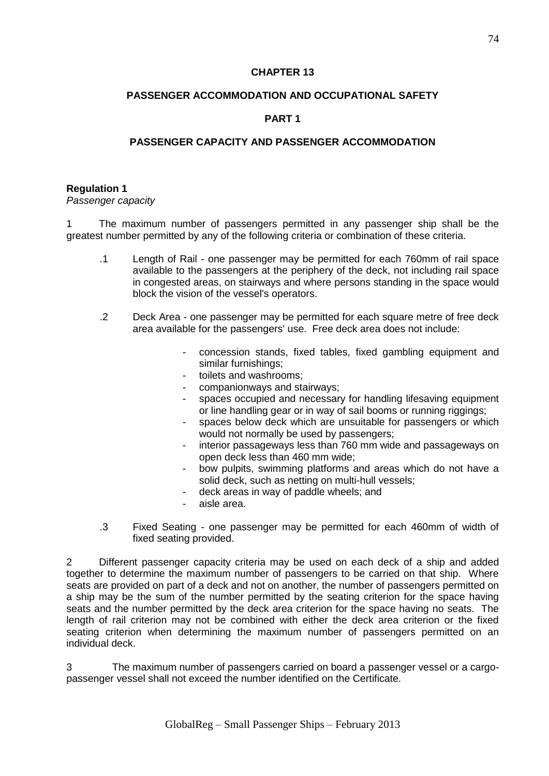# **CHAPTER 13**

# **PASSENGER ACCOMMODATION AND OCCUPATIONAL SAFETY**

# **PART 1**

# **PASSENGER CAPACITY AND PASSENGER ACCOMMODATION**

### **Regulation 1**

*Passenger capacity* 

1 The maximum number of passengers permitted in any passenger ship shall be the greatest number permitted by any of the following criteria or combination of these criteria.

- .1 Length of Rail one passenger may be permitted for each 760mm of rail space available to the passengers at the periphery of the deck, not including rail space in congested areas, on stairways and where persons standing in the space would block the vision of the vessel's operators.
- .2 Deck Area one passenger may be permitted for each square metre of free deck area available for the passengers' use. Free deck area does not include:
	- concession stands, fixed tables, fixed gambling equipment and similar furnishings;
	- toilets and washrooms:
	- companionways and stairways;
	- spaces occupied and necessary for handling lifesaving equipment or line handling gear or in way of sail booms or running riggings;
	- spaces below deck which are unsuitable for passengers or which would not normally be used by passengers;
	- interior passageways less than 760 mm wide and passageways on open deck less than 460 mm wide;
	- bow pulpits, swimming platforms and areas which do not have a solid deck, such as netting on multi-hull vessels;
	- deck areas in way of paddle wheels; and
	- aisle area.
- .3 Fixed Seating one passenger may be permitted for each 460mm of width of fixed seating provided.

2 Different passenger capacity criteria may be used on each deck of a ship and added together to determine the maximum number of passengers to be carried on that ship. Where seats are provided on part of a deck and not on another, the number of passengers permitted on a ship may be the sum of the number permitted by the seating criterion for the space having seats and the number permitted by the deck area criterion for the space having no seats. The length of rail criterion may not be combined with either the deck area criterion or the fixed seating criterion when determining the maximum number of passengers permitted on an individual deck.

3 The maximum number of passengers carried on board a passenger vessel or a cargopassenger vessel shall not exceed the number identified on the Certificate.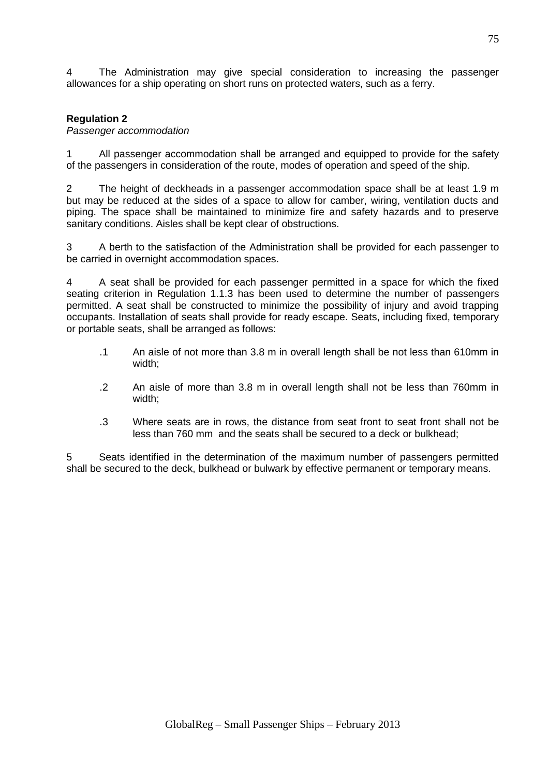4 The Administration may give special consideration to increasing the passenger allowances for a ship operating on short runs on protected waters, such as a ferry.

# **Regulation 2**

### *Passenger accommodation*

1 All passenger accommodation shall be arranged and equipped to provide for the safety of the passengers in consideration of the route, modes of operation and speed of the ship.

2 The height of deckheads in a passenger accommodation space shall be at least 1.9 m but may be reduced at the sides of a space to allow for camber, wiring, ventilation ducts and piping. The space shall be maintained to minimize fire and safety hazards and to preserve sanitary conditions. Aisles shall be kept clear of obstructions.

3 A berth to the satisfaction of the Administration shall be provided for each passenger to be carried in overnight accommodation spaces.

4 A seat shall be provided for each passenger permitted in a space for which the fixed seating criterion in Regulation 1.1.3 has been used to determine the number of passengers permitted. A seat shall be constructed to minimize the possibility of injury and avoid trapping occupants. Installation of seats shall provide for ready escape. Seats, including fixed, temporary or portable seats, shall be arranged as follows:

- .1 An aisle of not more than 3.8 m in overall length shall be not less than 610mm in width;
- .2 An aisle of more than 3.8 m in overall length shall not be less than 760mm in width;
- .3 Where seats are in rows, the distance from seat front to seat front shall not be less than 760 mm and the seats shall be secured to a deck or bulkhead;

5 Seats identified in the determination of the maximum number of passengers permitted shall be secured to the deck, bulkhead or bulwark by effective permanent or temporary means.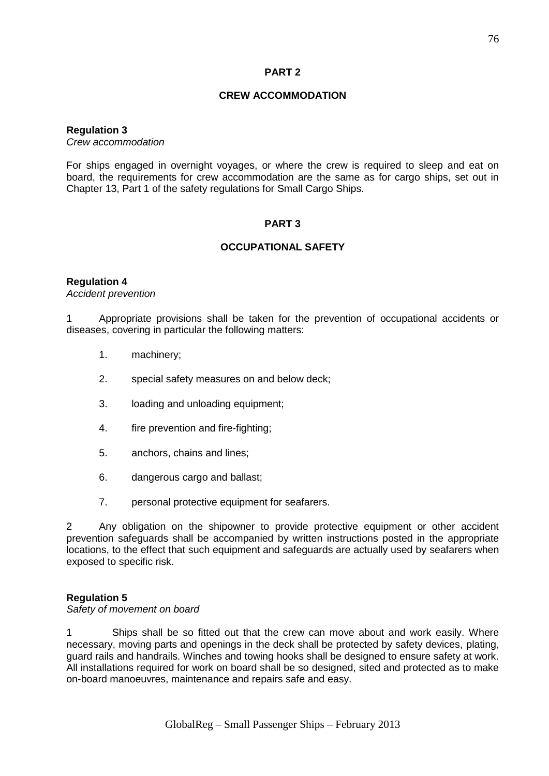# **PART 2**

# **CREW ACCOMMODATION**

### **Regulation 3**

*Crew accommodation*

For ships engaged in overnight voyages, or where the crew is required to sleep and eat on board, the requirements for crew accommodation are the same as for cargo ships, set out in Chapter 13, Part 1 of the safety regulations for Small Cargo Ships.

## **PART 3**

## **OCCUPATIONAL SAFETY**

### **Regulation 4**

*Accident prevention*

1 Appropriate provisions shall be taken for the prevention of occupational accidents or diseases, covering in particular the following matters:

- 1. machinery;
- 2. special safety measures on and below deck;
- 3. loading and unloading equipment;
- 4. fire prevention and fire-fighting;
- 5. anchors, chains and lines;
- 6. dangerous cargo and ballast;
- 7. personal protective equipment for seafarers.

2 Any obligation on the shipowner to provide protective equipment or other accident prevention safeguards shall be accompanied by written instructions posted in the appropriate locations, to the effect that such equipment and safeguards are actually used by seafarers when exposed to specific risk.

## **Regulation 5**

*Safety of movement on board*

1 Ships shall be so fitted out that the crew can move about and work easily. Where necessary, moving parts and openings in the deck shall be protected by safety devices, plating, guard rails and handrails. Winches and towing hooks shall be designed to ensure safety at work. All installations required for work on board shall be so designed, sited and protected as to make on-board manoeuvres, maintenance and repairs safe and easy.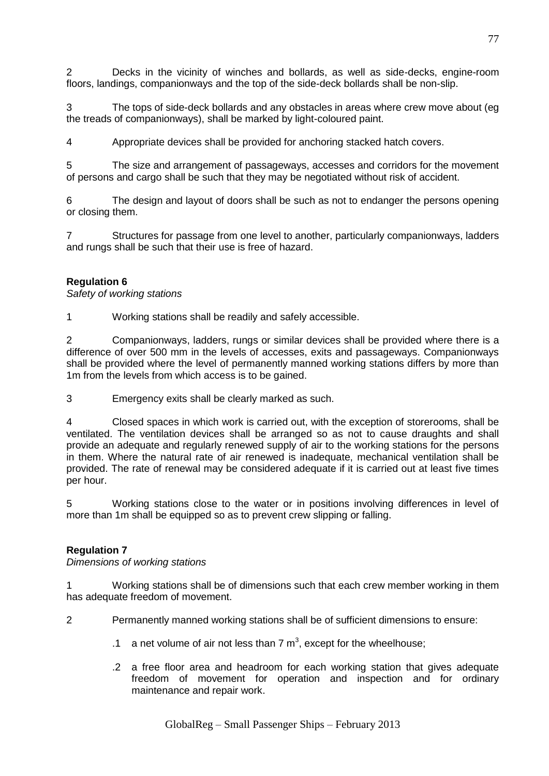2 Decks in the vicinity of winches and bollards, as well as side-decks, engine-room floors, landings, companionways and the top of the side-deck bollards shall be non-slip.

3 The tops of side-deck bollards and any obstacles in areas where crew move about (eg the treads of companionways), shall be marked by light-coloured paint.

4 Appropriate devices shall be provided for anchoring stacked hatch covers.

5 The size and arrangement of passageways, accesses and corridors for the movement of persons and cargo shall be such that they may be negotiated without risk of accident.

6 The design and layout of doors shall be such as not to endanger the persons opening or closing them.

7 Structures for passage from one level to another, particularly companionways, ladders and rungs shall be such that their use is free of hazard.

## **Regulation 6**

*Safety of working stations*

1 Working stations shall be readily and safely accessible.

2 Companionways, ladders, rungs or similar devices shall be provided where there is a difference of over 500 mm in the levels of accesses, exits and passageways. Companionways shall be provided where the level of permanently manned working stations differs by more than 1m from the levels from which access is to be gained.

3 Emergency exits shall be clearly marked as such.

4 Closed spaces in which work is carried out, with the exception of storerooms, shall be ventilated. The ventilation devices shall be arranged so as not to cause draughts and shall provide an adequate and regularly renewed supply of air to the working stations for the persons in them. Where the natural rate of air renewed is inadequate, mechanical ventilation shall be provided. The rate of renewal may be considered adequate if it is carried out at least five times per hour.

5 Working stations close to the water or in positions involving differences in level of more than 1m shall be equipped so as to prevent crew slipping or falling.

## **Regulation 7**

*Dimensions of working stations*

1 Working stations shall be of dimensions such that each crew member working in them has adequate freedom of movement.

2 Permanently manned working stations shall be of sufficient dimensions to ensure:

- .1 a net volume of air not less than 7  $m^3$ , except for the wheelhouse;
- .2 a free floor area and headroom for each working station that gives adequate freedom of movement for operation and inspection and for ordinary maintenance and repair work.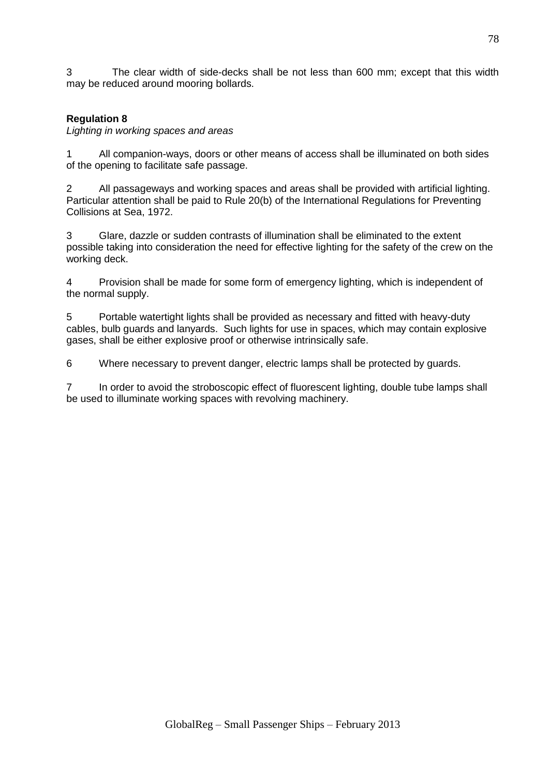3 The clear width of side-decks shall be not less than 600 mm; except that this width may be reduced around mooring bollards.

# **Regulation 8**

*Lighting in working spaces and areas*

1 All companion-ways, doors or other means of access shall be illuminated on both sides of the opening to facilitate safe passage.

2 All passageways and working spaces and areas shall be provided with artificial lighting. Particular attention shall be paid to Rule 20(b) of the International Regulations for Preventing Collisions at Sea, 1972.

3 Glare, dazzle or sudden contrasts of illumination shall be eliminated to the extent possible taking into consideration the need for effective lighting for the safety of the crew on the working deck.

4 Provision shall be made for some form of emergency lighting, which is independent of the normal supply.

5 Portable watertight lights shall be provided as necessary and fitted with heavy-duty cables, bulb guards and lanyards. Such lights for use in spaces, which may contain explosive gases, shall be either explosive proof or otherwise intrinsically safe.

6 Where necessary to prevent danger, electric lamps shall be protected by guards.

7 In order to avoid the stroboscopic effect of fluorescent lighting, double tube lamps shall be used to illuminate working spaces with revolving machinery.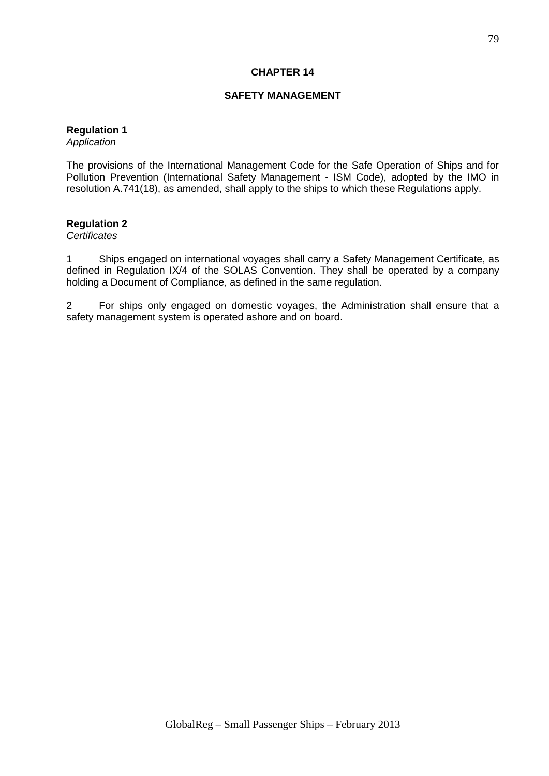# **CHAPTER 14**

# **SAFETY MANAGEMENT**

# **Regulation 1**

*Application*

The provisions of the International Management Code for the Safe Operation of Ships and for Pollution Prevention (International Safety Management - ISM Code), adopted by the IMO in resolution A.741(18), as amended, shall apply to the ships to which these Regulations apply.

### **Regulation 2**

*Certificates*

1 Ships engaged on international voyages shall carry a Safety Management Certificate, as defined in Regulation IX/4 of the SOLAS Convention. They shall be operated by a company holding a Document of Compliance, as defined in the same regulation.

2 For ships only engaged on domestic voyages, the Administration shall ensure that a safety management system is operated ashore and on board.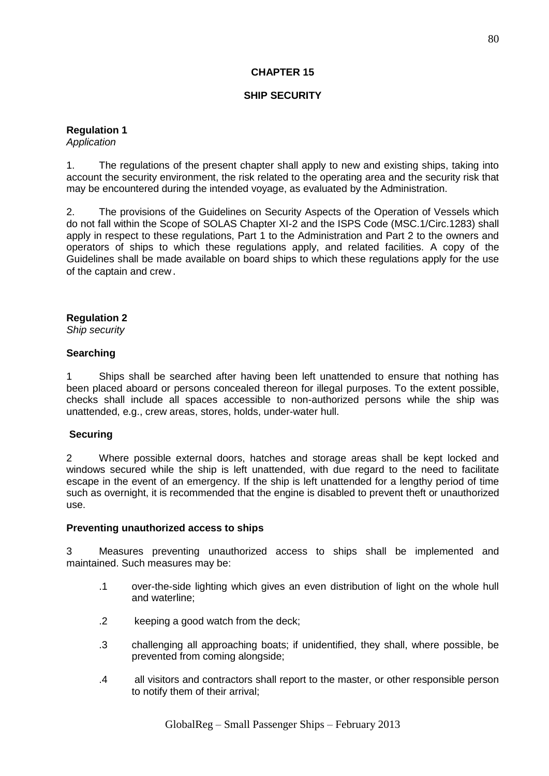# **CHAPTER 15**

# **SHIP SECURITY**

**Regulation 1**

*Application*

1. The regulations of the present chapter shall apply to new and existing ships, taking into account the security environment, the risk related to the operating area and the security risk that may be encountered during the intended voyage, as evaluated by the Administration.

2. The provisions of the Guidelines on Security Aspects of the Operation of Vessels which do not fall within the Scope of SOLAS Chapter XI-2 and the ISPS Code (MSC.1/Circ.1283) shall apply in respect to these regulations, Part 1 to the Administration and Part 2 to the owners and operators of ships to which these regulations apply, and related facilities. A copy of the Guidelines shall be made available on board ships to which these regulations apply for the use of the captain and crew.

## **Regulation 2**

*Ship security*

### **Searching**

1 Ships shall be searched after having been left unattended to ensure that nothing has been placed aboard or persons concealed thereon for illegal purposes. To the extent possible, checks shall include all spaces accessible to non-authorized persons while the ship was unattended, e.g., crew areas, stores, holds, under-water hull.

## **Securing**

2 Where possible external doors, hatches and storage areas shall be kept locked and windows secured while the ship is left unattended, with due regard to the need to facilitate escape in the event of an emergency. If the ship is left unattended for a lengthy period of time such as overnight, it is recommended that the engine is disabled to prevent theft or unauthorized use.

#### **Preventing unauthorized access to ships**

3 Measures preventing unauthorized access to ships shall be implemented and maintained. Such measures may be:

- .1 over-the-side lighting which gives an even distribution of light on the whole hull and waterline;
- .2 keeping a good watch from the deck;
- .3 challenging all approaching boats; if unidentified, they shall, where possible, be prevented from coming alongside;
- .4 all visitors and contractors shall report to the master, or other responsible person to notify them of their arrival;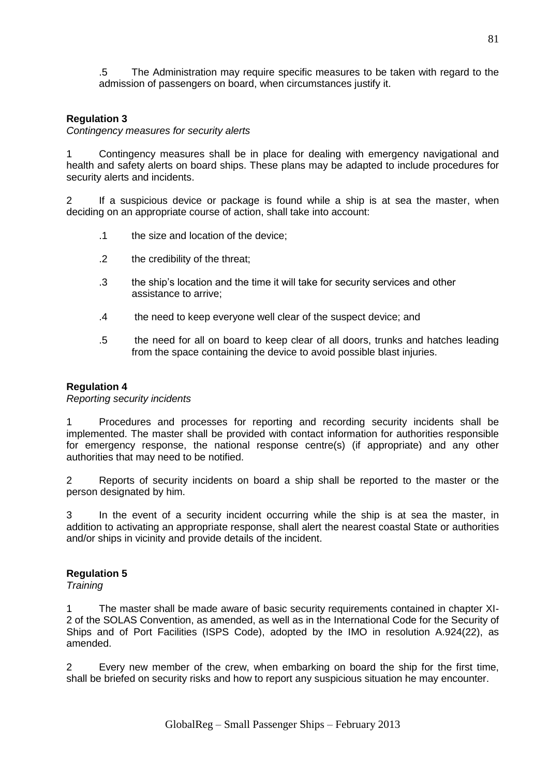.5 The Administration may require specific measures to be taken with regard to the admission of passengers on board, when circumstances justify it.

## **Regulation 3**

*Contingency measures for security alerts*

1 Contingency measures shall be in place for dealing with emergency navigational and health and safety alerts on board ships. These plans may be adapted to include procedures for security alerts and incidents.

2 If a suspicious device or package is found while a ship is at sea the master, when deciding on an appropriate course of action, shall take into account:

- .1 the size and location of the device;
- .2 the credibility of the threat;
- .3 the ship's location and the time it will take for security services and other assistance to arrive;
- .4 the need to keep everyone well clear of the suspect device; and
- .5 the need for all on board to keep clear of all doors, trunks and hatches leading from the space containing the device to avoid possible blast injuries.

#### **Regulation 4**

#### *Reporting security incidents*

1 Procedures and processes for reporting and recording security incidents shall be implemented. The master shall be provided with contact information for authorities responsible for emergency response, the national response centre(s) (if appropriate) and any other authorities that may need to be notified.

2 Reports of security incidents on board a ship shall be reported to the master or the person designated by him.

3 In the event of a security incident occurring while the ship is at sea the master, in addition to activating an appropriate response, shall alert the nearest coastal State or authorities and/or ships in vicinity and provide details of the incident.

## **Regulation 5**

*Training*

1 The master shall be made aware of basic security requirements contained in chapter XI-2 of the SOLAS Convention, as amended, as well as in the International Code for the Security of Ships and of Port Facilities (ISPS Code), adopted by the IMO in resolution A.924(22), as amended.

2 Every new member of the crew, when embarking on board the ship for the first time, shall be briefed on security risks and how to report any suspicious situation he may encounter.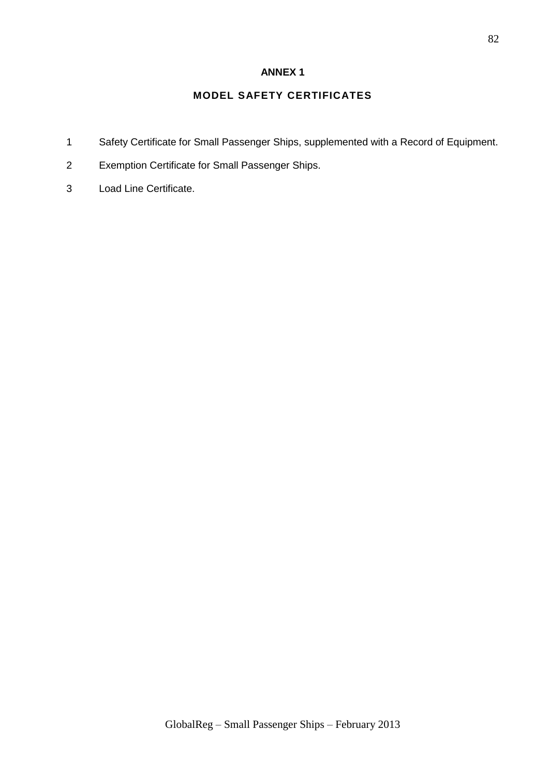# **ANNEX 1**

# **MODEL SAFETY CERTIFICATES**

- 1 Safety Certificate for Small Passenger Ships, supplemented with a Record of Equipment.
- 2 Exemption Certificate for Small Passenger Ships.
- 3 Load Line Certificate.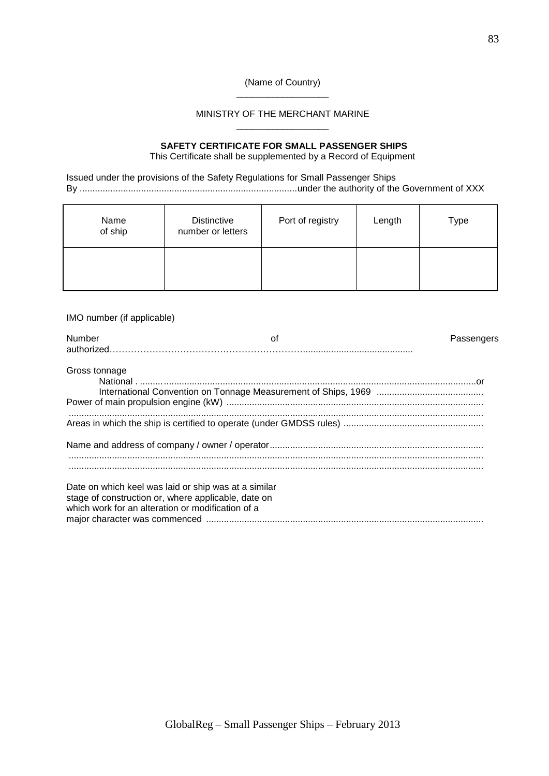#### (Name of Country) \_\_\_\_\_\_\_\_\_\_\_\_\_\_\_\_\_\_

#### MINISTRY OF THE MERCHANT MARINE \_\_\_\_\_\_\_\_\_\_\_\_\_\_\_\_\_\_

#### **SAFETY CERTIFICATE FOR SMALL PASSENGER SHIPS** This Certificate shall be supplemented by a Record of Equipment

Issued under the provisions of the Safety Regulations for Small Passenger Ships By .....................................................................................under the authority of the Government of XXX

| Name<br>of ship | <b>Distinctive</b><br>number or letters | Port of registry | Length | Type |
|-----------------|-----------------------------------------|------------------|--------|------|
|                 |                                         |                  |        |      |

IMO number (if applicable)

| Number                                                                                                                                                           | οf | Passengers |
|------------------------------------------------------------------------------------------------------------------------------------------------------------------|----|------------|
| Gross tonnage                                                                                                                                                    |    |            |
|                                                                                                                                                                  |    |            |
|                                                                                                                                                                  |    |            |
| Date on which keel was laid or ship was at a similar<br>stage of construction or, where applicable, date on<br>which work for an alteration or modification of a |    |            |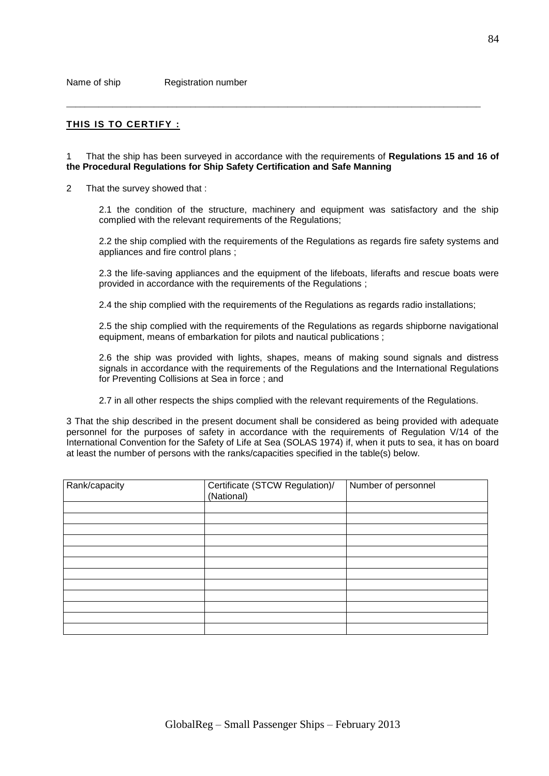#### **THIS IS TO CERTIFY :**

1 That the ship has been surveyed in accordance with the requirements of **Regulations 15 and 16 of the Procedural Regulations for Ship Safety Certification and Safe Manning**

\_\_\_\_\_\_\_\_\_\_\_\_\_\_\_\_\_\_\_\_\_\_\_\_\_\_\_\_\_\_\_\_\_\_\_\_\_\_\_\_\_\_\_\_\_\_\_\_\_\_\_\_\_\_\_\_\_\_\_\_\_\_\_\_\_\_\_\_\_\_\_\_\_\_\_\_\_\_\_\_\_\_\_\_\_\_\_\_\_\_

2 That the survey showed that :

2.1 the condition of the structure, machinery and equipment was satisfactory and the ship complied with the relevant requirements of the Regulations;

2.2 the ship complied with the requirements of the Regulations as regards fire safety systems and appliances and fire control plans ;

2.3 the life-saving appliances and the equipment of the lifeboats, liferafts and rescue boats were provided in accordance with the requirements of the Regulations ;

2.4 the ship complied with the requirements of the Regulations as regards radio installations;

2.5 the ship complied with the requirements of the Regulations as regards shipborne navigational equipment, means of embarkation for pilots and nautical publications ;

2.6 the ship was provided with lights, shapes, means of making sound signals and distress signals in accordance with the requirements of the Regulations and the International Regulations for Preventing Collisions at Sea in force ; and

2.7 in all other respects the ships complied with the relevant requirements of the Regulations.

3 That the ship described in the present document shall be considered as being provided with adequate personnel for the purposes of safety in accordance with the requirements of Regulation V/14 of the International Convention for the Safety of Life at Sea (SOLAS 1974) if, when it puts to sea, it has on board at least the number of persons with the ranks/capacities specified in the table(s) below.

| Rank/capacity | Certificate (STCW Regulation)/<br>(National) | Number of personnel |
|---------------|----------------------------------------------|---------------------|
|               |                                              |                     |
|               |                                              |                     |
|               |                                              |                     |
|               |                                              |                     |
|               |                                              |                     |
|               |                                              |                     |
|               |                                              |                     |
|               |                                              |                     |
|               |                                              |                     |
|               |                                              |                     |
|               |                                              |                     |
|               |                                              |                     |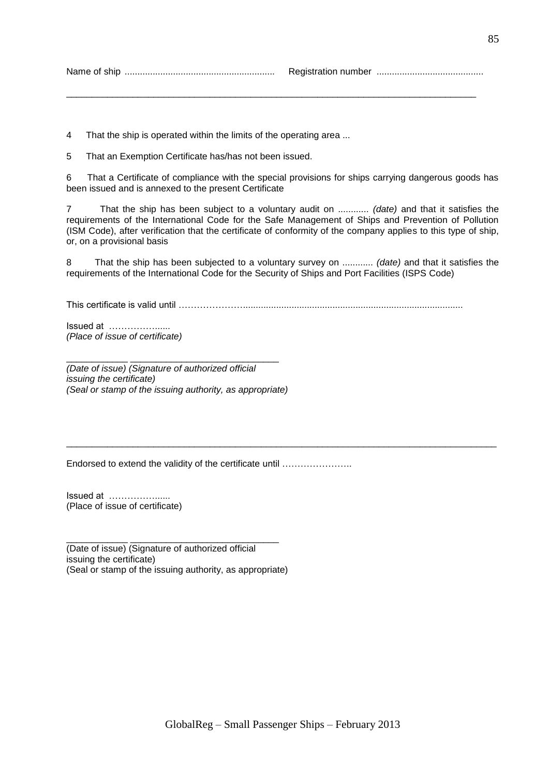Name of ship ........................................................... Registration number ..........................................

\_\_\_\_\_\_\_\_\_\_\_\_\_\_\_\_\_\_\_\_\_\_\_\_\_\_\_\_\_\_\_\_\_\_\_\_\_\_\_\_\_\_\_\_\_\_\_\_\_\_\_\_\_\_\_\_\_\_\_\_\_\_\_\_\_\_\_\_\_\_\_\_\_\_\_\_\_\_\_\_

4 That the ship is operated within the limits of the operating area ...

5 That an Exemption Certificate has/has not been issued.

6 That a Certificate of compliance with the special provisions for ships carrying dangerous goods has been issued and is annexed to the present Certificate

7 That the ship has been subject to a voluntary audit on ............ *(date)* and that it satisfies the requirements of the International Code for the Safe Management of Ships and Prevention of Pollution (ISM Code), after verification that the certificate of conformity of the company applies to this type of ship, or, on a provisional basis

8 That the ship has been subjected to a voluntary survey on ............ *(date)* and that it satisfies the requirements of the International Code for the Security of Ships and Port Facilities (ISPS Code)

\_\_\_\_\_\_\_\_\_\_\_\_\_\_\_\_\_\_\_\_\_\_\_\_\_\_\_\_\_\_\_\_\_\_\_\_\_\_\_\_\_\_\_\_\_\_\_\_\_\_\_\_\_\_\_\_\_\_\_\_\_\_\_\_\_\_\_\_\_\_\_\_\_\_\_\_\_\_\_\_\_\_\_\_

This certificate is valid until …………………......................................................................................

Issued at ……………...... *(Place of issue of certificate)*

*(Date of issue) (Signature of authorized official issuing the certificate) (Seal or stamp of the issuing authority, as appropriate)*

\_\_\_\_\_\_\_\_\_\_\_\_ \_\_\_\_\_\_\_\_\_\_\_\_\_\_\_\_\_\_\_\_\_\_\_\_\_\_\_\_\_

Endorsed to extend the validity of the certificate until …………………..

Issued at ……………...... (Place of issue of certificate)

(Date of issue) (Signature of authorized official issuing the certificate) (Seal or stamp of the issuing authority, as appropriate)

\_\_\_\_\_\_\_\_\_\_\_\_ \_\_\_\_\_\_\_\_\_\_\_\_\_\_\_\_\_\_\_\_\_\_\_\_\_\_\_\_\_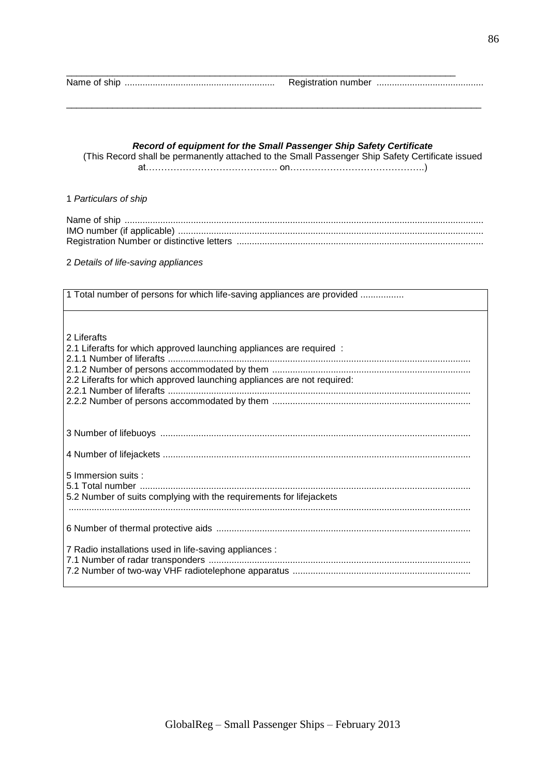|--|--|--|

#### *Record of equipment for the Small Passenger Ship Safety Certificate*

\_\_\_\_\_\_\_\_\_\_\_\_\_\_\_\_\_\_\_\_\_\_\_\_\_\_\_\_\_\_\_\_\_\_\_\_\_\_\_\_\_\_\_\_\_\_\_\_\_\_\_\_\_\_\_\_\_\_\_\_\_\_\_\_\_\_\_\_\_\_\_\_\_\_\_\_

\_\_\_\_\_\_\_\_\_\_\_\_\_\_\_\_\_\_\_\_\_\_\_\_\_\_\_\_\_\_\_\_\_\_\_\_\_\_\_\_\_\_\_\_\_\_\_\_\_\_\_\_\_\_\_\_\_\_\_\_\_\_\_\_\_\_\_\_\_\_\_\_\_\_\_\_\_\_\_\_\_

(This Record shall be permanently attached to the Small Passenger Ship Safety Certificate issued at……………………………………. on……………………………………..)

#### 1 *Particulars of ship*

2 *Details of life-saving appliances*

| 1 Total number of persons for which life-saving appliances are provided |  |  |
|-------------------------------------------------------------------------|--|--|
|                                                                         |  |  |
| 2 Liferafts                                                             |  |  |
| 2.1 Liferafts for which approved launching appliances are required :    |  |  |
|                                                                         |  |  |
| 2.2 Liferafts for which approved launching appliances are not required: |  |  |
|                                                                         |  |  |
|                                                                         |  |  |
|                                                                         |  |  |
|                                                                         |  |  |
|                                                                         |  |  |
| 5 Immersion suits :                                                     |  |  |
|                                                                         |  |  |
| 5.2 Number of suits complying with the requirements for lifejackets     |  |  |
|                                                                         |  |  |
|                                                                         |  |  |
| 7 Radio installations used in life-saving appliances :                  |  |  |
|                                                                         |  |  |
|                                                                         |  |  |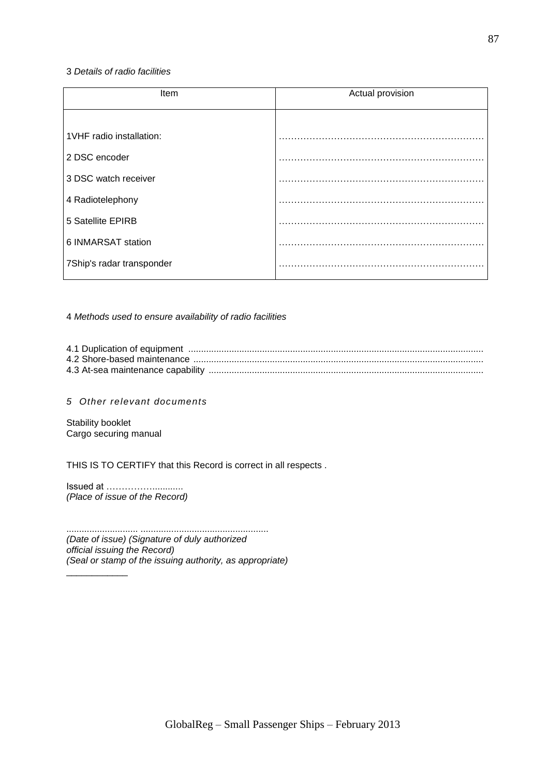#### 3 *Details of radio facilities*

| Item                      | Actual provision |  |  |
|---------------------------|------------------|--|--|
|                           |                  |  |  |
| 1VHF radio installation:  |                  |  |  |
| 2 DSC encoder             |                  |  |  |
| 3 DSC watch receiver      |                  |  |  |
| 4 Radiotelephony          |                  |  |  |
| 5 Satellite EPIRB         |                  |  |  |
| 6 INMARSAT station        |                  |  |  |
| 7Ship's radar transponder |                  |  |  |

4 *Methods used to ensure availability of radio facilities*

*5 Other relevant documents*

Stability booklet Cargo securing manual

 $\overline{\phantom{a}}$ 

THIS IS TO CERTIFY that this Record is correct in all respects .

Issued at ……………............ *(Place of issue of the Record)*

............................ .................................................. *(Date of issue) (Signature of duly authorized official issuing the Record) (Seal or stamp of the issuing authority, as appropriate)*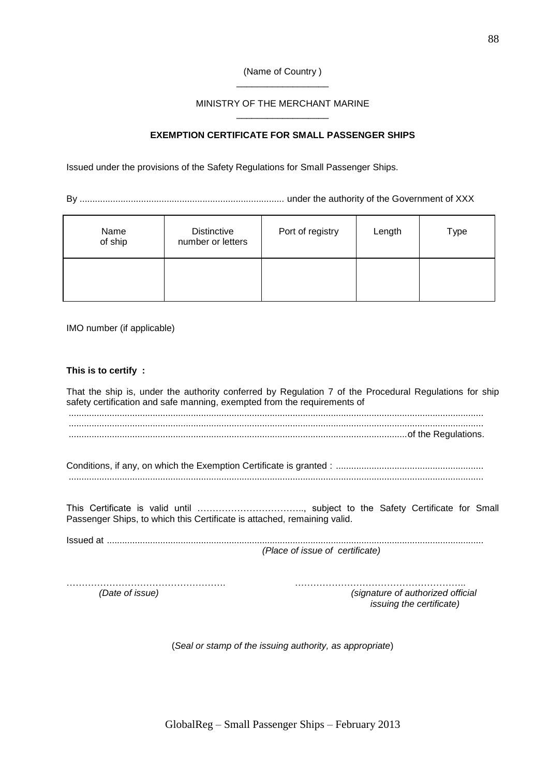#### (Name of Country ) \_\_\_\_\_\_\_\_\_\_\_\_\_\_\_\_\_\_

#### MINISTRY OF THE MERCHANT MARINE \_\_\_\_\_\_\_\_\_\_\_\_\_\_\_\_\_\_

## **EXEMPTION CERTIFICATE FOR SMALL PASSENGER SHIPS**

Issued under the provisions of the Safety Regulations for Small Passenger Ships.

By ................................................................................ under the authority of the Government of XXX

| Name<br>of ship | <b>Distinctive</b><br>number or letters | Port of registry | Length | Type |
|-----------------|-----------------------------------------|------------------|--------|------|
|                 |                                         |                  |        |      |

IMO number (if applicable)

#### **This is to certify :**

That the ship is, under the authority conferred by Regulation 7 of the Procedural Regulations for ship safety certification and safe manning, exempted from the requirements of ................................................................................................................................................................... ................................................................................................................................................................... .....................................................................................................................................of the Regulations.

Conditions, if any, on which the Exemption Certificate is granted : .......................................................... ...................................................................................................................................................................

This Certificate is valid until …………………………….., subject to the Safety Certificate for Small Passenger Ships, to which this Certificate is attached, remaining valid.

Issued at .................................................................................................................................................... *(Place of issue of certificate)*

……………………………………………. ……………………………………………….. *(Date of issue) (signature of authorized official issuing the certificate)*

(*Seal or stamp of the issuing authority, as appropriate*)

GlobalReg – Small Passenger Ships – February 2013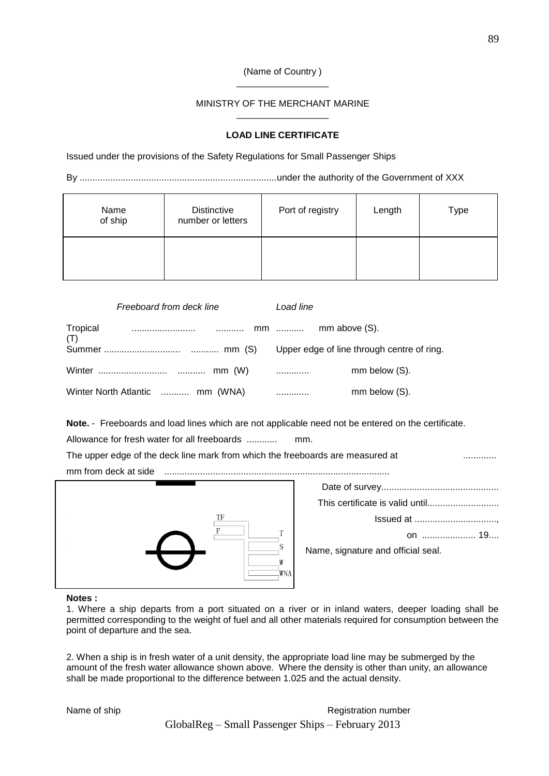#### (Name of Country ) \_\_\_\_\_\_\_\_\_\_\_\_\_\_\_\_\_\_

#### MINISTRY OF THE MERCHANT MARINE \_\_\_\_\_\_\_\_\_\_\_\_\_\_\_\_\_\_

#### **LOAD LINE CERTIFICATE**

Issued under the provisions of the Safety Regulations for Small Passenger Ships

By .............................................................................under the authority of the Government of XXX

| Name<br>of ship | <b>Distinctive</b><br>number or letters | Port of registry | Length | Type |
|-----------------|-----------------------------------------|------------------|--------|------|
|                 |                                         |                  |        |      |

| Freeboard from deck line        | Load line     |  |
|---------------------------------|---------------|--|
| (T)                             |               |  |
|                                 |               |  |
|                                 | mm below (S). |  |
| Winter North Atlantic  mm (WNA) | mm below (S). |  |

**Note.** - Freeboards and load lines which are not applicable need not be entered on the certificate.

Allowance for fresh water for all freeboards ............ mm.

| The upper edge of the deck line mark from which the freeboards are measured at |  |
|--------------------------------------------------------------------------------|--|
| mm from deck at side                                                           |  |
|                                                                                |  |



Date of survey.............................................. This certificate is valid until............................ Issued at ................................, on ..................... 19.... Name, signature and official seal.

#### **Notes :**

1. Where a ship departs from a port situated on a river or in inland waters, deeper loading shall be permitted corresponding to the weight of fuel and all other materials required for consumption between the point of departure and the sea.

2. When a ship is in fresh water of a unit density, the appropriate load line may be submerged by the amount of the fresh water allowance shown above. Where the density is other than unity, an allowance shall be made proportional to the difference between 1.025 and the actual density.

GlobalReg – Small Passenger Ships – February 2013 Name of ship **Name of ship** Registration number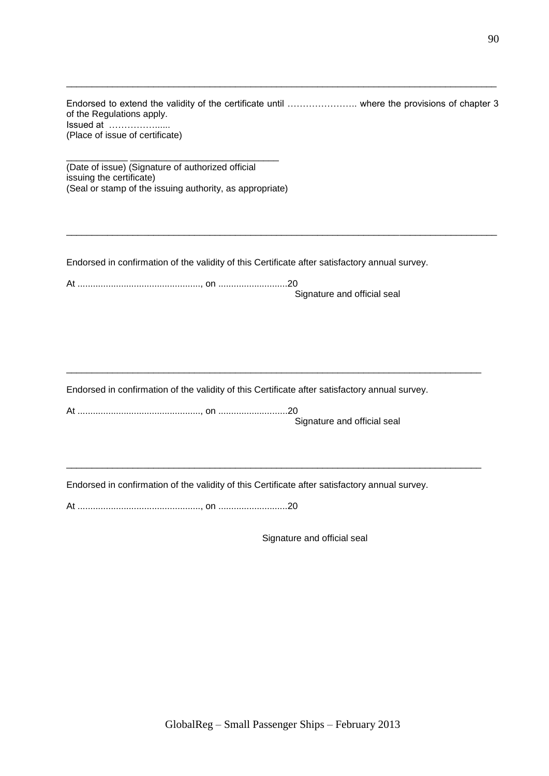Endorsed to extend the validity of the certificate until ………………….. where the provisions of chapter 3 of the Regulations apply. Issued at ……………...... (Place of issue of certificate)

\_\_\_\_\_\_\_\_\_\_\_\_\_\_\_\_\_\_\_\_\_\_\_\_\_\_\_\_\_\_\_\_\_\_\_\_\_\_\_\_\_\_\_\_\_\_\_\_\_\_\_\_\_\_\_\_\_\_\_\_\_\_\_\_\_\_\_\_\_\_\_\_\_\_\_\_\_\_\_\_\_\_\_\_

\_\_\_\_\_\_\_\_\_\_\_\_\_\_\_\_\_\_\_\_\_\_\_\_\_\_\_\_\_\_\_\_\_\_\_\_\_\_\_\_\_\_\_\_\_\_\_\_\_\_\_\_\_\_\_\_\_\_\_\_\_\_\_\_\_\_\_\_\_\_\_\_\_\_\_\_\_\_\_\_\_\_\_\_

\_\_\_\_\_\_\_\_\_\_\_\_ \_\_\_\_\_\_\_\_\_\_\_\_\_\_\_\_\_\_\_\_\_\_\_\_\_\_\_\_\_ (Date of issue) (Signature of authorized official issuing the certificate) (Seal or stamp of the issuing authority, as appropriate)

Endorsed in confirmation of the validity of this Certificate after satisfactory annual survey.

|  | Signature and official seal |
|--|-----------------------------|

Endorsed in confirmation of the validity of this Certificate after satisfactory annual survey.

\_\_\_\_\_\_\_\_\_\_\_\_\_\_\_\_\_\_\_\_\_\_\_\_\_\_\_\_\_\_\_\_\_\_\_\_\_\_\_\_\_\_\_\_\_\_\_\_\_\_\_\_\_\_\_\_\_\_\_\_\_\_\_\_\_\_\_\_\_\_\_\_\_\_\_\_\_\_\_\_\_

\_\_\_\_\_\_\_\_\_\_\_\_\_\_\_\_\_\_\_\_\_\_\_\_\_\_\_\_\_\_\_\_\_\_\_\_\_\_\_\_\_\_\_\_\_\_\_\_\_\_\_\_\_\_\_\_\_\_\_\_\_\_\_\_\_\_\_\_\_\_\_\_\_\_\_\_\_\_\_\_\_

At ................................................, on ...........................20 Signature and official seal

Endorsed in confirmation of the validity of this Certificate after satisfactory annual survey.

At ................................................, on ...........................20

Signature and official seal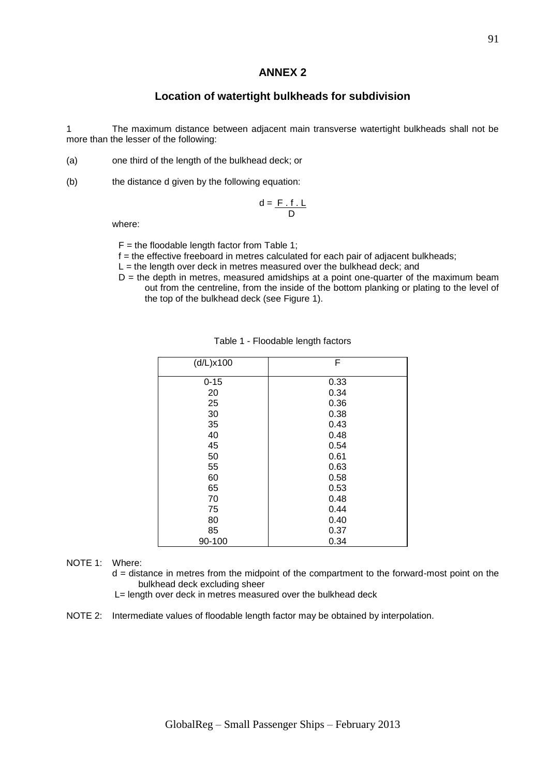#### **ANNEX 2**

## **Location of watertight bulkheads for subdivision**

1 The maximum distance between adjacent main transverse watertight bulkheads shall not be more than the lesser of the following:

- (a) one third of the length of the bulkhead deck; or
- (b) the distance d given by the following equation:

$$
d = \frac{F \cdot f \cdot L}{D}
$$

where:

 $F =$  the floodable length factor from Table 1;

 $f =$  the effective freeboard in metres calculated for each pair of adjacent bulkheads;

- $L =$  the length over deck in metres measured over the bulkhead deck; and
- $D =$  the depth in metres, measured amidships at a point one-quarter of the maximum beam out from the centreline, from the inside of the bottom planking or plating to the level of the top of the bulkhead deck (see Figure 1).

| (d/L)x100 | F    |
|-----------|------|
| $0 - 15$  | 0.33 |
| 20        | 0.34 |
| 25        | 0.36 |
| 30        | 0.38 |
| 35        | 0.43 |
| 40        | 0.48 |
| 45        | 0.54 |
| 50        | 0.61 |
| 55        | 0.63 |
| 60        | 0.58 |
| 65        | 0.53 |
| 70        | 0.48 |
| 75        | 0.44 |
| 80        | 0.40 |
| 85        | 0.37 |
| 90-100    | 0.34 |

#### Table 1 - Floodable length factors

#### NOTE 1: Where:

d = distance in metres from the midpoint of the compartment to the forward-most point on the bulkhead deck excluding sheer

- L= length over deck in metres measured over the bulkhead deck
- NOTE 2: Intermediate values of floodable length factor may be obtained by interpolation.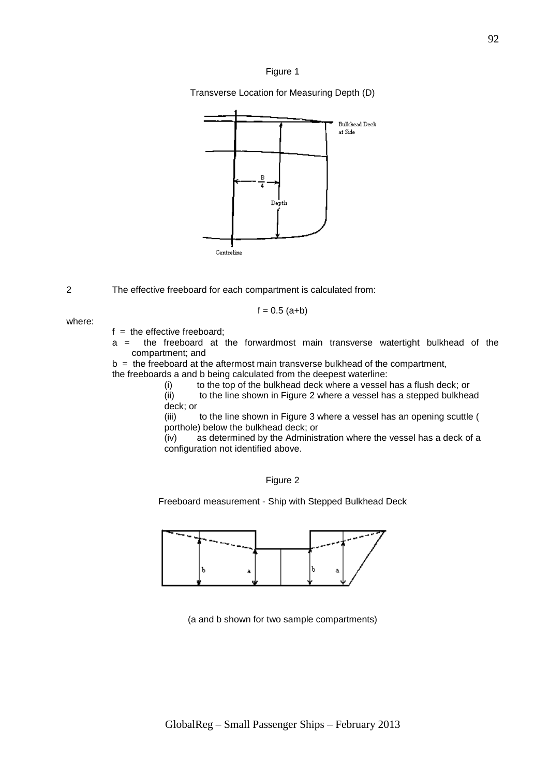

Transverse Location for Measuring Depth (D)



2 The effective freeboard for each compartment is calculated from:

$$
f = 0.5
$$
 (a+b)

where:

 $f =$  the effective freeboard:

a = the freeboard at the forwardmost main transverse watertight bulkhead of the compartment; and

 $b =$  the freeboard at the aftermost main transverse bulkhead of the compartment,

the freeboards a and b being calculated from the deepest waterline:

(i) to the top of the bulkhead deck where a vessel has a flush deck; or

(ii) to the line shown in Figure 2 where a vessel has a stepped bulkhead deck; or

(iii) to the line shown in Figure 3 where a vessel has an opening scuttle ( porthole) below the bulkhead deck; or

(iv) as determined by the Administration where the vessel has a deck of a configuration not identified above.

Figure 2

Freeboard measurement - Ship with Stepped Bulkhead Deck



(a and b shown for two sample compartments)